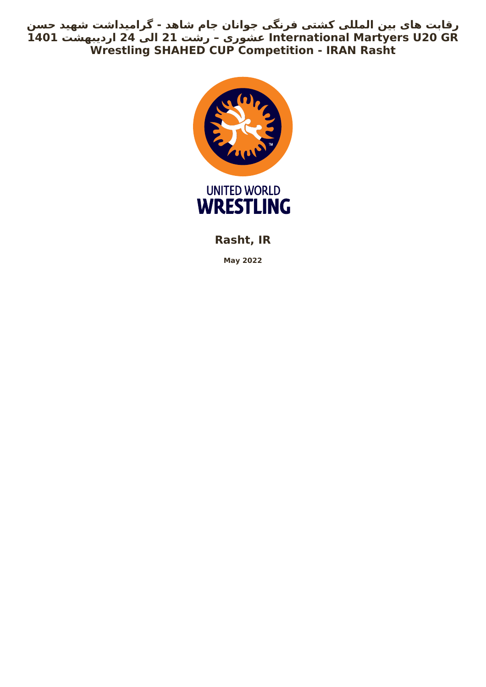**رقابت های بین المللی کشتی فرنگی جوانان جام شاهد - گرامیداشت شهید حسن GR 20U Martyers International عشوری – رشت 21 الی 24 اردیبهشت 1401 Wrestling SHAHED CUP Competition - IRAN Rasht**



**Rasht, IR**

**May 2022**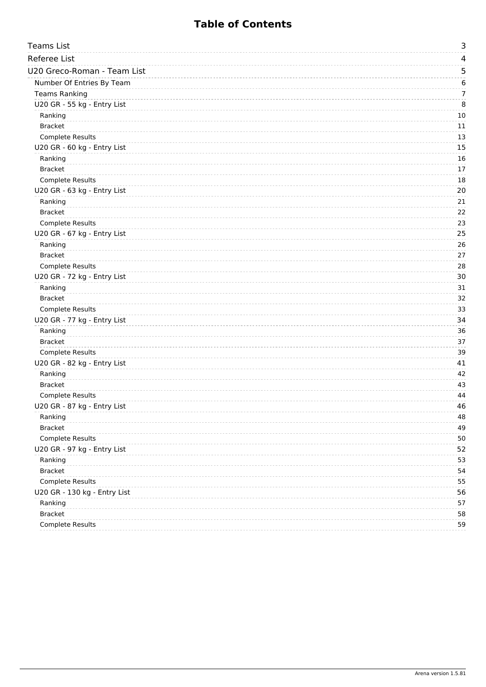# **Table of Contents**

| <b>Teams List</b>            | 3  |
|------------------------------|----|
| <b>Referee List</b>          | 4  |
| U20 Greco-Roman - Team List  | 5  |
| Number Of Entries By Team    | 6  |
| <b>Teams Ranking</b>         | 7  |
| U20 GR - 55 kg - Entry List  | 8  |
| Ranking                      | 10 |
| <b>Bracket</b>               | 11 |
| <b>Complete Results</b>      | 13 |
| U20 GR - 60 kg - Entry List  | 15 |
| Ranking                      | 16 |
| <b>Bracket</b>               | 17 |
| <b>Complete Results</b>      | 18 |
| U20 GR - 63 kg - Entry List  | 20 |
| Ranking                      | 21 |
| <b>Bracket</b>               | 22 |
| Complete Results             | 23 |
| U20 GR - 67 kg - Entry List  | 25 |
| Ranking                      | 26 |
| <b>Bracket</b>               | 27 |
| <b>Complete Results</b>      | 28 |
| U20 GR - 72 kg - Entry List  | 30 |
| Ranking                      | 31 |
| <b>Bracket</b>               | 32 |
| <b>Complete Results</b>      | 33 |
| U20 GR - 77 kg - Entry List  | 34 |
| Ranking                      | 36 |
| <b>Bracket</b>               | 37 |
| <b>Complete Results</b>      | 39 |
| U20 GR - 82 kg - Entry List  | 41 |
| Ranking                      | 42 |
| <b>Bracket</b>               | 43 |
| Complete Results             | 44 |
| U20 GR - 87 kg - Entry List  | 46 |
| Ranking                      | 48 |
| <b>Bracket</b>               | 49 |
| Complete Results             | 50 |
| U20 GR - 97 kg - Entry List  | 52 |
| Ranking                      | 53 |
| <b>Bracket</b>               | 54 |
| Complete Results             | 55 |
| U20 GR - 130 kg - Entry List | 56 |
| Ranking                      | 57 |
| <b>Bracket</b>               | 58 |
| Complete Results             | 59 |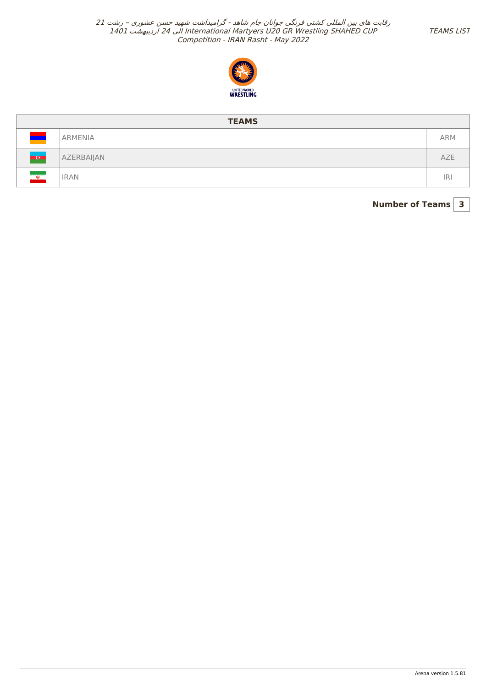

<span id="page-2-0"></span>

|                                                            | <b>TEAMS</b> |            |  |  |  |  |  |  |
|------------------------------------------------------------|--------------|------------|--|--|--|--|--|--|
|                                                            | ARMENIA      | <b>ARM</b> |  |  |  |  |  |  |
| $\overline{Q}$                                             | AZERBAIJAN   | <b>AZE</b> |  |  |  |  |  |  |
| $\frac{d\mathbf{r}}{d\mathbf{r}}$<br><u>urarararananno</u> | <b>IRAN</b>  | IR.        |  |  |  |  |  |  |

**Number of Teams 3**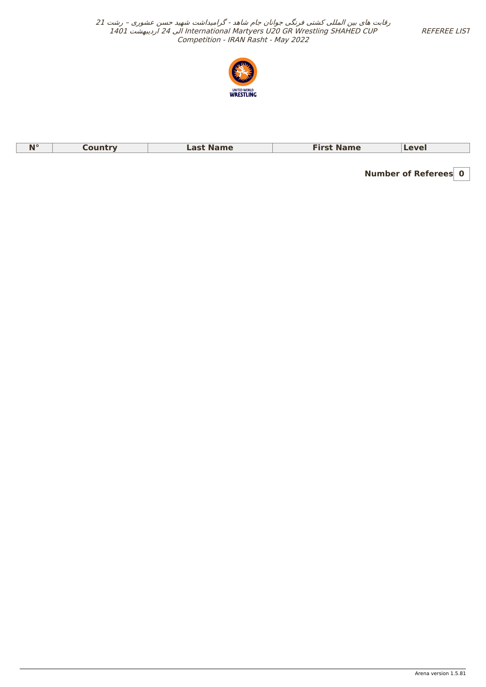REFEREE LIST

<span id="page-3-0"></span>رقابت های بین المللی کشتی فرنگی جوانان جام شاهد - گرامیداشت شهید حسن عشوری – رشت <sup>21</sup> 1401 اردیبهشت 24 الی International Martyers U20 GR Wrestling SHAHED CUP Competition - IRAN Rasht - May 2022



| $\blacksquare$<br>N<br>. | <b>Name</b> | <b>Name</b><br>----- | AVQ |
|--------------------------|-------------|----------------------|-----|
|                          |             |                      |     |

**Number of Referees 0**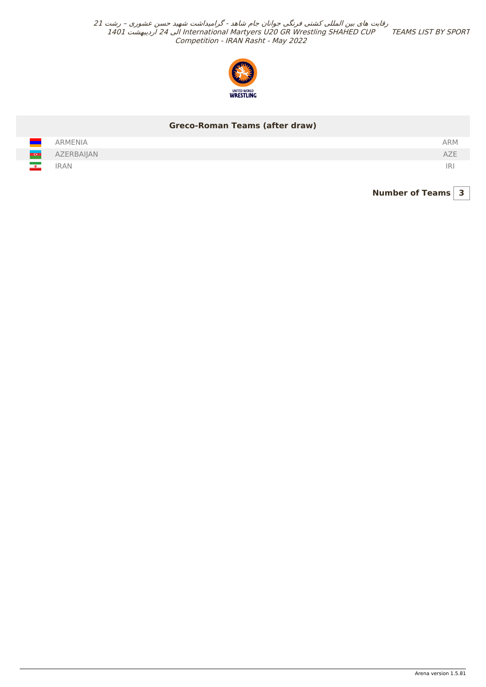

## **Greco-Roman Teams (after draw)**

<span id="page-4-0"></span>

| - 1           | <b>ARMENIA</b> | <b>ARM</b> |
|---------------|----------------|------------|
| <b>COLLE</b>  | AZERBAIJAN     | 42L        |
| $\frac{1}{2}$ | <b>IRAN</b>    | iri        |

**Number of Teams 3**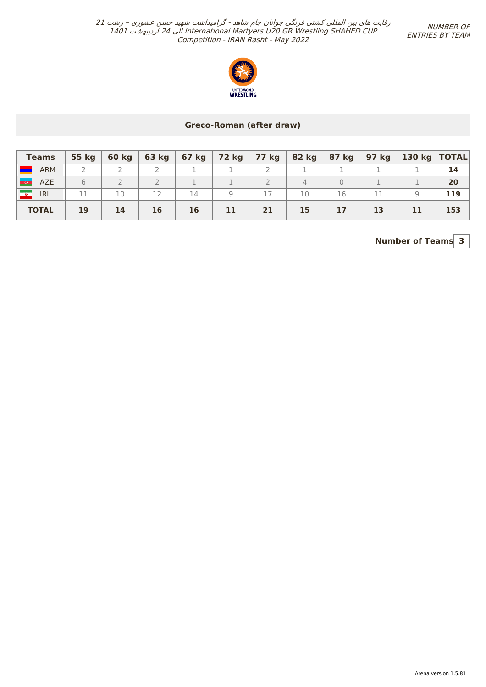NUMBER OF ENTRIES BY TEAM



## **Greco-Roman (after draw)**

<span id="page-5-0"></span>

| <b>Teams</b>              | 55 kg | 60 kg |    |    |    | │ 63 kg │ 67 kg │ 72 kg │ 77 kg │ 82 kg │ 87 kg │ |                |    |    | 97 kg   130 kg  TOTAL |     |
|---------------------------|-------|-------|----|----|----|---------------------------------------------------|----------------|----|----|-----------------------|-----|
| <b>ARM</b>                |       |       |    |    |    |                                                   |                |    |    |                       | 14  |
| <b>COM</b><br><b>AZE</b>  | 6     |       |    |    |    |                                                   | $\overline{4}$ |    |    |                       | 20  |
| <b>Line</b><br><b>IRI</b> |       | 10    |    | 14 |    |                                                   | 10             | 16 | 11 |                       | 119 |
| <b>TOTAL</b>              | 19    | 14    | 16 | 16 | 11 | 21                                                | 15             | 17 | 13 | 11                    | 153 |

# **Number of Teams 3**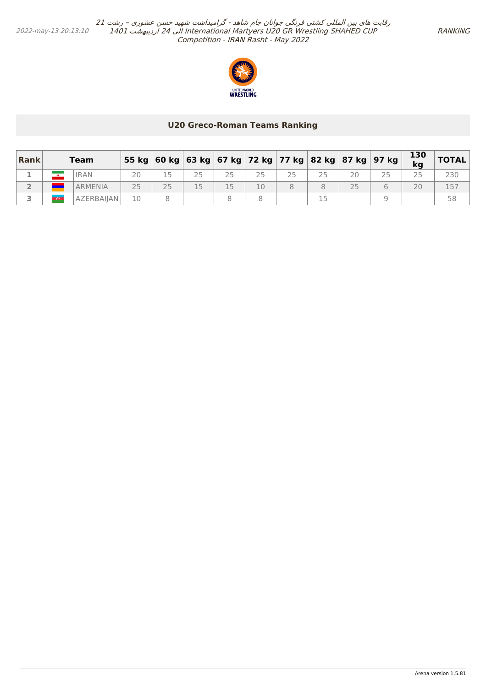

#### **U20 Greco-Roman Teams Ranking**

<span id="page-6-0"></span>

| Rank | <b>Team</b>    |    |        |    |    |    |    | 55 kg   60 kg   63 kg   67 kg   72 kg   77 kg   82 kg   87 kg   97 kg | 130<br>kg | <b>TOTAL</b> |
|------|----------------|----|--------|----|----|----|----|-----------------------------------------------------------------------|-----------|--------------|
|      | <b>IRAN</b>    | 20 |        |    |    | 25 | 20 |                                                                       |           |              |
|      | <b>ARMENIA</b> | つら | $\cap$ | 15 | 10 |    | 25 |                                                                       | 20        |              |
|      | AZERBAIJAN     |    |        |    |    |    |    |                                                                       |           |              |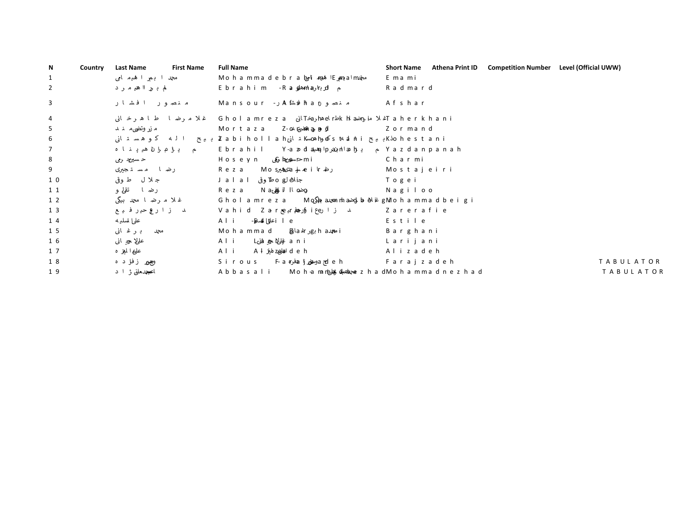<span id="page-7-0"></span>

| N | Country | <b>Last Name</b> | <b>First Name</b> | <b>Full Name</b> |                                                                 | <b>Short Name</b> | Athena Print ID | <b>Competition Number</b> | Level (Official UWW)                    |
|---|---------|------------------|-------------------|------------------|-----------------------------------------------------------------|-------------------|-----------------|---------------------------|-----------------------------------------|
|   | , 5,    |                  |                   | U                | $\sim$ $\sim$<br>$\sim$ $\pm$                                   |                   |                 |                           | 6XSHUYLVRU                              |
|   | , 5,    | $\bullet$        |                   |                  | $\cdots$ k                                                      | $\bf k$           |                 |                           | $-XU \setminus$                         |
|   | , 5,    |                  |                   | U                |                                                                 |                   |                 |                           | $+$ (\$' 2) 6 (& 5 (7\$5, \$7)          |
|   | , 5,    |                  |                   | 8                | $\cdots$ u                                                      | u                 |                 |                           | & D W H J R U \,                        |
|   | , 5,    |                  |                   |                  | $\cdots$ $\cdots$                                               |                   |                 |                           | & D W H J R U \,                        |
|   | , 5,    |                  |                   |                  | $\cdots$ $\cdots$ M                                             | M                 |                 |                           | & D W H J R U \,                        |
|   | , 5,    |                  |                   |                  | $\sim$ , $\sim$ , $\sim$ , $\sim$ , $\sim$                      | $\epsilon$        |                 |                           | & D W H J R U \,                        |
|   | , 5,    |                  |                   | $=$              | $\cdots$ $\cdots$ #                                             |                   |                 |                           | &DWHJRUV,                               |
|   | , 5,    |                  |                   | k                | $\cdot$ $\cdot$ $\cdot$ $\cdot$ $\cdot$                         |                   |                 |                           | &DWHJRUV,                               |
|   | , 5,    |                  |                   | K                | $\cdots$ $u$                                                    | u                 |                 |                           | &DWHJRUV,                               |
|   | , 5,    | $\cdot$ $\cdot$  |                   | k                | $\cdot \cdot \cdot v \cdot$<br>$\cdots$                         |                   |                 |                           | & D W H J R U \,                        |
|   | , 5,    |                  |                   | 8                | $\mathcal{F} \subset \mathcal{F}$ . The $\mathcal{F}$           |                   |                 |                           | $&DWHJRUV$ ,,,                          |
|   | , 5,    |                  |                   |                  |                                                                 |                   |                 |                           | $&DWHJRU\\,$ ,                          |
|   | , 5,    |                  |                   |                  | $\cdot$ $\cdot$ $\cdot$                                         |                   |                 |                           | $&DWHJRUV$ ,,,                          |
|   | , 5,    |                  |                   | $\mathbf{U}$     | $\cdots$                                                        |                   |                 |                           | $&DWHJRU\\,$ ,,                         |
|   | , 5,    |                  |                   |                  | $\cdot \cdot \cdot$ O $\cdot$                                   | $\Omega$          |                 |                           | $&DWHJRU\\,$ ,                          |
|   | , 5,    |                  |                   |                  | .                                                               |                   |                 |                           | $&DWHJRUV,$ ,                           |
|   | , 5,    | $\cdot$ $\cdot$  |                   | $\Omega$         | $\cdots$ 7                                                      |                   |                 |                           | $u'$ " $y$ O $^{\circ}$ $u \setminus k$ |
|   | , 5,    |                  |                   |                  | $\cdot$ $\cdot$ $\cdot$ $\cdot$ $\cdot$ $\cdot$ $\cdot$ $\cdot$ |                   |                 |                           | $u^*$ " $y$ O $u \setminus k$           |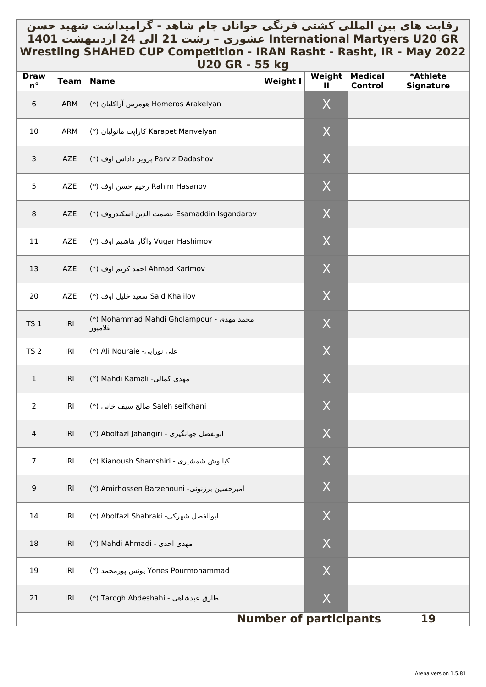# رقابت های بین المللي کشتي فرنگي جوانان جام شاهد - گرامیداشت شهید حسن \_ **GR 20U Martyers International عشوری – رشت 21 الی 24 اردیبهشت 1401 Wrestling SHAHED CUP Competition - IRAN Rasht - Rasht, IR - May 2022 U20 GR - 55 kg**

| <b>Draw</b><br>$n^{\circ}$ | <b>Team</b> | עם ככ - חט טבט<br><b>Name</b>                        | <b>Weight I</b>               | Weight<br>Ш  | <b>Medical</b><br><b>Control</b> | *Athlete<br><b>Signature</b> |
|----------------------------|-------------|------------------------------------------------------|-------------------------------|--------------|----------------------------------|------------------------------|
| 6                          | ARM         | Homeros Arakelyan هومرس آراكليان (*)                 |                               | X            |                                  |                              |
| 10                         | ARM         | Karapet Manvelyan كاراپت مانوليان (*)                |                               | X            |                                  |                              |
| $\mathbf{3}$               | AZE         | Parviz Dadashov پرویز داداش اوف (*)                  |                               | X            |                                  |                              |
| 5                          | AZE         | Rahim Hasanov رحيم حسن اوف (*)                       |                               | X            |                                  |                              |
| 8                          | AZE         | Esamaddin Isgandarov عصمت الدين اسكندروف (*)         |                               | X            |                                  |                              |
| 11                         | AZE         | Vugar Hashimov واگار هاشیم اوف (*)                   |                               | X            |                                  |                              |
| 13                         | AZE         | Ahmad Karimov احمد كريم اوف (*)                      |                               | X            |                                  |                              |
| 20                         | AZE         | Said Khalilov سعيد خليل اوف (*)                      |                               | X            |                                  |                              |
| <b>TS 1</b>                | IRI         | (*) Mohammad Mahdi Gholampour - محمد مهدى<br>غلامپور |                               | X            |                                  |                              |
| TS <sub>2</sub>            | IRI         | (*) Ali Nouraie -على نورايي                          |                               | X            |                                  |                              |
| $\mathbf{1}$               | IRI         | (*) Mahdi Kamali -مهدى كمالي                         |                               | X            |                                  |                              |
| $\overline{2}$             | IRI         | Saleh seifkhani صالح سيف خاني (*)                    |                               | X            |                                  |                              |
| 4                          | IRI         | ابولفضل جهانگیری - Abolfazl Jahangiri (*)            |                               | $\mathsf X$  |                                  |                              |
| $\overline{7}$             | IRI         | X) Kianoush Shamshiri - كيانوش شمشيرى (*)            |                               | $\mathsf{X}$ |                                  |                              |
| $\overline{9}$             | IRI         | (*) Amirhossen Barzenouni (*)                        |                               | X            |                                  |                              |
| 14                         | IRI         | *) Abolfazl Shahraki -سوالفضل شهركي                  |                               | X            |                                  |                              |
| 18                         | IRI         | (*) Mahdi Ahmadi - مهدى احدى                         |                               | X            |                                  |                              |
| 19                         | IRI         | Yones Pourmohammad یونس پورمحمد (*)                  |                               | X            |                                  |                              |
| 21                         | IRI         | طارق عبدشاهي - Tarogh Abdeshahi (*)                  |                               | X            |                                  |                              |
|                            |             |                                                      | <b>Number of participants</b> |              |                                  | 19                           |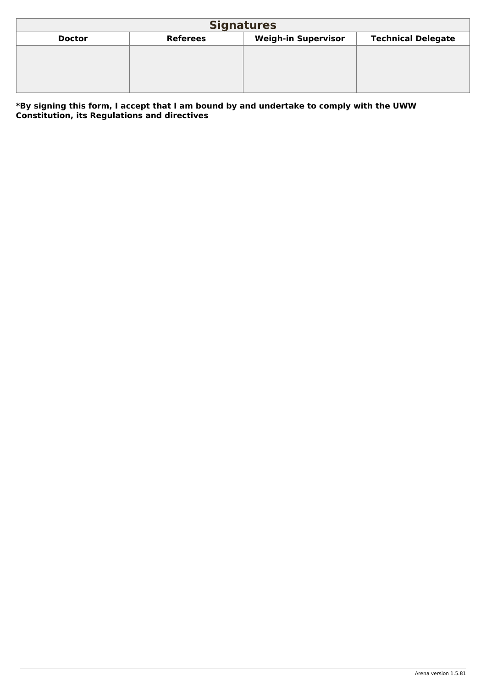<span id="page-9-0"></span>

| <b>Signatures</b>                                                                           |  |  |  |  |  |  |  |  |
|---------------------------------------------------------------------------------------------|--|--|--|--|--|--|--|--|
| <b>Weigh-in Supervisor</b><br><b>Technical Delegate</b><br><b>Referees</b><br><b>Doctor</b> |  |  |  |  |  |  |  |  |
|                                                                                             |  |  |  |  |  |  |  |  |
|                                                                                             |  |  |  |  |  |  |  |  |
|                                                                                             |  |  |  |  |  |  |  |  |
|                                                                                             |  |  |  |  |  |  |  |  |

**\*By signing this form, I accept that I am bound by and undertake to comply with the UWW Constitution, its Regulations and directives**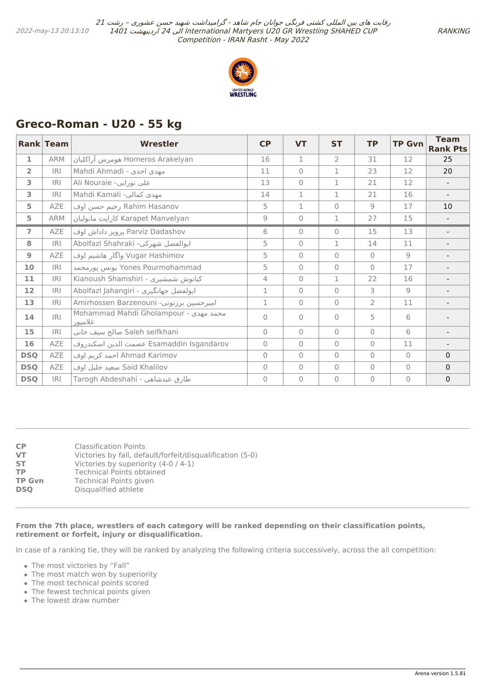

# <span id="page-10-0"></span>**Greco-Roman - U20 - 55 kg**

|                | <b>Rank Team</b> | <b>Wrestler</b>                                  | CP             | <b>VT</b>      | <b>ST</b>      | <b>TP</b>      | <b>TP Gvn</b>  | <b>Team</b><br><b>Rank Pts</b> |
|----------------|------------------|--------------------------------------------------|----------------|----------------|----------------|----------------|----------------|--------------------------------|
| $\mathbf{1}$   | <b>ARM</b>       | Homeros Arakelyan هومرس آراكليان                 | 16             | $\mathbf{1}$   | $\overline{2}$ | 31             | 12             | 25                             |
| $\overline{2}$ | IRI              | Mahdi Ahmadi - مهدي احدى                         | 11             | $\bigcap$      | $\mathbf{1}$   | 23             | 12             | 20                             |
| 3              | <b>IRI</b>       | Ali Nouraie -على نورايي                          | 13             | $\Omega$       | 1              | 21             | 12             |                                |
| 3              | IRI              | Mahdi Kamali -مهدى كمالي                         | 14             | $\mathbf{1}$   | $\mathbf 1$    | 21             | 16             |                                |
| 5              | <b>AZE</b>       | Rahim Hasanov رحيم حسن اوف                       | 5              | $\mathbf{1}$   | $\Omega$       | 9              | 17             | 10                             |
| 5              | <b>ARM</b>       | Karapet Manvelyan كارايت مانوليان                | $\mathcal{G}$  | $\mathbf{0}$   | 1              | 27             | 15             |                                |
| $\overline{7}$ | <b>AZE</b>       | Parviz Dadashov يرويز داداش اوف                  | 6              | $\mathbf{0}$   | $\Omega$       | 15             | 13             |                                |
| 8              | <b>IRI</b>       | Abolfazl Shahraki -ابوالفضل شهركي                | 5              | $\bigcap$      | 1              | 14             | 11             |                                |
| $\overline{9}$ | AZE              | Vugar Hashimov واگار هاشیم اوف                   | 5              | $\bigcap$      | $\Omega$       | $\Omega$       | $\overline{9}$ |                                |
| 10             | IRI              | Yones Pourmohammad يونس پورمحمد                  | 5              | $\bigcap$      | $\Omega$       | $\Omega$       | 17             |                                |
| 11             | <b>IRI</b>       | Kianoush Shamshiri - كيانوش شمشيرى               | 4              | $\mathbf{0}$   | $\mathbf{1}$   | 22             | 16             |                                |
| 12             | IRI              | Abolfazl Jahangiri - ابولفضل جهانگيري            | $\mathbf{1}$   | $\bigcap$      | $\Omega$       | 3              | $\overline{9}$ | $\overline{\phantom{a}}$       |
| 13             | IRI              | Amirhossen Barzenouni -امیرحسین برزنونی          | $\mathbf{1}$   | $\overline{0}$ | $\Omega$       | $\overline{2}$ | 11             |                                |
| 14             | R                | Mohammad Mahdi Gholampour - محمد مهدى<br>غلاميور | $\Omega$       | $\bigcap$      | $\Omega$       | 5              | 6              |                                |
| 15             | IRI              | Saleh seifkhani صالح سيف خاني                    | $\overline{0}$ | $\bigcap$      | $\Omega$       | $\Omega$       | 6              |                                |
| 16             | AZE              | Esamaddin Isgandarov عصمت الدين اسكندروف         | $\circ$        | $\bigcap$      | $\Omega$       | $\Omega$       | 11             | $\overline{\phantom{a}}$       |
| <b>DSQ</b>     | AZE              | Ahmad Karimov احمد كريم اوف                      | $\Omega$       | $\Omega$       | $\Omega$       | $\Omega$       | $\Omega$       | $\mathbf{0}$                   |
| <b>DSQ</b>     | AZE              | Said Khalilov سعيد خليل اوف                      | $\overline{0}$ | $\bigcap$      | $\Omega$       | $\Omega$       | $\bigcap$      | $\Omega$                       |
| <b>DSQ</b>     | IRI              | طارق عبدشاهي - Tarogh Abdeshahi                  | $\Omega$       | $\bigcap$      | $\Omega$       | $\overline{0}$ | $\bigcap$      | $\mathbf 0$                    |

| <b>CP</b>     | Classification Points                                     |
|---------------|-----------------------------------------------------------|
| <b>VT</b>     | Victories by fall, default/forfeit/disqualification (5-0) |
| <b>ST</b>     | Victories by superiority (4-0 / 4-1)                      |
| <b>TP</b>     | <b>Technical Points obtained</b>                          |
| <b>TP Gvn</b> | Technical Points given                                    |
| <b>DSO</b>    | Disqualified athlete                                      |

#### **From the 7th place, wrestlers of each category will be ranked depending on their classification points, retirement or forfeit, injury or disqualification.**

In case of a ranking tie, they will be ranked by analyzing the following criteria successively, across the all competition:

- The most victories by "Fall"
- The most match won by superiority
- The most technical points scored
- The fewest technical points given
- The lowest draw number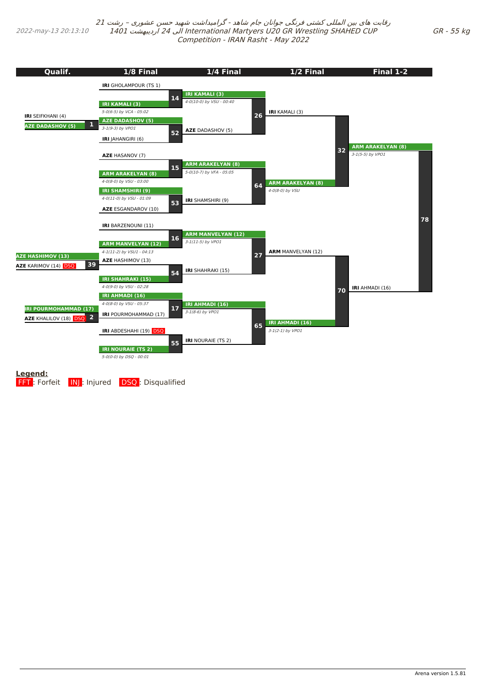2022-may-13 20:13:10

رقابت های بین المللی کشتی فرنگی جوانان جام شاهد - گرامیداشت شهید حسن عشوری – رشت <sup>21</sup> 1401 اردیبهشت 24 الی International Martyers U20 GR Wrestling SHAHED CUP Competition - IRAN Rasht - May 2022

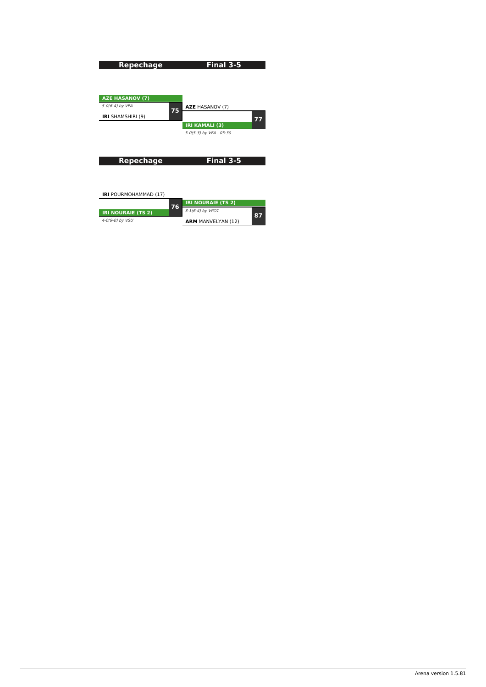<span id="page-12-0"></span>

| <b>Repechage</b>             | Final 3-5                       |
|------------------------------|---------------------------------|
|                              |                                 |
|                              |                                 |
|                              |                                 |
| <b>AZE HASANOV (7)</b>       |                                 |
| 5-0(6-4) by VFA              | <b>AZE</b> HASANOV (7)<br>75    |
| <b>IRI</b> SHAMSHIRI (9)     | 77                              |
|                              | <b>IRI KAMALI (3)</b>           |
|                              | 5-0(5-3) by VFA - 05:30         |
|                              |                                 |
|                              |                                 |
|                              |                                 |
| <b>Repechage</b>             | Final 3-5                       |
|                              |                                 |
|                              |                                 |
|                              |                                 |
| <b>IRI</b> POURMOHAMMAD (17) |                                 |
|                              |                                 |
|                              | <b>IRI NOURAIE (TS 2)</b><br>76 |
| <b>IRI NOURAIE (TS 2)</b>    | 3-1(6-4) by VPO1<br>87          |
| 4-0(9-0) by VSU              | <b>ARM MANVELYAN (12)</b>       |

**ARM** MANVELYAN (12)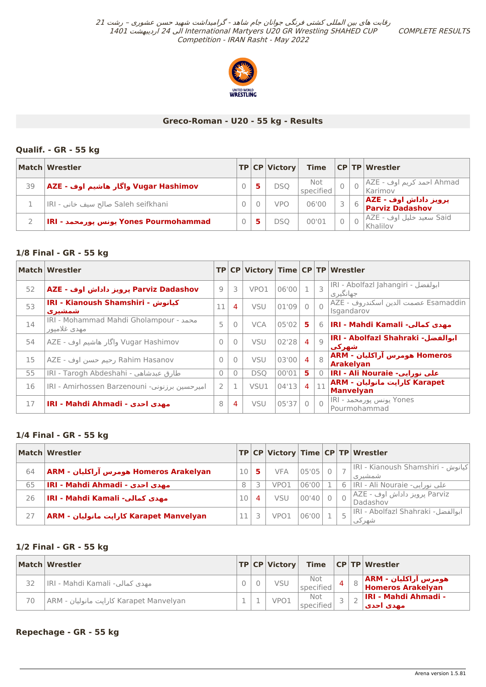COMPLETE RESULTS



## **Greco-Roman - U20 - 55 kg - Results**

## **Qualif. - GR - 55 kg**

|    | Match Wrestler                        |  | TP CP Victory | <b>Time</b>      |   | $ CP TP $ Wrestler                        |
|----|---------------------------------------|--|---------------|------------------|---|-------------------------------------------|
| 39 | Vugar Hashimov واگار هاشیم اوف - AZE  |  | DSO I         | Not<br>specified |   | Ahmad احمد کريم اوف - AZE<br>Karimov      |
|    | IRI - صالح سيف خاني - Saleh seifkhani |  | <b>VPO</b>    | 06'00            | 6 | AZE - پرویز داداش اوف<br> Parviz Dadashov |
|    | اRI - یونس پورمحمد Yones Pourmohammad |  | DSO           | 00'01            |   | Said سعيد خليل اوف - AZE<br>Khalilov      |

## **1/8 Final - GR - 55 kg**

|    | Match   Wrestler                                       |               |                |            |       |                |                         | TP CP Victory Time CP TP Wrestler                 |
|----|--------------------------------------------------------|---------------|----------------|------------|-------|----------------|-------------------------|---------------------------------------------------|
| 52 | Parviz Dadashov پرویز داداش اوف - AZE                  | 9             | 3              | VPO1       | 06'00 |                | $\overline{\mathbf{3}}$ | IRI - Abolfazl Jahangiri - ابولفضل<br>جهانگیر ی   |
| 53 | IRI - Kianoush Shamshiri - كيانوش<br>شمشتر ی           | 11            | 4              | <b>VSU</b> | 01'09 | $\Omega$       | $\bigcap$               | Esamaddin عصمت الدين اسكندروف - AZE<br>Isgandarov |
| 14 | IRI - Mohammad Mahdi Gholampour - محمد<br>مهدي غلاميور | 5             | $\bigcap$      | <b>VCA</b> | 05'02 | 5.             |                         | 6 <b> IRI - Mahdi Kamali -مهدي كمالي</b>          |
| 54 | Vugar Hashimov واگار هاشیم اوف - AZE                   | $\Omega$      | $\overline{0}$ | <b>VSU</b> | 02'28 | $\overline{4}$ | Q                       | IRI - Abolfazl Shahraki -ابوالغضل<br>شهرکت        |
| 15 | Rahim Hasanov رحيم حسن اوف - AZE                       | $\Omega$      | $\bigcap$      | <b>VSU</b> | 03'00 | $\overline{4}$ | 8                       | Homeros هومرس آراكليان - ARM<br><b>Arakelyan</b>  |
| 55 | IRI - Tarogh Abdeshahi - طارق عبدشاهي                  | $\Omega$      | $\mathbf{0}$   | <b>DSO</b> | 00'01 | 5.             | $\overline{0}$          | IRI - Ali Nouraie - علي نورايي                    |
| 16 | IRI - Amirhossen Barzenouni - امیرحسین برزنونی         | $\mathcal{P}$ | $\mathbf{1}$   | VSU1       | 04'13 | 4 <sup>1</sup> | 11                      | Karapet كارايت مانوليان - ARM<br><b>Manvelyan</b> |
| 17 | <b>IRI - Mahdi Ahmadi - مهدى احدى</b>                  | 8             | $\overline{4}$ | <b>VSU</b> | 05'37 | $\Omega$       | $\Omega$                | Yones یونس پورمحمد - IRI<br>Pourmohammad          |

## **1/4 Final - GR - 55 kg**

|    | Match Wrestler                          |    |   |            |       |  | TP CP Victory Time CP TP Wrestler              |
|----|-----------------------------------------|----|---|------------|-------|--|------------------------------------------------|
| 64 | ARM - هومرس آراكليان - ARM              | 10 | 5 | <b>VFA</b> | 05'05 |  | كيانوش - IRI - Kianoush Shamshiri  <br>شمشیر ی |
| 65 | IRI - Mahdi Ahmadi - مهدي أحدى          | 8  |   | VPO1       | 06'00 |  | على نورايي- IRI - Ali Nouraie ا                |
| 26 | IRI - Mahdi Kamali -مهدي كمالي          | 10 | 4 | VSU        | 00'40 |  | _Parviz پرویز داداش اوف - AZE <br>Dadashov     |
| 27 | Karapet Manvelyan كارايت مانوليان - ARM |    |   | VPO1       | 06'00 |  | IRI - Abolfazl Shahraki -ابوالفضل<br>شهر کی    |

## **1/2 Final - GR - 55 kg**

|    | Match Wrestler                          |  | TP CP Victory    |                         |   | Time $ CP TP Wrestler$                                  |
|----|-----------------------------------------|--|------------------|-------------------------|---|---------------------------------------------------------|
| 32 | IRI - Mahdi Kamali -مهدي كمالي          |  | VSU              | <b>Not</b><br>specified | 4 | $\mid 8 \mid$ ARM - هومرس آراکلیان<br>Homeros Arakelyan |
| 70 | ARM - کارایت مانولیان Karapet Manvelyan |  | VPO <sub>1</sub> | Not<br>specified        |   | <b>IRI - Mahdi Ahmadi -</b><br>امهدي احدي               |

## **Repechage - GR - 55 kg**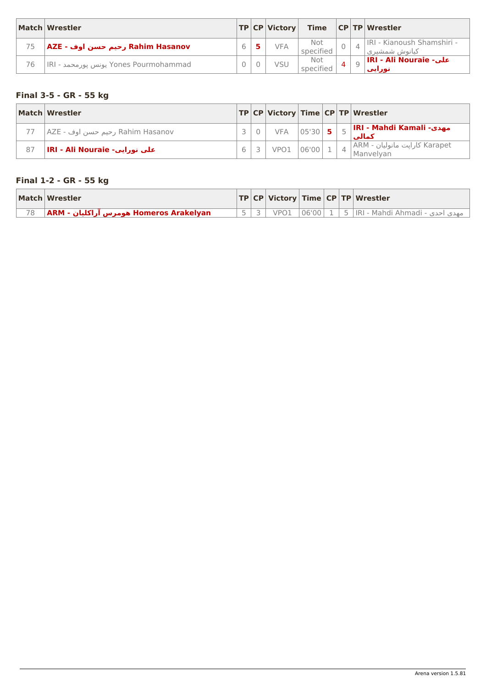<span id="page-14-0"></span>

|    | Match Wrestler                        |  | TP CP Victory |                  |  | Time $ CP TP $ Wrestler                       |
|----|---------------------------------------|--|---------------|------------------|--|-----------------------------------------------|
| 75 | AZE - رحيم حسن اوف - AZE              |  | <b>VFA</b>    | Not<br>specified |  | IRI - Kianoush Shamshiri -<br>کیانویژر شمشیری |
| 76 | IRI - یونس پورمحمد Yones Pourmohammad |  | VSU           | Not<br>specified |  | IRI - Ali Nouraie -على<br>نورايي              |

# **Final 3-5 - GR - 55 kg**

|    | Match Wrestler                   |  |                  |             |  | TP CP Victory Time CP TP Wrestler                                |
|----|----------------------------------|--|------------------|-------------|--|------------------------------------------------------------------|
|    | Rahim Hasanov رحيم حسن اوف - AZE |  | <b>VFA</b>       | $ 05'30 $ 5 |  | $\frac{1}{\pi}$  IRI - Mahdi Ka <mark>mali -مهدی</mark><br>كمالي |
| 87 | IRI - Ali Nouraie -علي نورايي    |  | VPO <sub>1</sub> | 06'00       |  | Karapet كاراپت مانوليان - ARM <br>Manvelvan                      |

# **Final 1-2 - GR - 55 kg**

|    | Match Wrestler                          |  |      |  | $ TP CP $ Victory   Time $ CP TP $ Wrestler      |
|----|-----------------------------------------|--|------|--|--------------------------------------------------|
| 78 | Momeros Arakelyan هومرس آراكليان - ARM∣ |  | VPO1 |  | 106'00   1   5  IRI - Mahdi Ahmadi - مهدي احدى - |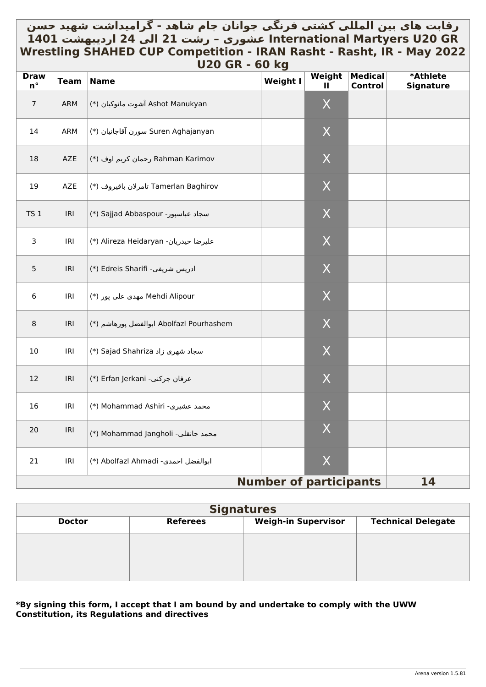# <span id="page-15-0"></span>رقابت های بین المللي کشتي فرنگي جوانان جام شاهد - گرامیداشت شهید حسن \_ **GR 20U Martyers International عشوری – رشت 21 الی 24 اردیبهشت 1401 Wrestling SHAHED CUP Competition - IRAN Rasht - Rasht, IR - May 2022 U20 GR - 60 kg**

| <b>Draw</b><br>$n^{\circ}$ | <b>Team</b> | <b>Name</b>                              | פיי פט<br>Weight I            | Weight<br>Ш      | <b>Medical</b><br><b>Control</b> | *Athlete<br><b>Signature</b> |
|----------------------------|-------------|------------------------------------------|-------------------------------|------------------|----------------------------------|------------------------------|
| $\overline{7}$             | ARM         | Ashot Manukyan آشوت مانوكيان (*)         |                               | $\mathsf{X}$     |                                  |                              |
| 14                         | ARM         | (*) سورن آقاجانيان (*) Suren Aghajanyan  |                               | X                |                                  |                              |
| 18                         | AZE         | Rahman Karimov رحمان كريم اوف (*)        |                               | X                |                                  |                              |
| 19                         | AZE         | Tamerlan Baghirov تامرلان باقيروف (*)    |                               | X                |                                  |                              |
| TS <sub>1</sub>            | IRI         | (*) Sajjad Abbaspour سجاد عباسپور-       |                               | X                |                                  |                              |
| 3                          | IRI         | (*) Alireza Heidaryan (*)                |                               | $\sf X$          |                                  |                              |
| 5                          | IRI         | (*) Edreis Sharifi -ادریس شریفی          |                               | X                |                                  |                              |
| $\sqrt{6}$                 | IRI         | Mehdi Alipour مهدی علی پور (*)           |                               | X                |                                  |                              |
| $\bf 8$                    | IRI         | Abolfazl Pourhashem ابوالفضل پورهاشم (*) |                               | $\sf X$          |                                  |                              |
| 10                         | IRI         | (*) Sajad Shahriza (*)                   |                               | $\sf X$          |                                  |                              |
| 12                         | IRI         | (*) Erfan Jerkani - عرفان جركني          |                               | $\mathsf{X}$     |                                  |                              |
| 16                         | IRI         | (*) Mohammad Ashiri -محمد عشيري          |                               | $\mathsf{X}$     |                                  |                              |
| 20                         | IRI         | (*) Mohammad Jangholi -محمد جانقلي       |                               | X                |                                  |                              |
| 21                         | IRI         | (*) Abolfazl Ahmadi -ابوالفضل احمدی      |                               | $\boldsymbol{X}$ |                                  |                              |
|                            |             |                                          | <b>Number of participants</b> |                  |                                  | 14                           |

| <b>Signatures</b> |                 |                            |                           |  |  |  |  |  |  |  |
|-------------------|-----------------|----------------------------|---------------------------|--|--|--|--|--|--|--|
| <b>Doctor</b>     | <b>Referees</b> | <b>Weigh-in Supervisor</b> | <b>Technical Delegate</b> |  |  |  |  |  |  |  |
|                   |                 |                            |                           |  |  |  |  |  |  |  |
|                   |                 |                            |                           |  |  |  |  |  |  |  |
|                   |                 |                            |                           |  |  |  |  |  |  |  |

## **\*By signing this form, I accept that I am bound by and undertake to comply with the UWW Constitution, its Regulations and directives**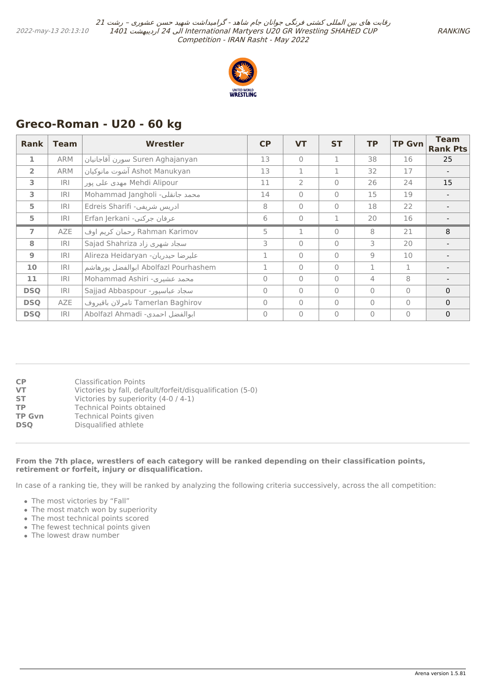

# <span id="page-16-0"></span>**Greco-Roman - U20 - 60 kg**

| <b>Rank</b>    | <b>Team</b> | <b>Wrestler</b>                      | <b>CP</b>      | <b>VT</b>      | <b>ST</b>    | <b>TP</b>    | <b>TP Gvn</b>  | <b>Team</b><br><b>Rank Pts</b> |
|----------------|-------------|--------------------------------------|----------------|----------------|--------------|--------------|----------------|--------------------------------|
| 1              | <b>ARM</b>  | سورن آقاجانيان Suren Aghajanyan      | 13             | $\Omega$       |              | 38           | 16             | 25                             |
| $\overline{2}$ | <b>ARM</b>  | Ashot Manukyan آشوت مانوكيان         | 13             | $\mathbf{1}$   | 1            | 32           | 17             |                                |
| 3              | IRI         | Mehdi Alipour مهدي على يور           | 11             | $\overline{2}$ | $\Omega$     | 26           | 24             | 15                             |
| 3              | IRI         | Mohammad Jangholi -محمد جانقلي       | 14             | $\bigcap$      | $\Omega$     | 15           | 19             |                                |
| 5              | <b>IRI</b>  | ادریس شریفی- Edreis Sharifi          | 8              | $\overline{0}$ | $\Omega$     | 18           | 22             |                                |
| 5              | IRI         | عرفان جركني- Erfan Jerkani           | 6              | $\overline{0}$ |              | 20           | 16             |                                |
| $\overline{7}$ | <b>AZE</b>  | Rahman Karimov رحمان كريم اوف        | 5              | 1              | $\Omega$     | 8            | 21             | 8                              |
| 8              | IRI         | Sajad Shahriza سجاد شهری زاد         | 3              | $\overline{0}$ | $\Omega$     | 3            | 20             |                                |
| 9              | <b>IRI</b>  | Alireza Heidaryan - عليرضا حيدريان   | 1              | $\bigcap$      | $\Omega$     | 9            | 10             |                                |
| 10             | <b>IRI</b>  | Abolfazl Pourhashem ابوالفضل يورهاشم | $\mathbf{1}$   | $\overline{0}$ | $\Omega$     | $\mathbf{1}$ | 1              |                                |
| 11             | IRI         | Mohammad Ashiri -محمد عشیری          | $\Omega$       | $\overline{0}$ | $\mathbf{0}$ | 4            | 8              |                                |
| <b>DSQ</b>     | IRI         | Sajjad Abbaspour -سجاد عباسيور       | $\Omega$       | $\bigcap$      | $\Omega$     | $\Omega$     | $\bigcap$      | $\mathbf{0}$                   |
| <b>DSQ</b>     | AZE         | Tamerlan Baghirov تامر لان باقيروف   | $\mathbf{0}$   | $\overline{0}$ | $\Omega$     | $\Omega$     | $\overline{0}$ | $\mathbf{0}$                   |
| <b>DSQ</b>     | IRI         | Abolfazl Ahmadi -ابوالفضل احمدی      | $\overline{0}$ | $\overline{0}$ | $\Omega$     | $\Omega$     | $\mathbf{0}$   | $\mathbf{0}$                   |

| <b>CP</b>     | Classification Points                                     |
|---------------|-----------------------------------------------------------|
| <b>VT</b>     | Victories by fall, default/forfeit/disqualification (5-0) |
| <b>ST</b>     | Victories by superiority (4-0 / 4-1)                      |
| <b>TP</b>     | <b>Technical Points obtained</b>                          |
| <b>TP Gvn</b> | Technical Points given                                    |
| <b>DSO</b>    | Disqualified athlete                                      |

### **From the 7th place, wrestlers of each category will be ranked depending on their classification points, retirement or forfeit, injury or disqualification.**

In case of a ranking tie, they will be ranked by analyzing the following criteria successively, across the all competition:

- The most victories by "Fall"
- The most match won by superiority
- The most technical points scored
- The fewest technical points given
- The lowest draw number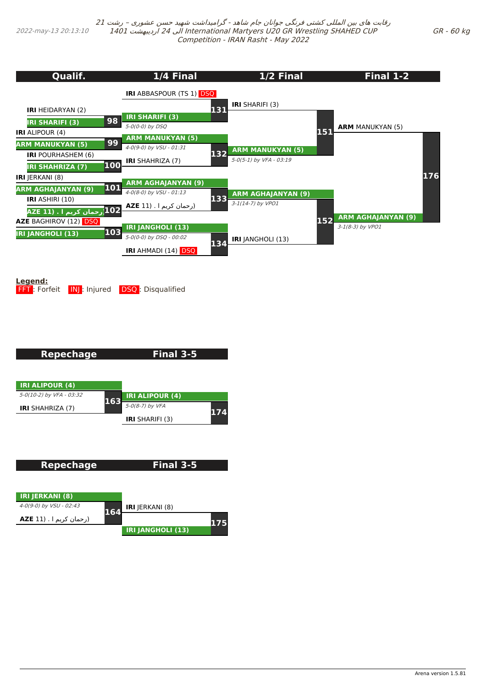<span id="page-17-0"></span>**134 Qualif. IRI** HEIDARYAN (2) **IRI SHARIFI (3) 98 IRI** ALIPOUR (4) **ARM MANUKYAN (5) 99 IRI** POURHASHEM (6) **IRI SHAHRIZA (7) 100 IRI** JERKANI (8) **ARM AGHAJANYAN (9) 101 IRI** ASHIRI (10) **102(رحمان کریم ا . (11 AZE AZE** BAGHIROV (12) DSQ **IRI JANGHOLI (13) 103 1/4 Final IRI** ABBASPOUR (TS 1) DSQ **IRI SHARIFI (3)** 5-0(0-0) by DSQ **131 ARM MANUKYAN (5)** 4-0(9-0) by VSU - 01:31 **IRI** SHAHRIZA (7) **132 ARM AGHAJANYAN (9)** 4-0(8-0) by VSU - 01:13 (رحمان کریم ا . (11 **AZE 133 IRI JANGHOLI (13)** 5-0(0-0) by DSQ - 00:02 **IRI** AHMADI (14) DSQ **1/2 Final IRI** SHARIFI (3) **ARM MANUKYAN (5)** 5-0(5-1) by VFA - 03:19 **151 ARM AGHAJANYAN (9)** 3-1(14-7) by VPO1 **IRI** JANGHOLI (13) **152 Final 1-2 ARM** MANUKYAN (5) **ARM AGHAJANYAN (9)** 3-1(8-3) by VPO1 **176**

**Legend:**

**FFT**: Forfeit **INJ**: Injured **DSQ**: Disqualified

**Repechage**

**Final 3-5**



| <b>Repechage</b>        |     | Final 3-5              |  |
|-------------------------|-----|------------------------|--|
| <b>IRI JERKANI (8)</b>  |     |                        |  |
| 4-0(9-0) by VSU - 02:43 | 164 | <b>IRI</b> JERKANI (8) |  |
| (رحمان کريم ا . (AZE 11 |     |                        |  |

|                          | 175 |
|--------------------------|-----|
| <b>IRI JANGHOLI (13)</b> |     |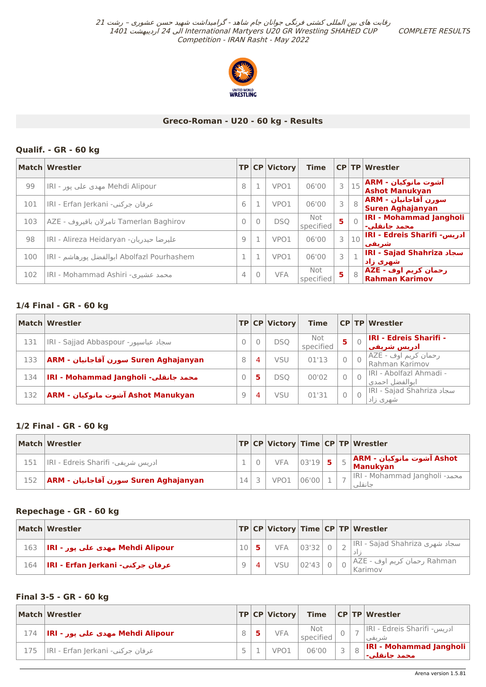COMPLETE RESULTS



## **Greco-Roman - U20 - 60 kg - Results**

## **Qualif. - GR - 60 kg**

|     | Match Wrestler                             |          |          | TP CP Victory | <b>Time</b>      |   |           | CP TP Wrestler                                         |
|-----|--------------------------------------------|----------|----------|---------------|------------------|---|-----------|--------------------------------------------------------|
| 99  | Mehdi Alipour مهدی علي یور - IRI           | 8        |          | VPO1          | 06'00            |   | 15        | آشوت مانوکیان - ARM<br>Ashot Manukyan                  |
| 101 | عرفان جركني- IRI - Erfan Jerkani           | 6        |          | VPO1          | 06'00            | 3 | 8         | سورن آقاجانيان - ARM <br>Suren Aghajanyan              |
| 103 | Tamerlan Baghirov تامرلان باقيروف - AZE    | $\Omega$ | $\Omega$ | <b>DSQ</b>    | Not<br>specified | 5 | $\bigcap$ | <b>IRI - Mohammad Jangholi</b><br>محمد حانقلي-         |
| 98  | عليرضا حيدريان- IRI - Alireza Heidaryan    | 9        |          | VPO1          | 06'00            | 3 |           | $\mid_{10}\mid$ IRI - Edreis Sharifi -ادریس<br>اشر بغی |
| 100 | Abolfazl Pourhashem ابوالفضل يورهاشم - IRI |          |          | VPO1          | 06'00            | 3 |           | <b>IRI - Sajad Shahriza سجاد</b><br>_شهر <u>ی</u> زاد∣ |
| 102 | محمد عشیری- IRI - Mohammad Ashiri          | 4        | $\Omega$ | <b>VFA</b>    | Not<br>specified | 5 | 8         | AZE - رحمان کریم اوف<br> Rahman Karimov                |

## **1/4 Final - GR - 60 kg**

|     | Match Wrestler                       |   |   | TP CP Victory | <b>Time</b>      |                | <b>CP TP Wrestler</b>                          |
|-----|--------------------------------------|---|---|---------------|------------------|----------------|------------------------------------------------|
| 131 | سجاد عباسیور- IRI - Sajjad Abbaspour |   |   | <b>DSO</b>    | Not<br>specified | 5              | <b>IRI - Edreis Sharifi -</b><br>ادریس شریفت ِ |
| 133 | ARM - سورن آقاجانیان - ARM           | 8 | 4 | VSU           | 01'13            | $\circ$        | رحمان کریم اوف - AZE<br>  Rahman Karimov       |
| 134 | IRI - Mohammad Jangholi -محمد جانقلي |   | 5 | DSO           | 00'02            | $\overline{0}$ | IRI - Abolfazl Ahmadi -<br>ابوالفضل احمدي      |
| 132 | Ashot Manukyan آشوت مانوكيان - ARM   | 9 | 4 | VSU           | 01'31            | $\overline{0}$ | MI - Sajad Shahriza سجاد<br>شهری زاد           |

## **1/2 Final - GR - 60 kg**

|     | <b>Match Wrestler</b>             |    |               |  | TP CP Victory Time CP TP Wrestler         |
|-----|-----------------------------------|----|---------------|--|-------------------------------------------|
| 151 | ادریس شریفي- IRI - Edreis Sharifi |    | $VFA$ 03'19 5 |  | َ Ashot آشوت مانوکیان - ARM∣<br>Manukyan  |
| 152 | ARM - سورن آقاجانیان (ARM - ARM   | 14 | VPO1 06'00    |  | IRI - Mohammad Jangholi -محمد<br>حانقلہ ، |

## **Repechage - GR - 60 kg**

|     | Match Wrestler                      |  |     |         |  | TP   CP   Victory   Time   CP   TP   Wrestler |
|-----|-------------------------------------|--|-----|---------|--|-----------------------------------------------|
| 163 | Mehdi Alipour مهدي علي يور - IRI    |  |     |         |  |                                               |
| 164 | ∣ عرفان جرکني- IRI - Erfan Jerkani∣ |  | VSU | 02'43 0 |  | Rahman رحمان كريم اوف - AZE <br>  Karimov     |

## **Final 3-5 - GR - 60 kg**

|     | Match Wrestler                   |  | TP CP Victory    |                  |  | Time $ CP TP Wrestler$                             |
|-----|----------------------------------|--|------------------|------------------|--|----------------------------------------------------|
| 174 | Mehdi Alipour مهدي علي يور - IRI |  | <b>VFA</b>       | Not<br>specified |  | ادریس- IRI - Edreis Sharifi <del>-</del><br>شر یعی |
| 175 | عرفان جرکني- IRI - Erfan Jerkani |  | VPO <sub>1</sub> | 06'00            |  | <b>IRI - Mohammad Jangholi</b><br>  محمد جانقلي-⊫  |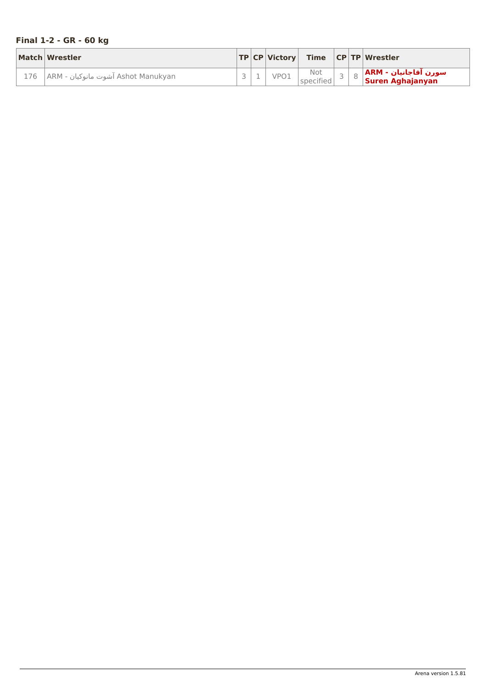# <span id="page-19-0"></span>**Final 1-2 - GR - 60 kg**

| Match Wrestler                         |  |      |                  |  | $ TP CP Victory $ Time $ CP TP Wrestler $ |
|----------------------------------------|--|------|------------------|--|-------------------------------------------|
| ـ Ashot Manukyan آشوت مانوكيان - ARM ا |  | VPO1 | Not<br>specified |  | سورن آقاجانیان - ARM<br>Suren Aghajanyan  |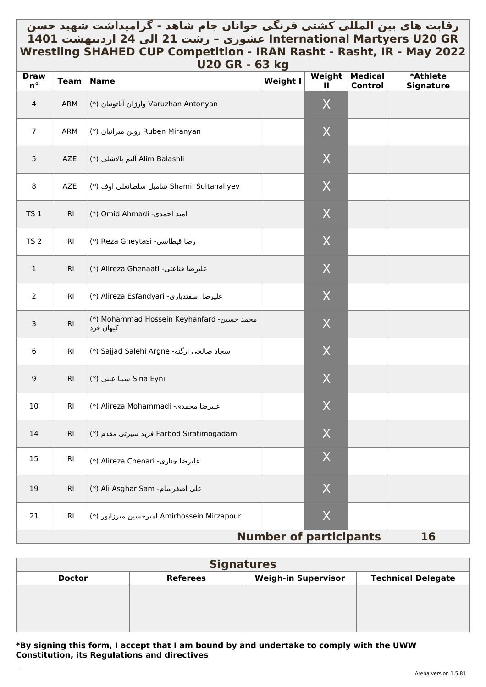# <span id="page-20-0"></span>رقابت های بین المللي کشتي فرنگي جوانان جام شاهد - گرامیداشت شهید حسن \_ **GR 20U Martyers International عشوری – رشت 21 الی 24 اردیبهشت 1401 Wrestling SHAHED CUP Competition - IRAN Rasht - Rasht, IR - May 2022 U20 GR - 63 kg**

| <b>Draw</b><br>$n^{\circ}$ | <b>Team</b> | <b>Name</b>                                             | פיי כט<br><b>Weight I</b>     | Weight<br>Ш | <b>Medical</b><br><b>Control</b> | *Athlete<br><b>Signature</b> |
|----------------------------|-------------|---------------------------------------------------------|-------------------------------|-------------|----------------------------------|------------------------------|
| $\overline{4}$             | ARM         | Varuzhan Antonyan وارژان آناتونیان (*)                  |                               | X           |                                  |                              |
| $\overline{7}$             | ARM         | (*) روبن ميرانيان (*)                                   |                               | X           |                                  |                              |
| $\overline{5}$             | AZE         | Alim Balashli آليم بالاشلي (*)                          |                               | X           |                                  |                              |
| 8                          | AZE         | Shamil Sultanaliyev شاميل سلطانعلى اوف (*)              |                               | X           |                                  |                              |
| TS <sub>1</sub>            | IRI         | (*) Omid Ahmadi -اميد احمدى)                            |                               | X           |                                  |                              |
| TS <sub>2</sub>            | IRI         | (*) Reza Gheytasi -رضا قيطاسي                           |                               | X           |                                  |                              |
| $\mathbf{1}$               | IRI         | (*) Alireza Ghenaati - عليرضا قناعتي                    |                               | X           |                                  |                              |
| $\overline{2}$             | IRI         | عليرضا اسفتدياري- Alireza Esfandyari (*)                |                               | X           |                                  |                              |
| 3                          | IRI         | (*) Mohammad Hossein Keyhanfard -محمد حسين<br>کیهان فرد |                               | X           |                                  |                              |
| $\,6\,$                    | IRI         | (*) Sajjad Salehi Argne (*) اسجاد صالحی ارگنه           |                               | X           |                                  |                              |
| 9                          | IRI         | Sina Eyni سينا عيني (*)                                 |                               | X           |                                  |                              |
| 10                         | IRI         | (*) Alireza Mohammadi -عليرضا محمدي                     |                               | X           |                                  |                              |
| 14                         | IRI         | ا فربد سیرتی مقدم Farbod Siratimogadam                  |                               | $\mathsf X$ |                                  |                              |
| 15                         | IRI         | عليرضا چناری- Alireza Chenari (*)                       |                               | X           |                                  |                              |
| 19                         | IRI         | على اصغرسام- Ali Asghar Sam (*)                         |                               | X           |                                  |                              |
| 21                         | IRI         | Amirhossein Mirzapour امیرحسین میرزاپور (*)             |                               | X           |                                  |                              |
|                            |             |                                                         | <b>Number of participants</b> |             |                                  | 16                           |

| <b>Signatures</b> |                 |                            |                           |  |  |  |  |  |
|-------------------|-----------------|----------------------------|---------------------------|--|--|--|--|--|
| <b>Doctor</b>     | <b>Referees</b> | <b>Weigh-in Supervisor</b> | <b>Technical Delegate</b> |  |  |  |  |  |
|                   |                 |                            |                           |  |  |  |  |  |
|                   |                 |                            |                           |  |  |  |  |  |
|                   |                 |                            |                           |  |  |  |  |  |
|                   |                 |                            |                           |  |  |  |  |  |

## **\*By signing this form, I accept that I am bound by and undertake to comply with the UWW Constitution, its Regulations and directives**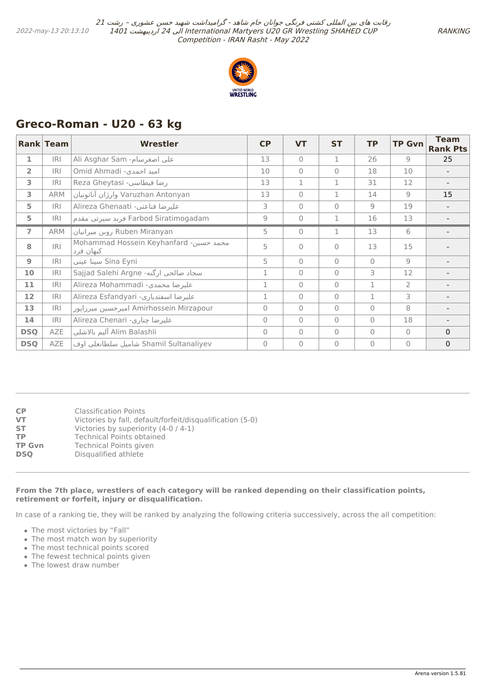

# <span id="page-21-0"></span>**Greco-Roman - U20 - 63 kg**

|                | Rank Team  | Wrestler                                            | <b>CP</b>    | <b>VT</b> | <b>ST</b> | <b>TP</b>    | <b>TP Gvn</b>  | <b>Team</b><br><b>Rank Pts</b> |
|----------------|------------|-----------------------------------------------------|--------------|-----------|-----------|--------------|----------------|--------------------------------|
| 1              | <b>IRI</b> | Ali Asghar Sam -مغرسام                              | 13           | $\bigcap$ | 1         | 26           | 9              | 25                             |
| $\overline{2}$ | <b>IRI</b> | Omid Ahmadi -امید احمدی                             | 10           | $\bigcap$ | $\Omega$  | 18           | 10             |                                |
| 3              | <b>IRI</b> | Reza Gheytasi -رضا قيطاسي                           | 13           | 1         | 1         | 31           | 12             |                                |
| 3              | <b>ARM</b> | Varuzhan Antonyan وارژان آناتونیان                  | 13           | $\bigcap$ | 1         | 14           | $\overline{Q}$ | 15                             |
| 5              | <b>IRI</b> | Alireza Ghenaati -عليرضا قناعتي-                    | 3            | $\bigcap$ | $\Omega$  | 9            | 19             |                                |
| 5              | IRI        | Farbod Siratimogadam فربد سيرتى مقدم                | 9            | $\bigcap$ | 1         | 16           | 13             |                                |
| $\overline{7}$ | ARM        | Ruben Miranyan روبن ميرانيان                        | 5            | $\Omega$  | 1         | 13           | 6              |                                |
| 8              | IRI        | Mohammad Hossein Keyhanfard -محمد حسین<br>كيهان فرد | 5            | $\bigcap$ | $\Omega$  | 13           | 15             |                                |
| $\overline{9}$ | IRI        | Sina Eyni سينا عيني                                 | 5            | $\bigcap$ | $\Omega$  | $\Omega$     | $\overline{9}$ |                                |
| 10             | IRI        | سجاد صالحي ارگنه- Sajjad Salehi Argne               | 1            | $\bigcap$ | $\Omega$  | 3            | 12             |                                |
| 11             | IRI        | Alireza Mohammadi -عليرضا محمدي                     | $\mathbf{1}$ | $\bigcap$ | $\Omega$  | $\mathbf{1}$ | $\overline{2}$ |                                |
| 12             | IRI        | Alireza Esfandyari -عليرضا اسفتدياري                | $\mathbf{1}$ | $\bigcap$ | $\Omega$  | $\mathbf 1$  | 3              |                                |
| 13             | <b>IRI</b> | Amirhossein Mirzapour امیرحسین میرزاپور             | $\Omega$     | $\bigcap$ | $\Omega$  | $\Omega$     | 8              |                                |
| 14             | IRI        | Alireza Chenari -عليرضا چناري                       | $\Omega$     | $\bigcap$ | $\Omega$  | $\Omega$     | 18             |                                |
| <b>DSQ</b>     | AZE        | آليم بالاشلي Alim Balashli                          | $\Omega$     | $\bigcap$ | $\Omega$  | $\Omega$     | $\Omega$       | $\Omega$                       |
| <b>DSQ</b>     | AZE        | Shamil Sultanaliyev شاميل سلطانعلي اوف              | $\Omega$     | $\bigcap$ | $\Omega$  | $\Omega$     | $\bigcap$      | $\mathbf 0$                    |

| <b>CP</b>     | <b>Classification Points</b>                              |
|---------------|-----------------------------------------------------------|
| VT            | Victories by fall, default/forfeit/disqualification (5-0) |
| <b>ST</b>     | Victories by superiority (4-0 / 4-1)                      |
| ТP            | <b>Technical Points obtained</b>                          |
| <b>TP Gvn</b> | <b>Technical Points given</b>                             |
| <b>DSO</b>    | Disqualified athlete                                      |
|               |                                                           |

#### **From the 7th place, wrestlers of each category will be ranked depending on their classification points, retirement or forfeit, injury or disqualification.**

In case of a ranking tie, they will be ranked by analyzing the following criteria successively, across the all competition:

- The most victories by "Fall"
- The most match won by superiority
- The most technical points scored
- The fewest technical points given
- The lowest draw number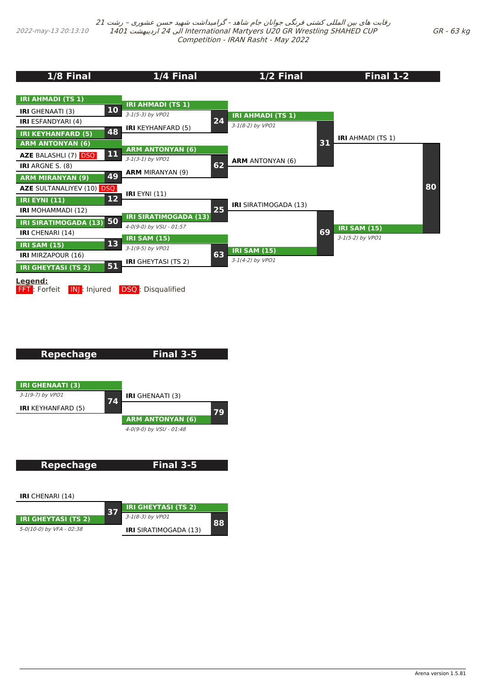<span id="page-22-0"></span>2022-may-13 20:13:10

رقابت های بین المللی کشتی فرنگی جوانان جام شاهد - گرامیداشت شهید حسن عشوری – رشت <sup>21</sup> 1401 اردیبهشت 24 الی International Martyers U20 GR Wrestling SHAHED CUP Competition - IRAN Rasht - May 2022

| 1/8 Final                                                                                    | 1/4 Final                                                                      | 1/2 Final                                      | <b>Final 1-2</b>                        |
|----------------------------------------------------------------------------------------------|--------------------------------------------------------------------------------|------------------------------------------------|-----------------------------------------|
| <b>IRI AHMADI (TS 1)</b><br><b>10</b><br><b>IRI</b> GHENAATI (3)                             | <b>IRI AHMADI (TS 1)</b>                                                       |                                                |                                         |
| <b>IRI</b> ESFANDYARI (4)<br>48<br><b>IRI KEYHANFARD (5)</b>                                 | 3-1(5-3) by VPO1<br>24<br><b>IRI</b> KEYHANFARD (5)                            | <b>IRI AHMADI (TS 1)</b><br>$3-1(8-2)$ by VPO1 | <b>IRI</b> AHMADI (TS 1)                |
| <b>ARM ANTONYAN (6)</b><br>11<br><b>AZE BALASHLI (7) DSQ</b>                                 | <b>ARM ANTONYAN (6)</b><br>3-1(3-1) by VPO1                                    | 31<br><b>ARM</b> ANTONYAN (6)                  |                                         |
| <b>IRI</b> ARGNE S. (8)<br>49<br><b>ARM MIRANYAN (9)</b><br><b>AZE SULTANALIYEV (10) DSQ</b> | 62<br><b>ARM MIRANYAN (9)</b>                                                  |                                                | 80                                      |
| 12<br><b>IRI EYNI (11)</b><br><b>IRI MOHAMMADI (12)</b>                                      | <b>IRI</b> EYNI (11)<br>25                                                     | <b>IRI</b> SIRATIMOGADA (13)                   |                                         |
| 50<br><b>IRI SIRATIMOGADA (13)</b><br><b>IRI</b> CHENARI (14)                                | <b>IRI SIRATIMOGADA (13)</b><br>4-0(9-0) by VSU - 01:57<br><b>IRI SAM (15)</b> | 69                                             | <b>IRI SAM (15)</b><br>3-1(5-2) by VPO1 |
| 13<br><b>IRI SAM (15)</b><br><b>IRI</b> MIRZAPOUR (16)<br>51                                 | 3-1(9-5) by VPO1<br>63<br><b>IRI</b> GHEYTASI (TS 2)                           | <b>IRI SAM (15)</b><br>3-1(4-2) by VPO1        |                                         |
| <b>IRI GHEYTASI (TS 2)</b><br>Legend:<br><b>FFT</b> : Forfeit<br>IN : Injured                | <b>DSQ</b> : Disqualified                                                      |                                                |                                         |

# **Repechage**

**Final 3-5**

**Final 3-5**



**Repechage**

**IRI** CHENARI (14)

|                            | <b>RF</b> | <b>IRI GHEYTASI (TS 2)</b>   |  |
|----------------------------|-----------|------------------------------|--|
| <b>IRI GHEYTASI (TS 2)</b> |           | 3-1(8-3) by VPO1             |  |
| 5-0(10-0) by VFA - 02:38   |           | <b>IRI</b> SIRATIMOGADA (13) |  |

GR - 63 kg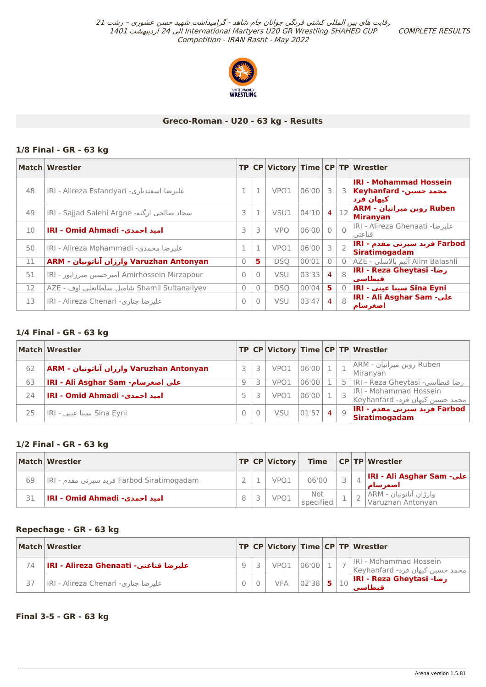COMPLETE RESULTS



## **Greco-Roman - U20 - 63 kg - Results**

## **1/8 Final - GR - 63 kg**

|    | Match   Wrestler                               |                |          |            |       |                |                | TP CP Victory Time CP TP Wrestler                                       |
|----|------------------------------------------------|----------------|----------|------------|-------|----------------|----------------|-------------------------------------------------------------------------|
| 48 | IRI - Alireza Esfandyari -عليرضا اسفتدياري     | $\mathbf{1}$   |          | VPO1       | 06'00 | -3             |                | <b>IRI - Mohammad Hossein</b><br>محمد حسین- Keyhanfard   3<br>کیهان فرد |
| 49 | IRI - Sajjad Salehi Argne -سجاد صالحي ارگنه-   | 3              |          | VSU1       | 04'10 | $\overline{4}$ | 12             | Ruben روبن میرانیان - ARM<br><b>Miranyan</b>                            |
| 10 | امید احمدی- IRI - Omid Ahmadi                  | 3              | 3        | <b>VPO</b> | 06'00 | $\Omega$       |                | عليرضا- IRI - Alireza Ghenaati و o<br>قناعتي                            |
| 50 | IRI - Alireza Mohammadi - عليرضا محمدي         |                |          | VPO1       | 06'00 | 3              | 2 <sup>1</sup> | Farbod فربد سیرتی مقدم - IRI<br><b>Siratimogadam</b>                    |
| 11 | Aruzhan Antonyan وارژان آناتونیان - ARM        | $\overline{0}$ | 5.       | <b>DSO</b> | 00'01 | $\Omega$       |                | Alim Balashli آليم بالاشلي - AZE                                        |
| 51 | Amirhossein Mirzapour امیر حسین میرزایور - IRI | $\bigcap$      | $\Omega$ | <b>VSU</b> | 03'33 | $\overline{4}$ | $\mathcal{R}$  | IRI - Reza Gheytasi -رضا<br>قبطاسي                                      |
| 12 | Shamil Sultanaliyev شاميل سلطانعلي اوف - AZE   | $\Omega$       | $\Omega$ | <b>DSO</b> | 00'04 | 5              |                | Sina Eyni سينا عيني - IRI                                               |
| 13 | علیرضا چناری- IRI - Alireza Chenari            | $\Omega$       | $\Omega$ | <b>VSU</b> | 03'47 | $\overline{4}$ | 8              | IRI - Ali Asghar Sam - على<br>اصغر سام                                  |

## **1/4 Final - GR - 63 kg**

|    | Match Wrestler                           |    |      |       |                |         | TP CP Victory Time CP TP Wrestler                           |
|----|------------------------------------------|----|------|-------|----------------|---------|-------------------------------------------------------------|
| 62 | ARM - وارژان آناتونیان Varuzhan Antonyan |    | VPO1 | 06'00 |                |         | Ruben روبن میرانیان - ARM <br>Miranyan                      |
| 63 | IRI - Ali Asghar Sam -مغرسام -           | 9. | VPO1 | 06'00 |                |         | رضا قيطاسي- IRI - Reza Gheytasi رضا قيطاسي-                 |
| 24 | <b>IRI - Omid Ahmadi -امید احمدی</b>     |    | VPO1 | 06'00 |                |         | IRI - Mohammad Hossein<br>  محمد حسین کیهان فرد- Keyhanfard |
| 25 | Sina Eyni سينا عيني - IRI                |    | VSU  | 01'57 | $\overline{4}$ | $\circ$ | ∣ Farbod فربد سیرتی مقدم - IRI<br><b>Siratimogadam</b>      |

## **1/2 Final - GR - 63 kg**

|    | Match Wrestler                                |  | TP CP Victory    | Time             |  | CP TP Wrestler                              |
|----|-----------------------------------------------|--|------------------|------------------|--|---------------------------------------------|
| 69 | ِ Farbod Siratimogadam فربد سیرتی مقدم - IIRI |  | VPO <sub>1</sub> | 06'00            |  | علی- IRI - Ali Asghar Sam <br>اصغر سام      |
| 31 | <b>IRI - Omid Ahmadi -امید احمدی</b>          |  | VPO1             | Not<br>specified |  | وارژان آناتونیان - ARM<br>Varuzhan Antonyan |

## **Repechage - GR - 63 kg**

|    | Match Wrestler                         |  |            |           |  | $ {\sf TP} {\sf CP} $ Victory $ {\sf Time} {\sf CP} {\sf TP} $ Wrestler              |
|----|----------------------------------------|--|------------|-----------|--|--------------------------------------------------------------------------------------|
| 74 | IRI - Alireza Ghenaati - عليرضا قناعتي |  | VPO1 06'00 |           |  | IRI - Mohammad Hossein<br>  محمد حسین کیهان فرد- Keyhanfard                          |
| 37 | عليرضا چناري- IRI - Alireza Chenari    |  | <b>VFA</b> | $02'38$ 5 |  | $\mathbf{R} = \begin{bmatrix} 10 \end{bmatrix}$ IRI - Reza Gheytasi - رضاً<br>قىطاسى |

## **Final 3-5 - GR - 63 kg**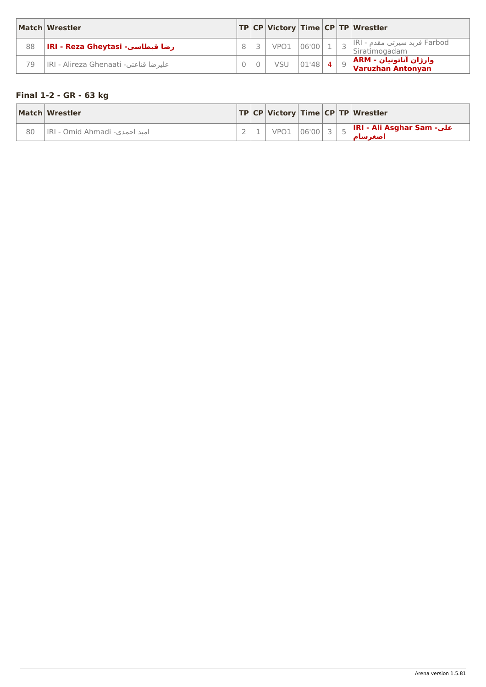<span id="page-24-0"></span>

|    | Match Wrestler                        |  |      |       |  | $ {\sf TP} {\sf CP} $ Victory $ {\sf Time} {\sf CP} {\sf TP} $ Wrestler |
|----|---------------------------------------|--|------|-------|--|-------------------------------------------------------------------------|
| 88 | IRI - Reza Gheytasi -رضا قيطاسي       |  | VPO1 | 06'00 |  | ِ Farbod فربد سیرتی مقدم - IRI <br>Siratimogadam                        |
| 79 | IRI - Alireza Ghenaati -عليرضا قناعتي |  | VSU  | 01'48 |  | وارژان آناتونیان - ARM<br>Varuzhan Antonyan                             |

# **Final 1-2 - GR - 63 kg**

|    | Match Wrestler                |  |      |       |  | TP CP Victory Time CP TP Wrestler     |
|----|-------------------------------|--|------|-------|--|---------------------------------------|
| 80 | امید احمدی- IRI - Omid Ahmadi |  | VPO1 | 06'00 |  | IRI - Ali Asghar Sam -على<br>اصغر سام |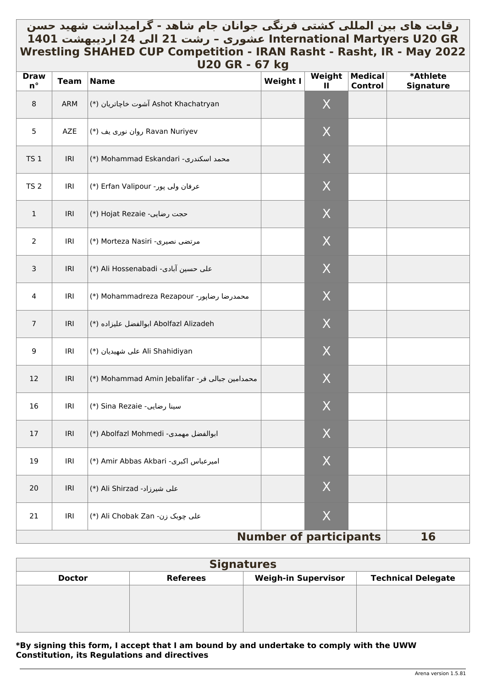# <span id="page-25-0"></span>رقابت های بین المللي کشتي فرنگي جوانان جام شاهد - گرامیداشت شهید حسن \_ **GR 20U Martyers International عشوری – رشت 21 الی 24 اردیبهشت 1401 Wrestling SHAHED CUP Competition - IRAN Rasht - Rasht, IR - May 2022 U20 GR - 67 kg**

| <b>Draw</b><br>$n^{\circ}$ | <b>Team</b> | <b>Name</b>                                     | $\sim$ $\sim$<br><b>Weight I</b> | Weight<br>Ш | <b>Medical</b><br><b>Control</b> | *Athlete<br><b>Signature</b> |
|----------------------------|-------------|-------------------------------------------------|----------------------------------|-------------|----------------------------------|------------------------------|
| 8                          | ARM         | Ashot Khachatryan آشوت خاچاتریان (*)            |                                  | X           |                                  |                              |
| 5                          | AZE         | Ravan Nuriyev روان نوری یف (*)                  |                                  | X           |                                  |                              |
| TS <sub>1</sub>            | IRI         | (*) Mohammad Eskandari -محمد اسكندرى            |                                  | X           |                                  |                              |
| TS <sub>2</sub>            | IRI         | عرفان ولى پور- Erfan Valipour (*)               |                                  | X           |                                  |                              |
| $\mathbf{1}$               | IRI         | (*) Hojat Rezaie -حجت رضايي                     |                                  | X           |                                  |                              |
| $\overline{2}$             | IRI         | مرتضى نصيرى- Morteza Nasiri (*)                 |                                  | X           |                                  |                              |
| 3                          | IRI         | (*) Ali Hossenabadi -حسين آبادي                 |                                  | X           |                                  |                              |
| 4                          | IRI         | (*) Mohammadreza Rezapour (*)                   |                                  | X           |                                  |                              |
| $\overline{7}$             | IRI         | Abolfazl Alizadeh ابوالفضل عليزاده (*)          |                                  | X           |                                  |                              |
| 9                          | IRI         | (*) على شهيديان (*) Ali Shahidiyan              |                                  | X           |                                  |                              |
| 12                         | IRI         | (*) Mohammad Amin Jebalifar - محمدامين جبالى فر |                                  | X           |                                  |                              |
| 16                         | IRI         | (*) Sina Rezaie -سينا رضايي                     |                                  | X           |                                  |                              |
| 17                         | IRI         | ابوالفضل مهمدی- Abolfazl Mohmedi (*)            |                                  | $\mathsf X$ |                                  |                              |
| 19                         | IRI         | (*) Amir Abbas Akbari (*)                       |                                  | X           |                                  |                              |
| 20                         | IRI         | علی شیرزاد- Ali Shirzad (*)                     |                                  | X           |                                  |                              |
| 21                         | IRI         | على چوبک زن- Ali Chobak Zan (*)                 |                                  | X           |                                  |                              |
|                            |             |                                                 | <b>Number of participants</b>    |             |                                  | 16                           |

| <b>Signatures</b> |                 |                            |                           |  |  |  |  |  |  |
|-------------------|-----------------|----------------------------|---------------------------|--|--|--|--|--|--|
| <b>Doctor</b>     | <b>Referees</b> | <b>Weigh-in Supervisor</b> | <b>Technical Delegate</b> |  |  |  |  |  |  |
|                   |                 |                            |                           |  |  |  |  |  |  |
|                   |                 |                            |                           |  |  |  |  |  |  |
|                   |                 |                            |                           |  |  |  |  |  |  |
|                   |                 |                            |                           |  |  |  |  |  |  |

## **\*By signing this form, I accept that I am bound by and undertake to comply with the UWW Constitution, its Regulations and directives**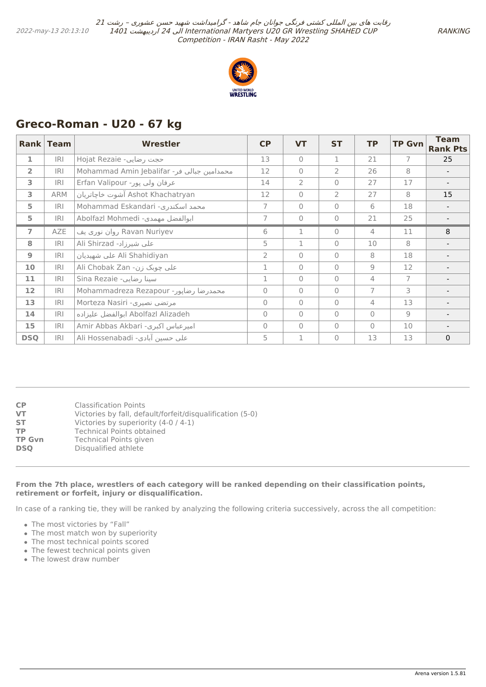

# <span id="page-26-0"></span>**Greco-Roman - U20 - 67 kg**

|                   | Rank Team  | <b>Wrestler</b>                            | <b>CP</b>      | <b>VT</b>      | <b>ST</b>    | <b>TP</b>      | <b>TP Gvn</b> | <b>Team</b><br><b>Rank Pts</b> |
|-------------------|------------|--------------------------------------------|----------------|----------------|--------------|----------------|---------------|--------------------------------|
| $\mathbf{1}$      | IRI        | Hojat Rezaie -رضایی                        | 13             | $\Omega$       | 1            | 21             | 7             | 25                             |
| $\overline{2}$    | IRI        | Mohammad Amin Jebalifar -محمدامین جبالی فر | 12             | $\Omega$       | 2            | 26             | 8             |                                |
| 3                 | IRI        | عرفان ولي پور- Erfan Valipour              | 14             | $\overline{2}$ | $\Omega$     | 27             | 17            |                                |
| 3                 | <b>ARM</b> | Ashot Khachatryan آشوت خاچاتریان           | 12             | $\mathbf{0}$   | 2            | 27             | 8             | 15                             |
| 5                 | IRI        | Mohammad Eskandari -محمد اسكندري           | 7              | $\mathbf{0}$   | 0            | 6              | 18            |                                |
| 5                 | IRI        | Abolfazl Mohmedi -ابوالفضل مهمدى           | $\overline{7}$ | $\mathbf{0}$   | $\mathbf{0}$ | 21             | 25            |                                |
| $\overline{ }$    | AZE        | Ravan Nuriyev روان نوری یف                 | 6              | $\mathbf{1}$   | $\Omega$     | $\overline{4}$ | 11            | 8                              |
| 8                 | IRI        | علي شيرزاد- Ali Shirzad                    | 5              | $\mathbf{1}$   | $\Omega$     | 10             | 8             |                                |
| 9                 | IRI        | Ali Shahidiyan على شهيديان                 | $\overline{2}$ | $\bigcap$      | $\Omega$     | 8              | 18            |                                |
| 10                | IRI        | Ali Chobak Zan - على چوبک زن               | 1              | $\mathbf{0}$   | $\Omega$     | $\overline{9}$ | 12            |                                |
| 11                | IRI        | Sina Rezaie -سينا رضايي                    | 1              | $\overline{0}$ | $\Omega$     | 4              | 7             |                                |
| $12 \overline{ }$ | IRI        | Mohammadreza Rezapour -محمدرضا رضاپور      | $\circ$        | $\mathbf{0}$   | $\Omega$     | 7              | 3             |                                |
| 13                | IRI        | Morteza Nasiri -مرتضى نصيرى                | $\overline{0}$ | $\mathbf{0}$   | $\Omega$     | 4              | 13            |                                |
| 14                | IRI        | Abolfazl Alizadeh ابوالفضل عليزاده         | $\Omega$       | $\mathbf{0}$   | $\Omega$     | $\Omega$       | 9             |                                |
| 15                | IRI        | Amir Abbas Akbari -امیرعباس اکبری          | $\circ$        | $\mathbf{0}$   | $\Omega$     | $\Omega$       | 10            |                                |
| <b>DSQ</b>        | IRI        | علي حسين آبادي- Ali Hossenabadi            | 5              | 1              | $\Omega$     | 13             | 13            | $\mathbf{0}$                   |

| СP         | <b>Classification Points</b>                              |
|------------|-----------------------------------------------------------|
| VT         | Victories by fall, default/forfeit/disqualification (5-0) |
| SΤ         | Victories by superiority (4-0 / 4-1)                      |
| ТP         | <b>Technical Points obtained</b>                          |
| TP Gvn     | <b>Technical Points given</b>                             |
| <b>DSO</b> | Disqualified athlete                                      |
|            |                                                           |

#### **From the 7th place, wrestlers of each category will be ranked depending on their classification points, retirement or forfeit, injury or disqualification.**

In case of a ranking tie, they will be ranked by analyzing the following criteria successively, across the all competition:

- The most victories by "Fall"
- The most match won by superiority
- The most technical points scored
- The fewest technical points given
- The lowest draw number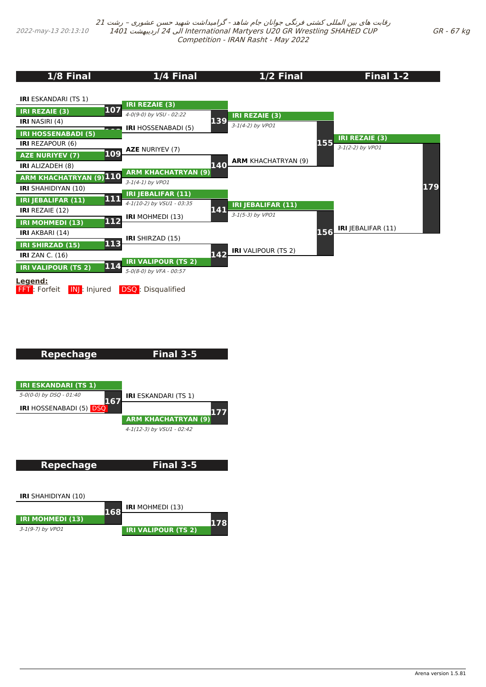<span id="page-27-0"></span>

| 1/8 Final                                                      | 1/4 Final                                      | 1/2 Final                                     | Final 1-2                 |
|----------------------------------------------------------------|------------------------------------------------|-----------------------------------------------|---------------------------|
| <b>IRI</b> ESKANDARI (TS 1)                                    | <b>IRI REZAIE (3)</b>                          |                                               |                           |
| 107<br><b>IRI REZAIE (3)</b><br><b>IRI</b> NASIRI (4)          | 4-0(9-0) by VSU - 02:22                        | <b>IRI REZAIE (3)</b><br>139                  |                           |
| <b>IRI HOSSENABADI (5)</b>                                     | <b>IRI HOSSENABADI (5)</b>                     | 3-1(4-2) by VPO1                              | <b>IRI REZAIE (3)</b>     |
| <b>IRI</b> REZAPOUR (6)<br>109                                 | <b>AZE NURIYEV (7)</b>                         |                                               | 155<br>3-1(2-2) by VPO1   |
| <b>AZE NURIYEV (7)</b><br>IRI ALIZADEH (8)                     |                                                | <b>ARM KHACHATRYAN (9)</b><br>140             |                           |
| <b>ARM KHACHATRYAN (9) 110</b>                                 | <b>ARM KHACHATRYAN (9)</b><br>3-1(4-1) by VPO1 |                                               |                           |
| <b>IRI</b> SHAHIDIYAN (10)<br>111<br><b>IRI JEBALIFAR (11)</b> | IRI JEBALIFAR (11)                             |                                               | 179                       |
| <b>IRI REZAIE (12)</b>                                         | 4-1(10-2) by VSU1 - 03:35                      | IRI JEBALIFAR (11)<br>141<br>3-1(5-3) by VPO1 |                           |
| 112<br><b>IRI MOHMEDI (13)</b>                                 | <b>IRI</b> MOHMEDI (13)                        |                                               | IRI JEBALIFAR (11)<br>156 |
| <b>IRI</b> AKBARI (14)<br>113<br><b>IRI SHIRZAD (15)</b>       | <b>IRI</b> SHIRZAD (15)                        |                                               |                           |
| IRI ZAN C. $(16)$                                              | <b>IRI VALIPOUR (TS 2)</b>                     | <b>IRI</b> VALIPOUR (TS 2)<br>142             |                           |
| 114<br><b>IRI VALIPOUR (TS 2)</b>                              | 5-0(8-0) by VFA - 00:57                        |                                               |                           |
| <u>Legend:</u><br><b>FFT</b> : Forfeit<br>IN : Injured         | <b>DSQ</b> : Disqualified                      |                                               |                           |

# **Repechage**

**Final 3-5**



**Repechage Final 3-5**

**IRI** SHAHIDIYAN (10)

|                         | 168 | <b>IRI</b> MOHMEDI (13)    |  |
|-------------------------|-----|----------------------------|--|
| <b>IRI MOHMEDI (13)</b> |     |                            |  |
| 3-1(9-7) by VPO1        |     | <b>IRI VALIPOUR (TS 2)</b> |  |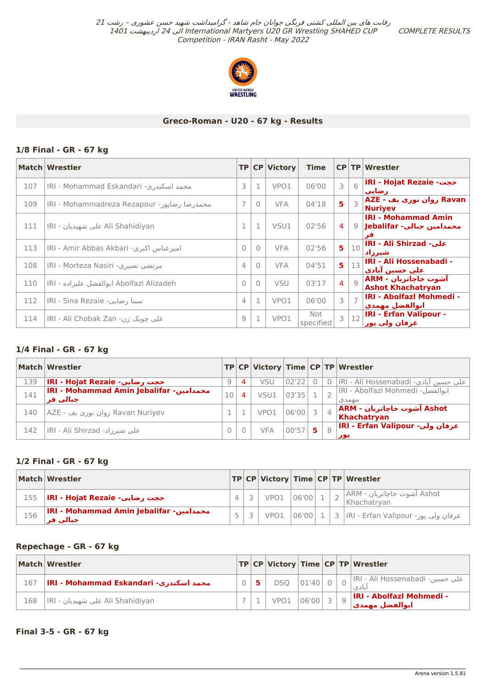COMPLETE RESULTS



## **Greco-Roman - U20 - 67 kg - Results**

## **1/8 Final - GR - 67 kg**

|     | Match Wrestler                              |                |           | TP CP Victory | <b>Time</b>      |   |                 | CP TP Wrestler                                          |
|-----|---------------------------------------------|----------------|-----------|---------------|------------------|---|-----------------|---------------------------------------------------------|
| 107 | محمد اسكندري- IRI - Mohammad Eskandari      | 3              |           | VPO1          | 06'00            | 3 | 6               | IRI - Hojat Rezaie -حجت<br>رضایی                        |
| 109 | محمدرضا رضایور- IRI - Mohammadreza Rezapour | $\overline{7}$ | 0         | <b>VFA</b>    | 04'18            | 5 | $\mathbf{3}$    | Ravan روان نوری یف - AZE<br><b>Nuriyev</b>              |
| 111 | Ali Shahidiyan على شهيديان - IRI            | 1              |           | VSU1          | 02'56            | 4 |                 | <b>IRI - Mohammad Amin</b><br>محمدامین جبالی- Jebalifar |
| 113 | امیرعباس اکبری- IRI - Amir Abbas Akbari     | $\bigcap$      | $\cap$    | <b>VFA</b>    | 02'56            | 5 | 10 <sup>1</sup> | <b>IRI - Ali Shirzad - على</b><br>شيرزاد                |
| 108 | مرتضى نصيرى- IRI - Morteza Nasiri           | 4              | $\bigcap$ | <b>VFA</b>    | 04'51            | 5 | 13              | IRI - Ali Hossenabadi -<br>علي حسين آبادي               |
| 110 | Abolfazl Alizadeh ابوالفضل عليزاده - IRI    | $\bigcap$      | $\cap$    | <b>VSU</b>    | 03'17            | 4 | Q               | آشوت خاجاتريان - ARM<br><b>Ashot Khachatryan</b>        |
| 112 | سينا رضايي- IRI - Sina Rezaie               | $\overline{4}$ |           | VPO1          | 06'00            | 3 |                 | <b>IRI - Abolfazi Mohmedi -</b><br>ابوالفضل مهمدي       |
| 114 | علی چوبک زن- IRI - Ali Chobak Zan           | 9              |           | VPO1          | Not<br>specified |   | 12              | <b>IRI - Erfan Valipour -</b><br>عرفان ولب پور          |

## **1/4 Final - GR - 67 kg**

|     | Match Wrestler                                       |    |   |            |       |    |                | TP CP Victory Time CP TP Wrestler           |
|-----|------------------------------------------------------|----|---|------------|-------|----|----------------|---------------------------------------------|
| 139 | IRI - Hojat Rezaie - حجت رضایی                       | 9  | 4 | VSU        | 02'22 |    | $\Omega$       | علي حسين آبادي- IRI - Ali Hossenabadi       |
| 141 | IRI - Mohammad Amin Jebalifar - محمدامین<br>جبالي فر | 10 | 4 | VSU1       | 03'35 |    |                | IRI - Abolfazl Mohmedi -ابوالفضل<br>مهمدي   |
| 140 | Ravan Nuriyev روان نوری یف - AZE                     |    |   | VPO1       | 06'00 | 3  | $\overline{4}$ | ُAshot آشوت خاچاتریان - ARM <br>Khachatryan |
| 142 | علي شيرزاد- IRI - Ali Shirzad                        | 0  |   | <b>VFA</b> | 00'57 | 5. | 8              | عرفان ولي- IRI - Erfan Valipour -<br>پور    |

## **1/2 Final - GR - 67 kg**

|     | Match Wrestler                                       |                |      |       |  | $ TP CP $ Victory $ Time CP TP $ Wrestler        |
|-----|------------------------------------------------------|----------------|------|-------|--|--------------------------------------------------|
|     | حجت رضایی- IRI - Hojat Rezaie ا                      |                | VPO1 | 06'00 |  | ِ Ashot آشوت خاچاتریان - ARM∣<br>Khachatryan     |
| 156 | IRI - Mohammad Amin Jebalifar - محمدامین<br>حنالي فر | $\overline{a}$ | VPO1 |       |  | عرفان ولي پور- IRI - Erfan Valipour   1   3   18 |

#### **Repechage - GR - 67 kg**

|     | <b>Match Wrestler</b>                  |  |                   |       |  | TP CP Victory Time CP TP Wrestler                 |
|-----|----------------------------------------|--|-------------------|-------|--|---------------------------------------------------|
| 167 | IRI - Mohammad Eskandari -محمد اسکندری |  | $DSQ$ $ 01'40 0 $ |       |  | مار حسين- IRI - Ali Hossenabadi   م<br>انادى      |
| 168 | IRI - على شهيديان Ali Shahidiyan       |  | VPO1              | 06'00 |  | <b>IRI - Abolfazi Mohmedi -</b><br>أبوالفضل مهمدي |

## **Final 3-5 - GR - 67 kg**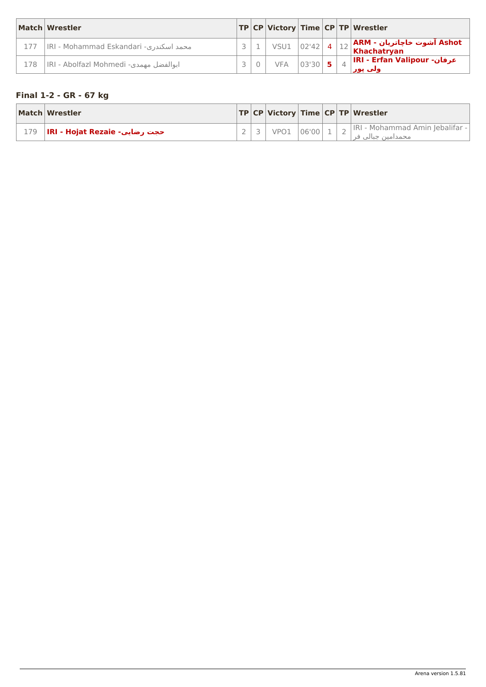<span id="page-29-0"></span>

|     | Match Wrestler                         |  |                         |       |  | TP CP Victory Time CP TP Wrestler                                        |
|-----|----------------------------------------|--|-------------------------|-------|--|--------------------------------------------------------------------------|
| 177 | IRI - Mohammad Eskandari -محمد اسكندري |  | $\sqrt{501}$ 02'42 4 1. |       |  | $\big 12\big \textsf{ARM}\cdot\textsf{div}$ آشوت خاچاتریان - Khachatryan |
| 178 | IRI - Abolfazl Mohmedi -بوالفضل مهمدي  |  | <b>VFA</b>              | 03'30 |  | عرفان- IRI - Erfan Valipour<br>ولف یور                                   |

# **Final 1-2 - GR - 67 kg**

| Match Wrestler                      |  |            |  | <b>TP CP Victory Time CP TP Wrestler</b>             |
|-------------------------------------|--|------------|--|------------------------------------------------------|
| حجت رضایی- IRI - Hojat Rezaie ) 179 |  | VPO1 06'00 |  | IRI - Mohammad Amin Jebalifar -<br>محمدامین جبالي فر |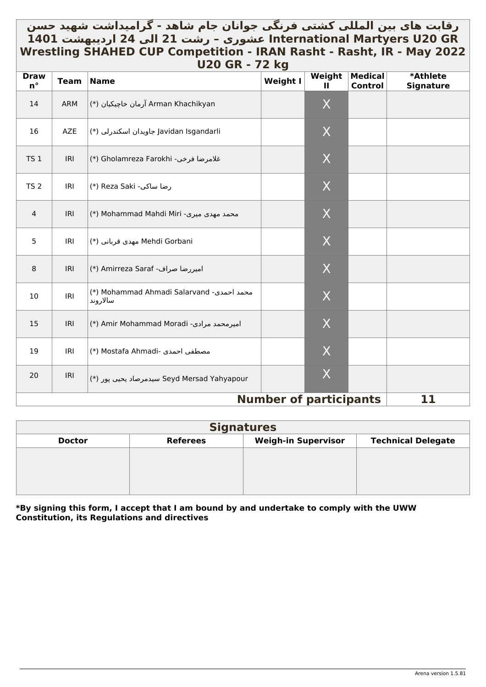# <span id="page-30-0"></span>رقابت های بین المللي کشتي فرنگي جوانان جام شاهد - گرامیداشت شهید حسن \_ **GR 20U Martyers International عشوری – رشت 21 الی 24 اردیبهشت 1401 Wrestling SHAHED CUP Competition - IRAN Rasht - Rasht, IR - May 2022 U20 GR - 72 kg**

| <b>Draw</b><br>$n^{\circ}$ | <b>Team</b> | ULV JI\<br><b>Name</b>                                | $\mathbf{r}$ $\mathbf{r}$<br><b>Weight I</b> | Weight<br>Ш | <b>Medical</b><br><b>Control</b> | *Athlete         |
|----------------------------|-------------|-------------------------------------------------------|----------------------------------------------|-------------|----------------------------------|------------------|
| 14                         | <b>ARM</b>  | Arman Khachikyan آرمان خاچيكيان (*)                   |                                              | X           |                                  | <b>Signature</b> |
| 16                         | <b>AZE</b>  | Javidan Isgandarli جاویدان اسکندرلی (*)               |                                              | X           |                                  |                  |
| <b>TS 1</b>                | IRI         | غلامرضا فرخي- Gholamreza Farokhi (*)                  |                                              | X           |                                  |                  |
| <b>TS 2</b>                | IRI         | (*) Reza Saki -رضا ساكي                               |                                              | X           |                                  |                  |
| $\overline{4}$             | IRI         | محمد مهدی میری- Mohammad Mahdi Miri (*)               |                                              | X           |                                  |                  |
| 5                          | IRI         | Mehdi Gorbani مهدی قربانی (*)                         |                                              | X           |                                  |                  |
| $\, 8$                     | IRI         | (*) Amirreza Saraf -اميررضا صراف                      |                                              | X           |                                  |                  |
| 10                         | IRI         | (*) Mohammad Ahmadi Salarvand -محمد احمدی<br>سالاروند |                                              | $\sf X$     |                                  |                  |
| 15                         | IRI         | (*) Amir Mohammad Moradi -امیرمحمد مرادی              |                                              | X           |                                  |                  |
| 19                         | IRI         | (*) Mostafa Ahmadi- مصطفى احمدى                       |                                              | X           |                                  |                  |
| 20                         | IRI         | (*) سيدمرصاد يحيى پور (*) Seyd Mersad Yahyapour       |                                              | X           |                                  |                  |
|                            |             |                                                       | <b>Number of participants</b>                |             |                                  | 11               |

| <b>Signatures</b> |                 |                            |                           |  |  |  |  |  |
|-------------------|-----------------|----------------------------|---------------------------|--|--|--|--|--|
| <b>Doctor</b>     | <b>Referees</b> | <b>Weigh-in Supervisor</b> | <b>Technical Delegate</b> |  |  |  |  |  |
|                   |                 |                            |                           |  |  |  |  |  |
|                   |                 |                            |                           |  |  |  |  |  |
|                   |                 |                            |                           |  |  |  |  |  |
|                   |                 |                            |                           |  |  |  |  |  |

**\*By signing this form, I accept that I am bound by and undertake to comply with the UWW Constitution, its Regulations and directives**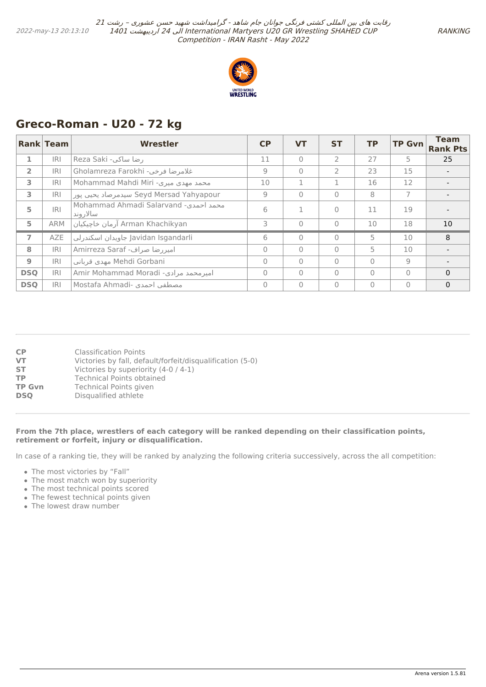

# <span id="page-31-0"></span>**Greco-Roman - U20 - 72 kg**

|                | <b>Rank Team</b> | Wrestler                                           | CP       | <b>VT</b> | <b>ST</b>      | <b>TP</b> | <b>TP Gvn</b>  | <b>Team</b><br><b>Rank Pts</b> |
|----------------|------------------|----------------------------------------------------|----------|-----------|----------------|-----------|----------------|--------------------------------|
| 1              | <b>IRI</b>       | رضا ساكي- Reza Saki                                | 11       | $\bigcap$ | $\overline{2}$ | 27        | 5              | 25                             |
| $\overline{2}$ | <b>IRI</b>       | Sholamreza Farokhi -فلامرضا فرخى                   | 9        | $\bigcap$ | $\mathcal{P}$  | 23        | 15             |                                |
| 3              | <b>IRI</b>       | Mohammad Mahdi Miri -محمد مهدي ميري                | 10       |           |                | 16        | 12             |                                |
| 3              | <b>IRI</b>       | Seyd Mersad Yahyapour سيدمرصاد يحيى پور            | 9        | $\bigcap$ | $\Omega$       | 8         | $\overline{7}$ |                                |
| 5              | <b>IRI</b>       | Mohammad Ahmadi Salarvand -محمد احمدی<br>سالار وند | 6        |           | $\Omega$       | 11        | 19             |                                |
| 5              | <b>ARM</b>       | Arman Khachikyan آرمان خاچيكيان                    | 3        | $\bigcap$ | $\Omega$       | 10        | 18             | 10                             |
| $\overline{7}$ | <b>AZE</b>       | Javidan Isgandarli جاويدان اسكندرلي                | 6        | $\bigcap$ | $\Omega$       | 5         | 10             | 8                              |
| 8              | <b>IRI</b>       | Amirreza Saraf -میررضا صراف                        | $\Omega$ | $\bigcap$ | $\Omega$       | 5         | 10             |                                |
| $\overline{9}$ | <b>IRI</b>       | Mehdi Gorbani مهدى قرباني                          | $\Omega$ | $\bigcap$ | $\bigcap$      | $\Omega$  | 9              |                                |
| <b>DSQ</b>     | IRI              | Amir Mohammad Moradi -میرمحمد مرادی                | $\Omega$ | $\bigcap$ | $\bigcap$      | $\Omega$  | $\Omega$       | $\Omega$                       |
| <b>DSQ</b>     | IRI              | Mostafa Ahmadi- مصطفى احمدى                        | 0        | $\bigcap$ | $\Omega$       | $\Omega$  | $\bigcap$      | $\mathbf{0}$                   |

| CP            | Classification Points                                     |
|---------------|-----------------------------------------------------------|
| <b>VT</b>     | Victories by fall, default/forfeit/disqualification (5-0) |
| <b>ST</b>     | Victories by superiority (4-0 / 4-1)                      |
| <b>TP</b>     | <b>Technical Points obtained</b>                          |
| <b>TP Gvn</b> | <b>Technical Points given</b>                             |
| <b>DSO</b>    | Disqualified athlete                                      |

#### **From the 7th place, wrestlers of each category will be ranked depending on their classification points, retirement or forfeit, injury or disqualification.**

In case of a ranking tie, they will be ranked by analyzing the following criteria successively, across the all competition:

- The most victories by "Fall"
- The most match won by superiority
- The most technical points scored
- The fewest technical points given
- The lowest draw number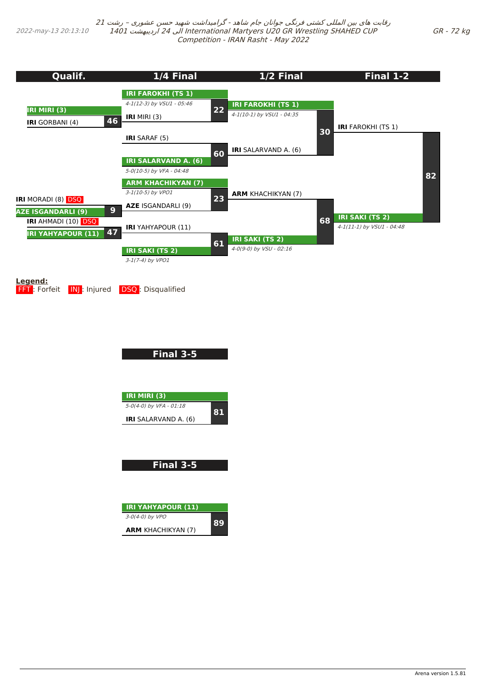<span id="page-32-0"></span>2022-may-13 20:13:10

رقابت های بین المللی کشتی فرنگی جوانان جام شاهد - گرامیداشت شهید حسن عشوری – رشت <sup>21</sup> 1401 اردیبهشت 24 الی International Martyers U20 GR Wrestling SHAHED CUP Competition - IRAN Rasht - May 2022



**FFT**: Forfeit **INJ**: Injured **DSQ**: Disqualified

**Final 3-5**

| <b>IRI MIRI (3)</b>         |  |
|-----------------------------|--|
| 5-0(4-0) by VFA - 01:18     |  |
| <b>IRI</b> SALARVAND A. (6) |  |

**Final 3-5**

| <b>IRI YAHYAPOUR (11)</b> |       |
|---------------------------|-------|
| $3-0(4-0)$ by VPO         | *:12) |
| <b>ARM</b> KHACHIKYAN (7) |       |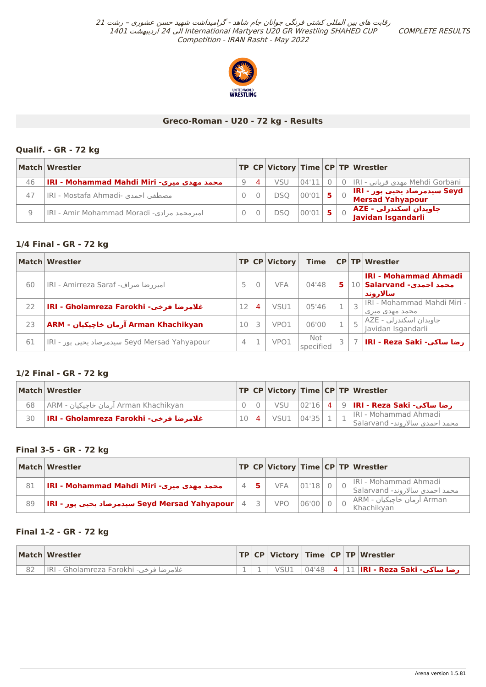COMPLETE RESULTS



## **Greco-Roman - U20 - 72 kg - Results**

## <span id="page-33-0"></span>**Qualif. - GR - 72 kg**

|    | Match Wrestler                              |   |          |            |             |  | $ {\sf TP} {\sf CP} $ Victory $ {\sf Time} {\sf CP} {\sf TP} $ Wrestler |
|----|---------------------------------------------|---|----------|------------|-------------|--|-------------------------------------------------------------------------|
| 46 | IRI - Mohammad Mahdi Miri -محمد مهدی میری   | Q | $\Delta$ | VSU        | 04'11       |  | Mehdi Gorbani مهدي قرباني - IRI 0                                       |
| 47 | IRI - Mostafa Ahmadi- مصطفى احمدي           |   |          | DSO        | $ 00'01 $ 5 |  | السیدمرصاد یحیب پور - IRI<br>Mersad Yahyapour                           |
| 9  | امیر محمد مرادی- IRI - Amir Mohammad Moradi |   |          | <b>DSO</b> | $ 00'01 $ 5 |  | AZE - جاویدان اسکندرلی<br> Javidan Isgandarli                           |

## **1/4 Final - GR - 72 kg**

|    | Match Wrestler                                |    |                | TP CP Victory | <b>Time</b>      |   |   | <b>CP TP Wrestler</b>                                                       |
|----|-----------------------------------------------|----|----------------|---------------|------------------|---|---|-----------------------------------------------------------------------------|
| 60 | امیررضا صراف- IRI - Amirreza Saraf            |    |                | <b>VFA</b>    | 04'48            | 5 |   | <b>IRI - Mohammad Ahmadi</b><br>10 <b>Salarvand -محمد احمدی</b><br>سالاروند |
| 22 | IRI - Gholamreza Farokhi - غلامرضا فرخي       | 12 | $\overline{4}$ | VSU1          | 05'46            |   |   | IRI - Mohammad Mahdi Miri -<br>محمد مهدی میری                               |
| 23 | Arman Khachikyan آرمان خاچیکیان - ARM         | 10 | ₹              | VPO1          | 06'00            |   | 5 | جاویدان اسکندرلی - AZE<br>Javidan İsgandarli                                |
| 61 | IRI - سیدمرصاد یحیی پور Seyd Mersad Yahyapour | 4  |                | VPO1          | Not<br>specified |   |   | IRI - Reza Saki -رضا ساكي                                                   |

## **1/2 Final - GR - 72 kg**

|    | <b>Match Wrestler</b>                     |         |            |  | $ TP CP $ Victory Time $ CP TP $ Wrestler                              |
|----|-------------------------------------------|---------|------------|--|------------------------------------------------------------------------|
| 68 | Arman Khachikyan آرمان خاچیکیان - ARM     |         |            |  | رضا ساكي- VSU   02'16   4   9   IRI - Reza Saki                        |
| 30 | ∣ IRI - Gholamreza Farokhi - غلامرضا فرخي | $101$ 4 | VSU1 04'35 |  | IRI - Mohammad Ahmadi<br>محمد احمدی سالاروند- Salarvand   <sup>+</sup> |

## **Final 3-5 - GR - 72 kg**

|    | Match Wrestler                                |  |                 |  | TP CP Victory Time CP TP Wrestler                       |
|----|-----------------------------------------------|--|-----------------|--|---------------------------------------------------------|
| 81 | IRI - Mohammad Mahdi Miri -محمد مهدی میری     |  | $VFA$ $ 01'18 $ |  | IRI - Mohammad Ahmadi<br>محمد احمدي سالاروند- Salarvand |
| 89 | IRI - سیدمرصاد یحیی پور Seyd Mersad Yahyapour |  | VPO 06'00 0     |  | Arman آرمان خاچیکیان - ARM<br>Khachikvan                |

## **Final 1-2 - GR - 72 kg**

| Match Wrestler                         |  |      |  | $ TP CP $ Victory $ Time CP TP $ Wrestler                        |
|----------------------------------------|--|------|--|------------------------------------------------------------------|
| غلامرضا فرخي- IRI - Gholamreza Farokhi |  | VSU1 |  | . <b>رضا ساكي- IRI - Reza Saki   12   4   12   4</b>   04'48   . |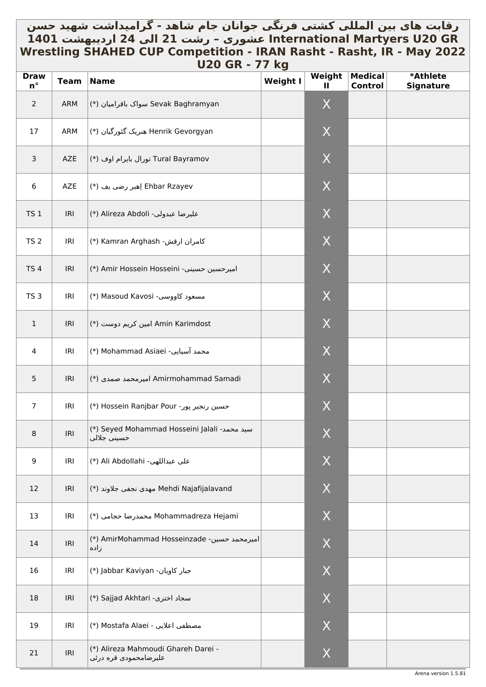# رقابت های بین المللي کشتي فرنگي جوانان جام شاهد - گرامیداشت شهید حسن \_ **GR 20U Martyers International عشوری – رشت 21 الی 24 اردیبهشت 1401 Wrestling SHAHED CUP Competition - IRAN Rasht - Rasht, IR - May 2022 U20 GR - 77 kg**

| <b>Draw</b><br>$n^{\circ}$ | <b>Team</b> | <u> UZU UN - // NY</u><br><b>Name</b>                        | <b>Weight I</b> | Weight           | <b>Medical</b> | *Athlete         |
|----------------------------|-------------|--------------------------------------------------------------|-----------------|------------------|----------------|------------------|
| $\overline{2}$             | ARM         | Sevak Baghramyan سواک باقرامیان (*)                          |                 | Ш<br>X           | Control        | <b>Signature</b> |
| 17                         | ARM         | Henrik Gevorgyan هنریک گئورگیان (*)                          |                 | X                |                |                  |
| $\mathsf{3}$               | AZE         | Tural Bayramov تورال بايرام اوف (*)                          |                 | X                |                |                  |
| 6                          | AZE         | Ehbar Rzayev اِهبر رضي يف (*)                                |                 | X                |                |                  |
| <b>TS 1</b>                | IRI         | (*) Alireza Abdoli - عليرضا عبدولي                           |                 | X                |                |                  |
| TS <sub>2</sub>            | IRI         | Y Kamran Arghash (*) Kamran Arghash                          |                 | X                |                |                  |
| <b>TS4</b>                 | IRI         | (*) Amir Hossein Hosseini -سينى (*)                          |                 | X                |                |                  |
| TS <sub>3</sub>            | IRI         | (*) Masoud Kavosi -مسعود كاووسي                              |                 | X                |                |                  |
| $1\,$                      | IRI         | Amin Karimdost امین کریم دوست (*)                            |                 | $\boldsymbol{X}$ |                |                  |
| 4                          | IRI         | (*) Mohammad Asiaei -محمد آسیایی)                            |                 | X                |                |                  |
| $5\phantom{.0}$            | IRI         | Amirmohammad Samadi امیرمحمد صمدی (*)                        |                 | X                |                |                  |
| $\overline{7}$             | IRI         | (*) Hossein Ranjbar Pour <>>                                 |                 | X                |                |                  |
| 8                          | IRI         | (*) Seyed Mohammad Hosseini Jalali سيد محمد-<br>حسيني جلالي  |                 | $\mathsf X$      |                |                  |
| 9                          | IRI         | (*) Ali Abdollahi -على عبداللهي                              |                 | X                |                |                  |
| 12                         | IRI         | Mehdi Najafijalavand مهدى نجفى جلاوند (*)                    |                 | X                |                |                  |
| 13                         | IRI         | Mohammadreza Hejami محمدرضا حجامى (*)                        |                 | X                |                |                  |
| 14                         | IRI         | (*) AmirMohammad Hosseinzade - امیرمحمد حسین<br>زاده         |                 | X                |                |                  |
| 16                         | IRI         | (*) Jabbar Kaviyan -جبار كاويان                              |                 | X                |                |                  |
| 18                         | IRI         | (*) Sajjad Akhtari -سجاد اخترى                               |                 | X                |                |                  |
| 19                         | IRI         | مصطفى اعلايي - Mostafa Alaei (*)                             |                 | X                |                |                  |
| 21                         | IRI         | (*) Alireza Mahmoudi Ghareh Darei -<br>علیرضامحمودی قره درئی |                 | X                |                |                  |

Arena version 1.5.81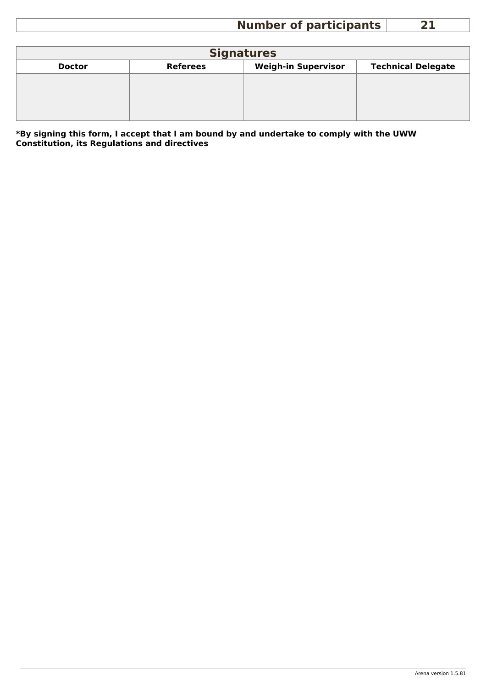# **Number of participants 21**

<span id="page-35-0"></span>

| <b>Signatures</b> |                 |                            |                           |  |  |  |  |  |  |  |
|-------------------|-----------------|----------------------------|---------------------------|--|--|--|--|--|--|--|
| <b>Doctor</b>     | <b>Referees</b> | <b>Weigh-in Supervisor</b> | <b>Technical Delegate</b> |  |  |  |  |  |  |  |
|                   |                 |                            |                           |  |  |  |  |  |  |  |
|                   |                 |                            |                           |  |  |  |  |  |  |  |
|                   |                 |                            |                           |  |  |  |  |  |  |  |
|                   |                 |                            |                           |  |  |  |  |  |  |  |

**\*By signing this form, I accept that I am bound by and undertake to comply with the UWW Constitution, its Regulations and directives**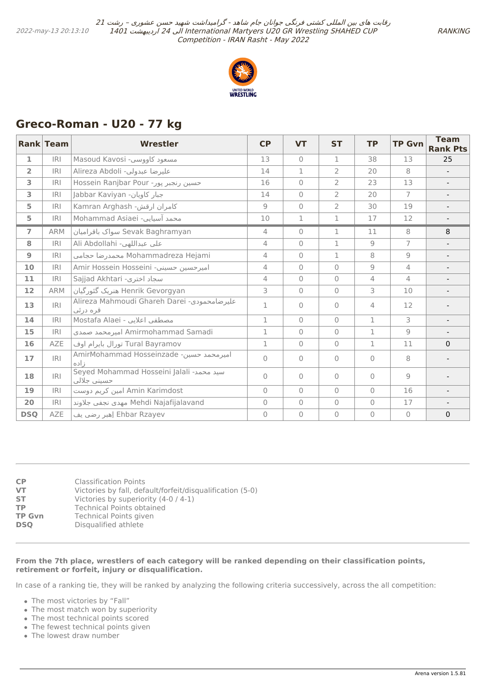

# <span id="page-36-0"></span>**Greco-Roman - U20 - 77 kg**

|                | <b>Rank Team</b> | <b>Wrestler</b>                                          | <b>CP</b>      | <b>VT</b>      | <b>ST</b>      | <b>TP</b>      | <b>TP Gvn</b>  | <b>Team</b><br><b>Rank Pts</b> |
|----------------|------------------|----------------------------------------------------------|----------------|----------------|----------------|----------------|----------------|--------------------------------|
| $\mathbf{1}$   | IRI              | Masoud Kavosi -مسعود كاووسي                              | 13             | $\overline{0}$ | 1              | 38             | 13             | 25                             |
| $\overline{2}$ | <b>IRI</b>       | Alireza Abdoli -عليرضا عبدولي                            | 14             | $\mathbf{1}$   | $\overline{2}$ | 20             | 8              | $\overline{\phantom{a}}$       |
| 3              | <b>IRI</b>       | Hossein Ranjbar Pour -حسين رنجبر پور                     | 16             | $\bigcap$      | $\overline{2}$ | 23             | 13             | $\overline{\phantom{a}}$       |
| 3              | <b>IRI</b>       | Jabbar Kaviyan -ببار كاويان                              | 14             | $\bigcap$      | $\overline{2}$ | 20             | $\overline{7}$ | $\overline{\phantom{a}}$       |
| 5              | <b>IRI</b>       | كامران ارقش- Kamran Arghash                              | 9              | $\overline{0}$ | 2              | 30             | 19             | $\overline{\phantom{a}}$       |
| 5              | <b>IRI</b>       | Mohammad Asiaei -محمد آسیایی                             | 10             | 1              | 1              | 17             | 12             |                                |
| $\overline{7}$ | <b>ARM</b>       | Sevak Baghramyan سواك باقراميان                          | 4              | $\mathbf{0}$   | 1              | 11             | 8              | 8                              |
| 8              | <b>IRI</b>       | Ali Abdollahi -على عبداللهي                              | $\overline{4}$ | $\mathbf{0}$   | $\mathbf 1$    | 9              | $\overline{7}$ |                                |
| 9              | IRI              | Mohammadreza Hejami محمدرضا حجامى                        | 4              | $\bigcap$      | 1              | 8              | 9              |                                |
| 10             | <b>IRI</b>       | Amir Hossein Hosseini -امیرحسین حسینی                    | 4              | $\bigcap$      | $\Omega$       | $\overline{9}$ | 4              |                                |
| 11             | <b>IRI</b>       | Sajjad Akhtari -سجاد اخترى                               | 4              | $\Omega$       | $\Omega$       | $\overline{4}$ | $\overline{4}$ |                                |
| 12             | <b>ARM</b>       | Henrik Gevorgyan هنریک گئورگیان                          | 3              | $\Omega$       | $\Omega$       | 3              | 10             | $\overline{\phantom{a}}$       |
| 13             | IRI              | Alireza Mahmoudi Ghareh Darei عليرضامحمودي-<br>قره در ئي | $\mathbf{1}$   | $\bigcap$      | $\Omega$       | $\overline{4}$ | 12             |                                |
| 14             | <b>IRI</b>       | Mostafa Alaei - مصطفى اعلايي                             | 1              | $\bigcap$      | $\Omega$       | $\mathbf{1}$   | 3              |                                |
| 15             | IRI              | Amirmohammad Samadi امیرمحمد صمدی                        | $\mathbf{1}$   | $\overline{0}$ | $\Omega$       | 1              | $\overline{9}$ |                                |
| 16             | <b>AZE</b>       | Tural Bayramov تورال بايرام اوف                          | 1              | $\overline{0}$ | $\Omega$       | 1              | 11             | $\Omega$                       |
| 17             | IRI              | AmirMohammad Hosseinzade -امیرمحمد حسین<br>نأده          | $\bigcap$      | $\bigcap$      | $\Omega$       | $\Omega$       | 8              |                                |
| 18             | IRI              | Seyed Mohammad Hosseini Jalali سيد محمد-<br>حسيني جلالي  | $\Omega$       | $\bigcap$      | $\Omega$       | $\Omega$       | 9              |                                |
| 19             | <b>IRI</b>       | Amin Karimdost امین کریم دوست                            | $\Omega$       | $\bigcap$      | $\Omega$       | $\Omega$       | 16             |                                |
| 20             | <b>IRI</b>       | Mehdi Najafijalavand مهدى نجفى جلاوند                    | $\Omega$       | $\overline{0}$ | $\Omega$       | $\Omega$       | 17             |                                |
| <b>DSO</b>     | AZE              | Ehbar Rzayev اِهبر رضي يف                                | $\overline{0}$ | $\overline{0}$ | $\Omega$       | $\Omega$       | $\Omega$       | $\mathbf{0}$                   |

| CP<br>VT      | <b>Classification Points</b><br>Victories by fall, default/forfeit/disqualification (5-0) |
|---------------|-------------------------------------------------------------------------------------------|
| <b>ST</b>     | Victories by superiority (4-0 / 4-1)                                                      |
| ТP            | <b>Technical Points obtained</b>                                                          |
| <b>TP Gvn</b> | Technical Points given                                                                    |
| <b>DSO</b>    | Disqualified athlete                                                                      |

#### **From the 7th place, wrestlers of each category will be ranked depending on their classification points, retirement or forfeit, injury or disqualification.**

In case of a ranking tie, they will be ranked by analyzing the following criteria successively, across the all competition:

- The most victories by "Fall"
- The most match won by superiority
- The most technical points scored
- The fewest technical points given
- The lowest draw number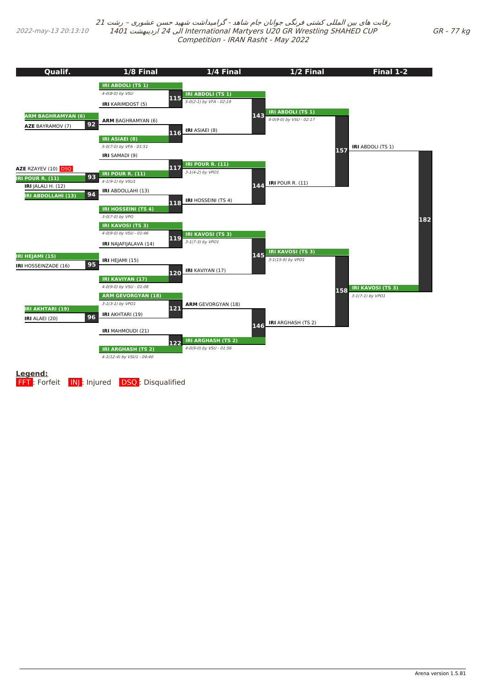2022-may-13 20:13:10

رقابت های بین المللی کشتی فرنگی جوانان جام شاهد - گرامیداشت شهید حسن عشوری – رشت <sup>21</sup> 1401 اردیبهشت 24 الی International Martyers U20 GR Wrestling SHAHED CUP Competition - IRAN Rasht - May 2022

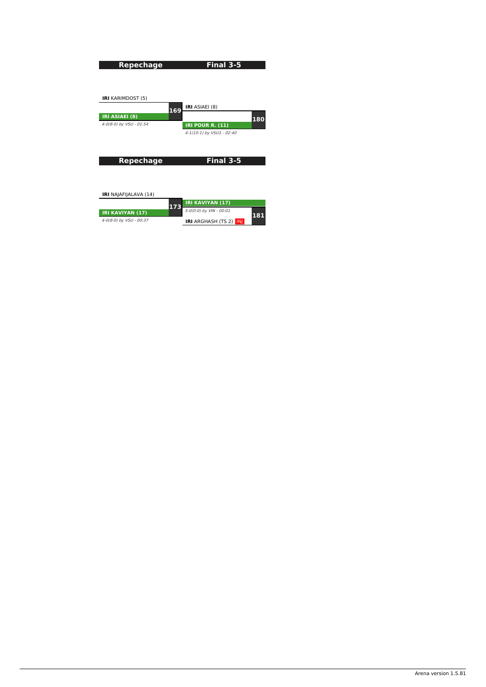<span id="page-38-0"></span>

| <b>Repechage</b>             | Final 3-5                      |
|------------------------------|--------------------------------|
|                              |                                |
|                              |                                |
|                              |                                |
| <b>IRI</b> KARIMDOST (5)     |                                |
| 169                          | <b>IRI</b> ASIAEI (8)          |
| <b>IRI ASIAEI (8)</b>        |                                |
| 4-0(8-0) by VSU - 01:54      | 180<br><b>IRI POUR R. (11)</b> |
|                              | 4-1(10-1) by VSU1 - 02:40      |
|                              |                                |
|                              |                                |
| <b>Repechage</b>             | Final 3-5                      |
|                              |                                |
|                              |                                |
|                              |                                |
| <b>IRI</b> NAJAFIJALAVA (14) |                                |

**181 IRI KAVIYAN (17)** 4-0(8-0) by VSU - 00:37 **173 IRI KAVIYAN (17)** 5-0(0-0) by VIN - 00:01 **IRI** ARGHASH (TS 2) INJ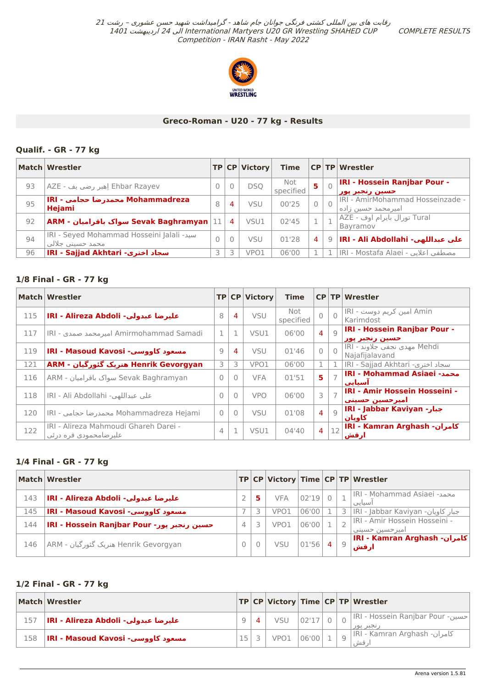COMPLETE RESULTS



## **Greco-Roman - U20 - 77 kg - Results**

## **Qualif. - GR - 77 kg**

|    | Match Wrestler                                                 |          |   | TP CP Victory | <b>Time</b>      |   | <b>CP TP Wrestler</b>                                   |
|----|----------------------------------------------------------------|----------|---|---------------|------------------|---|---------------------------------------------------------|
| 93 | Ehbar Rzayev إهبر رضي يف - AZE                                 | $\Omega$ |   | <b>DSO</b>    | Not<br>specified | 5 | <b>IRI - Hossein Ranjbar Pour -</b><br>حسين رنجبر پور   |
| 95 | Mohammadreza محمدرضا حجامي - IRI<br><b>Hejami</b>              | 8        | 4 | VSU           | 00'25            |   | IRI - AmirMohammad Hosseinzade -<br>امیر محمد حسین زاده |
| 92 |                                                                |          | 4 | VSU1          | 02'45            |   | Tural تورال بايرام اوف - AZE <br>Bayramov               |
| 94 | IRI - Seyed Mohammad Hosseini Jalali - سيد<br>محمد حسیني جلالي | $\Omega$ |   | <b>VSU</b>    | 01'28            | 4 | على عبداللهي- IRI - Ali Abdollahi 9 ∣                   |
| 96 | IRI - Sajjad Akhtari -سجاد اخترى                               |          |   | VPO1          | 06'00            |   | .  IRI - Mostafa Alaei - مصطفي اعلايي                   |

## **1/8 Final - GR - 77 kg**

|     | <b>Match Wrestler</b>                                            |          |                | TP CP Victory | <b>Time</b>      |                |          | CP TP Wrestler                                        |
|-----|------------------------------------------------------------------|----------|----------------|---------------|------------------|----------------|----------|-------------------------------------------------------|
| 115 | IRI - Alireza Abdoli - عليرضا عبدولي                             | 8        | 4              | <b>VSU</b>    | Not<br>specified | $\bigcap$      | $\Omega$ | Amin امین کریم دوست - IRI<br>Karimdost                |
| 117 | IRI - امیرمحمد صمدیا Amirmohammad Samadi                         | 1        | 1              | VSU1          | 06'00            | $\overline{4}$ | Q        | <b>IRI - Hossein Ranjbar Pour -</b><br>حسین رنجبر پور |
| 119 | IRI - Masoud Kavosi -مسعود كاووسي                                | 9        | 4              | <b>VSU</b>    | 01'46            | $\Omega$       |          | Mehdi مهدي نجفي جلاوند - IRI<br>Najafijalavand        |
| 121 | Henrik Gevorgyan هنریک گئورگیان - ARM                            | 3        | 3              | VPO1          | 06'00            | $\mathbf{1}$   |          | IRI - Sajjad Akhtari -سجاد اخترى                      |
| 116 | Sevak Baghramyan سواک باقرامیان - ARM                            | $\Omega$ | $\overline{0}$ | <b>VFA</b>    | 01'51            | 5              |          | <b>IRI - Mohammad Asiaei محمد</b> -<br>استانت         |
| 118 | IRI - Ali Abdollahi - على عبداللهي                               | $\Omega$ | $\Omega$       | <b>VPO</b>    | 06'00            | 3              |          | IRI - Amir Hossein Hosseini -<br>اميرحسين حسيني       |
| 120 | IRI - محمدرضا حجامی Mohammadreza Hejami                          | $\Omega$ | $\Omega$       | <b>VSU</b>    | 01'08            | $\overline{4}$ | Q        | IRI - Jabbar Kaviyan - جبار<br>كاويان                 |
| 122 | IRI - Alireza Mahmoudi Ghareh Darei -<br>علیر ضامحمودی قره در ئی | 4        | $\mathbf{1}$   | VSU1          | 04'40            | $\overline{4}$ | 12       | <b>IRI - Kamran Arghash - كامران</b><br>ارقش          |

## **1/4 Final - GR - 77 kg**

|     | Match Wrestler                             |   |   |            |       |   | TP CP Victory Time CP TP Wrestler               |
|-----|--------------------------------------------|---|---|------------|-------|---|-------------------------------------------------|
| 143 | عليرضا عبدولي- IRI - Alireza Abdoli        |   | 5 | <b>VFA</b> | 02'19 |   | IRI - Mohammad Asiaei محمد<br>آسياني            |
| 145 | مسعود كاووسي- IRI - Masoud Kavosi          |   |   | VPO1       | 06'00 |   | - جبار كاويان- IRI - Jabbar Kaviyan             |
| 144 | IRI - Hossein Ranjbar Pour -حسين رنجبر يور | 4 |   | VPO1       | 06'00 |   | IRI - Amir Hossein Hosseini -<br>اميرحسين حسيني |
| 146 | Henrik Gevorgyan هنریک گئورگیان - ARM      |   |   | <b>VSU</b> | 01'56 | Q | <b>IRI - Kamran Arghash - كامران</b><br>ارقش    |

## **1/2 Final - GR - 77 kg**

|     | Match Wrestler                       |  |                  |                      |  | TP CP Victory Time CP TP Wrestler               |
|-----|--------------------------------------|--|------------------|----------------------|--|-------------------------------------------------|
| 157 | IRI - Alireza Abdoli - عليرضا عبدولي |  | VSU              | $-102'17$ $^{\circ}$ |  | مطسین- IRI - Hossein Ranjbar Pour<br>ِ نجبر پور |
| 158 | IRI - Masoud Kavosi -مسعود کاووسي    |  | VPO <sub>1</sub> | 06'00                |  | IRI - Kamran Arghash - كامران<br>قش ِ           |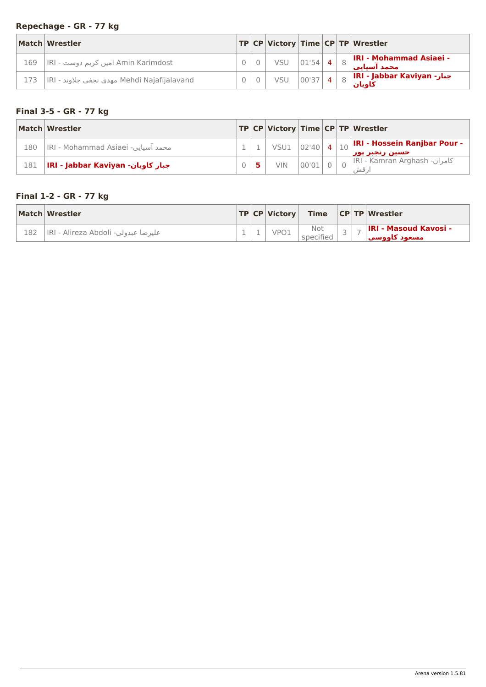# <span id="page-40-0"></span>**Repechage - GR - 77 kg**

|     | Match Wrestler                              |  |            |             |  | TP   CP   Victory   Time   CP   TP   Wrestler           |
|-----|---------------------------------------------|--|------------|-------------|--|---------------------------------------------------------|
| 169 | IRI - امین کریم دوست  IRI                   |  | <b>VSU</b> | $ 01'54 $ 4 |  | $\frac{1}{8}$   IRI - Mohammad Asiaei -<br>امحمد آستاني |
| 173 | IRI - مهدي نجفي جلاوند Mehdi Najafijalavand |  | <b>VSU</b> | $ 00'37 $ 4 |  | IRI - Jabbar Kaviyan - جبار<br>كاويان                   |

## **Final 3-5 - GR - 77 kg**

|     | Match Wrestler                     |  |                  |       |  | TP CP Victory Time CP TP Wrestler                                                        |
|-----|------------------------------------|--|------------------|-------|--|------------------------------------------------------------------------------------------|
| 180 | IRI - Mohammad Asiaei -محمد آسیایی |  | VSU1 $ 02'40 $ 4 |       |  | $\left\  \cdot \right\ _{10}\big \text{IRI - Hossein Ranjbar Pour}$ -<br>حسین رنجبر پور∣ |
| 181 | IRI - Jabbar Kaviyan -جبار كاويان  |  | <b>VIN</b>       | 00'01 |  | IRI - Kamran Arghash - كامران<br>'، قش                                                   |

# **Final 1-2 - GR - 77 kg**

|     | Match Wrestler                      |  | TP CP Victory |                  |  | Time CPTP Wrestler                            |
|-----|-------------------------------------|--|---------------|------------------|--|-----------------------------------------------|
| 182 | عليرضا عبدولي- IRI - Alireza Abdoli |  | VPO1          | Not<br>specified |  | <b>IRI - Masoud Kavosi -</b><br>امسعود كاووسى |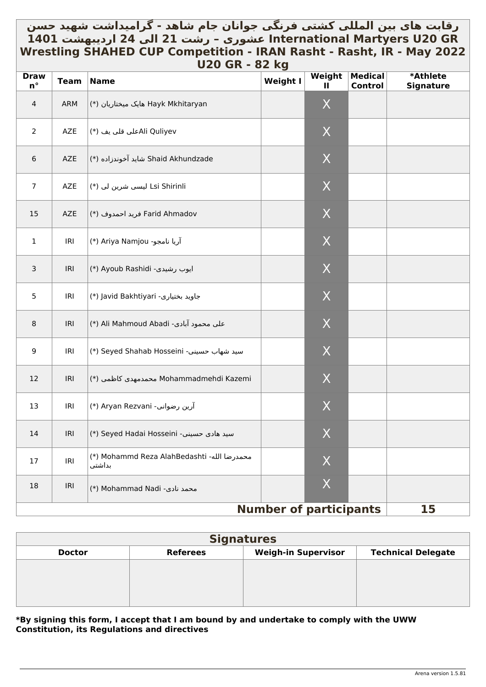# <span id="page-41-0"></span>رقابت های بین المللی کشتی فرنگی جوانان جام شاهد - گرامیداشت شهید حسن **GR 20U Martyers International عشوری – رشت 21 الی 24 اردیبهشت 1401 Wrestling SHAHED CUP Competition - IRAN Rasht - Rasht, IR - May 2022 U20 GR - 82 kg**

| <b>Draw</b><br>$n^{\circ}$ | <b>Team</b> | <b>Name</b>                                           | - 19<br><b>Weight I</b>       | Weight<br>Ш | <b>Medical</b><br><b>Control</b> | <b>*Athlete</b><br><b>Signature</b> |
|----------------------------|-------------|-------------------------------------------------------|-------------------------------|-------------|----------------------------------|-------------------------------------|
| 4                          | ARM         | Hayk Mkhitaryan هایک میختاریان (*)                    |                               | X           |                                  |                                     |
| $\overline{2}$             | AZE         | Ali Quliyevعلى قلي يف (*)                             |                               | X           |                                  |                                     |
| 6                          | AZE         | Shaid Akhundzade شايد آخوندزاده (*)                   |                               | X           |                                  |                                     |
| $\overline{7}$             | AZE         | Lsi Shirinli لیسی شرین لی (*)                         |                               | X           |                                  |                                     |
| 15                         | AZE         | Farid Ahmadov فريد احمدوف (*)                         |                               | X           |                                  |                                     |
| $\mathbf{1}$               | IRI         | (*) Ariya Namjou (*)                                  |                               | X           |                                  |                                     |
| $\mathsf{3}$               | IRI         | (*) Ayoub Rashidi -ايوب رشيدي)                        |                               | X           |                                  |                                     |
| 5                          | IRI         | (*) Javid Bakhtiyari -جاويد بختيارى                   |                               | $\sf X$     |                                  |                                     |
| $\, 8$                     | IRI         | (*) Ali Mahmoud Abadi -على محمود آبادى                |                               | X           |                                  |                                     |
| 9                          | IRI         | (*) Seyed Shahab Hosseini -سيد شهاب حسيني             |                               | X           |                                  |                                     |
| 12                         | <b>IRI</b>  | Mohammadmehdi Kazemi محمدمهدي كاظمى (*)               |                               | X           |                                  |                                     |
| 13                         | IRI         | (*) Aryan Rezvani - آرين رضواني(                      |                               | X           |                                  |                                     |
| 14                         |             | IRI   (*) Seyed Hadai Hosseini -سید هادی حسینی        |                               | $\mathsf X$ |                                  |                                     |
| 17                         | IRI         | (*) Mohammd Reza AlahBedashti -محمدرضا الله<br>بداشتي |                               | X           |                                  |                                     |
| 18                         | <b>IRI</b>  | (*) Mohammad Nadi -محمد نادی                          |                               | X           |                                  |                                     |
|                            |             |                                                       | <b>Number of participants</b> |             |                                  | 15                                  |

| <b>Signatures</b> |                 |                            |                           |  |  |  |  |  |  |
|-------------------|-----------------|----------------------------|---------------------------|--|--|--|--|--|--|
| <b>Doctor</b>     | <b>Referees</b> | <b>Weigh-in Supervisor</b> | <b>Technical Delegate</b> |  |  |  |  |  |  |
|                   |                 |                            |                           |  |  |  |  |  |  |
|                   |                 |                            |                           |  |  |  |  |  |  |
|                   |                 |                            |                           |  |  |  |  |  |  |
|                   |                 |                            |                           |  |  |  |  |  |  |

## **\*By signing this form, I accept that I am bound by and undertake to comply with the UWW Constitution, its Regulations and directives**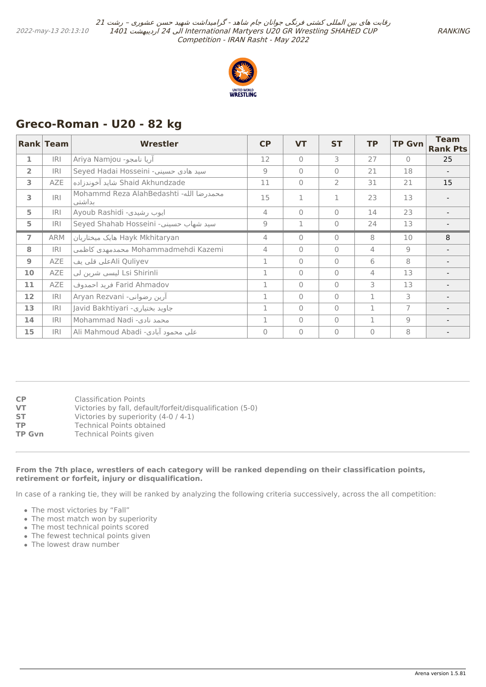

# <span id="page-42-0"></span>**Greco-Roman - U20 - 82 kg**

|                   | Rank Team  | <b>Wrestler</b>                                   | CP           | <b>VT</b> | <b>ST</b>      | <b>TP</b>      | <b>TP Gvn</b>  | <b>Team</b><br><b>Rank Pts</b> |
|-------------------|------------|---------------------------------------------------|--------------|-----------|----------------|----------------|----------------|--------------------------------|
| 1                 | <b>IRI</b> | آریا نامجو- Ariya Namjou                          | 12           | $\Omega$  | 3              | 27             | $\bigcap$      | 25                             |
| $\overline{2}$    | <b>IRI</b> | Seyed Hadai Hosseini -سید هادی حسینی              | 9            | $\bigcap$ | $\Omega$       | 21             | 18             |                                |
| 3                 | <b>AZE</b> | Shaid Akhundzade شايد آخوندزاده                   | 11           | $\bigcap$ | $\overline{2}$ | 31             | 21             | 15                             |
| 3                 | R          | Mohammd Reza AlahBedashti -محمدرضا الله<br>بداشتي | 15           | 1         | 1              | 23             | 13             |                                |
| 5                 | <b>IRI</b> | Ayoub Rashidi -ایوب رشیدی                         | 4            | $\bigcap$ | $\Omega$       | 14             | 23             |                                |
| 5                 | <b>IRI</b> | Seyed Shahab Hosseini -سيد شهاب حسيني             | 9            | 1         | $\Omega$       | 24             | 13             |                                |
| $\overline{7}$    | <b>ARM</b> | Hayk Mkhitaryan هایک میختاریان                    | 4            | $\bigcap$ | $\Omega$       | 8              | 10             | 8                              |
| 8                 | <b>IRI</b> | Mohammadmehdi Kazemi محمدمهدي كاظمي               | 4            | $\bigcap$ | $\Omega$       | $\overline{4}$ | 9              |                                |
| $\overline{9}$    | <b>AZE</b> | Ali Quliyevملى قلى يف                             | 1            | $\bigcap$ | $\Omega$       | 6              | 8              |                                |
| 10                | AZE        | Lsi Shirinli ليسي شرين لي                         | $\mathbf{1}$ | $\bigcap$ | $\Omega$       | $\overline{4}$ | 13             |                                |
| 11                | AZE        | Farid Ahmadov فريد احمدوف                         | 1            | $\bigcap$ | $\Omega$       | 3              | 13             |                                |
| $12 \overline{ }$ | <b>IRI</b> | آرین رضوانی- Aryan Rezvani                        | 1            | $\bigcap$ | $\Omega$       | 1              | 3              |                                |
| 13                | IRI        | Javid Bakhtiyari -جاويد بختياري                   | $\mathbf{1}$ | $\Omega$  | $\Omega$       | $\mathbf{1}$   | 7              |                                |
| 14                | <b>IRI</b> | Mohammad Nadi -محمد نادی                          | 1            | $\bigcap$ | $\Omega$       | 1              | $\overline{9}$ |                                |
| 15                | <b>IRI</b> | على محمود ابادي- Ali Mahmoud Abadi                | $\Omega$     | $\bigcap$ | $\Omega$       | $\Omega$       | 8              |                                |

| СP     | Classification Points                                     |
|--------|-----------------------------------------------------------|
| VT     | Victories by fall, default/forfeit/disqualification (5-0) |
| SТ     | Victories by superiority (4-0 / 4-1)                      |
| ТP     | Technical Points obtained                                 |
| TP Gvn | <b>Technical Points given</b>                             |
|        |                                                           |

#### **From the 7th place, wrestlers of each category will be ranked depending on their classification points, retirement or forfeit, injury or disqualification.**

In case of a ranking tie, they will be ranked by analyzing the following criteria successively, across the all competition:

- The most victories by "Fall"
- The most match won by superiority
- The most technical points scored
- The fewest technical points given
- The lowest draw number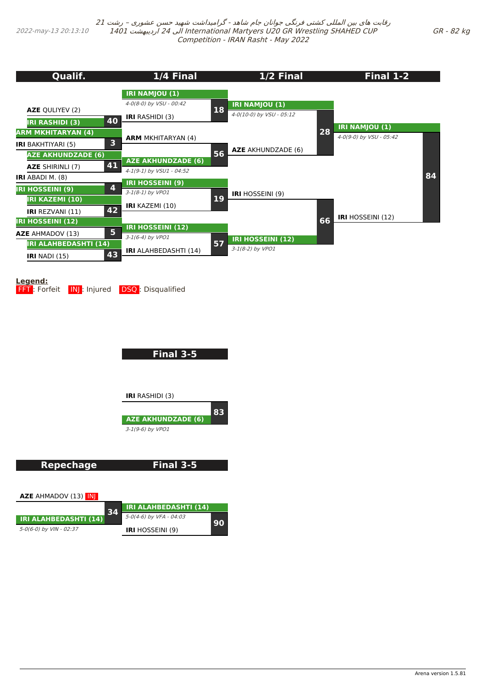<span id="page-43-0"></span>2022-may-13 20:13:10

رقابت های بین المللی کشتی فرنگی جوانان جام شاهد - گرامیداشت شهید حسن عشوری – رشت <sup>21</sup> 1401 اردیبهشت 24 الی International Martyers U20 GR Wrestling SHAHED CUP Competition - IRAN Rasht - May 2022

| <b>Qualif.</b>                                          | 1/4 Final                                             |    | 1/2 Final                 |    | Final 1-2                |    |
|---------------------------------------------------------|-------------------------------------------------------|----|---------------------------|----|--------------------------|----|
|                                                         | <b>IRI NAMJOU (1)</b>                                 |    |                           |    |                          |    |
| <b>AZE QULIYEV (2)</b>                                  | 4-0(8-0) by VSU - 00:42                               | 18 | <b>IRI NAMJOU (1)</b>     |    |                          |    |
| 40<br><b>IRI RASHIDI (3)</b>                            | <b>IRI</b> RASHIDI (3)                                |    | 4-0(10-0) by VSU - 05:12  |    | <b>IRI NAMJOU (1)</b>    |    |
| ARM MKHITARYAN (4)<br>3                                 | <b>ARM MKHITARYAN (4)</b>                             |    |                           | 28 | 4-0(9-0) by VSU - 05:42  |    |
| <b>IRI</b> BAKHTIYARI (5)<br><b>AZE AKHUNDZADE (6)</b>  |                                                       | 56 | <b>AZE</b> AKHUNDZADE (6) |    |                          |    |
| 41<br><b>AZE SHIRINLI (7)</b>                           | <b>AZE AKHUNDZADE (6)</b><br>4-1(9-1) by VSU1 - 04:52 |    |                           |    |                          |    |
| <b>IRI</b> ABADI M. (8)                                 | <b>IRI HOSSEINI (9)</b>                               |    |                           |    |                          | 84 |
| 4<br><b>IRI HOSSEINI (9)</b><br><b>IRI KAZEMI (10)</b>  | $3-1(8-1)$ by VPO1                                    | 19 | <b>IRI</b> HOSSEINI (9)   |    |                          |    |
| 42<br><b>IRI REZVANI (11)</b>                           | <b>IRI</b> KAZEMI (10)                                |    |                           |    | <b>IRI</b> HOSSEINI (12) |    |
| <b>IRI HOSSEINI (12)</b><br>5                           | <b>IRI HOSSEINI (12)</b>                              |    |                           | 66 |                          |    |
| <b>AZE</b> AHMADOV (13)<br><b>IRI ALAHBEDASHTI (14)</b> | 3-1(6-4) by VPO1                                      | 57 | <b>IRI HOSSEINI (12)</b>  |    |                          |    |
| 43<br>$IRI$ NADI $(15)$                                 | <b>IRI</b> ALAHBEDASHTI (14)                          |    | 3-1(8-2) by VPO1          |    |                          |    |

**Legend:**

FFT: Forfeit **INJ**: Injured **DSQ**: Disqualified

**Final 3-5**

**IRI** RASHIDI (3)

**AZE AKHUNDZADE (6)** 3-1(9-6) by VPO1 **83**

**Repechage**

**Final 3-5**

**AZE** AHMADOV (13) INJ

| 34                           | <b>IRI ALAHBEDASHTI (14)</b> |    |
|------------------------------|------------------------------|----|
| <b>IRI ALAHBEDASHTI (14)</b> | 5-0(4-6) by VFA - 04:03      | ാറ |
| 5-0(6-0) by VIN - 02:37      | <b>IRI</b> HOSSEINI (9)      |    |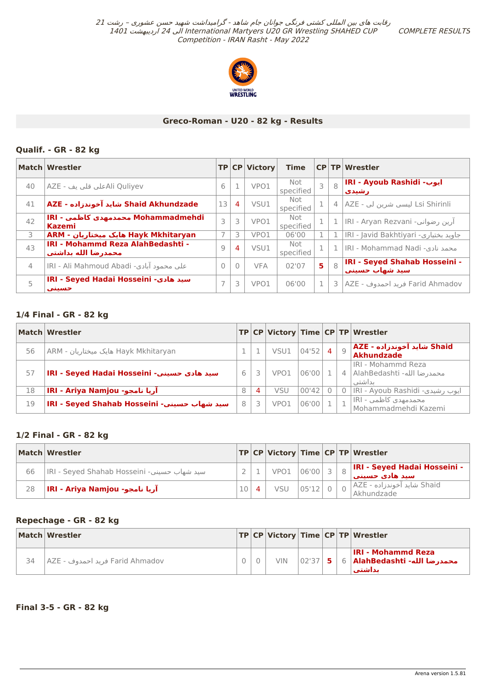COMPLETE RESULTS



## **Greco-Roman - U20 - 82 kg - Results**

## **Qualif. - GR - 82 kg**

|                | Match Wrestler                                           |                |          | <b>TP CP Victory</b> | <b>Time</b>      |                |   | <b>CP TP Wrestler</b>                                  |
|----------------|----------------------------------------------------------|----------------|----------|----------------------|------------------|----------------|---|--------------------------------------------------------|
| 40             | Ali Quliyevحلي قلي يف - AZE                              | 6              |          | VPO1                 | Not<br>specified | 3              | 8 | <b>IRI - Ayoub Rashidi - ایوب</b><br>رشیدی             |
| 41             | Shaid Akhundzade شايد آخوندزاده - AZE                    | 13             | 4        | VSU1                 | Not<br>specified | $\mathbf 1$    | 4 | Lsi Shirinli ليسي شرين لي - AZE                        |
| 42             | Mohammadmehdi محمدمهدی کاظمی - IRI<br><b>Kazemi</b>      | 3              | 3        | VPO1                 | Not<br>specified |                |   | آرین رضوانی- IRI - Aryan Rezvani                       |
| 3              | ARM - هایک میختاریان - ARM                               | $\overline{7}$ | 3        | VPO1                 | 06'00            | 1              |   | IRI - Javid Bakhtiyari -جاويد بختياري                  |
| 43             | IRI - Mohammd Reza AlahBedashti -<br>محمدرضا الله بداشتي | 9              | 4        | VSU1                 | Not<br>specified |                |   | IRI - Mohammad Nadi -محمد نادی                         |
| $\overline{4}$ | IRI - Ali Mahmoud Abadi - على محمود آبادي                | $\Omega$       | $\Omega$ | <b>VFA</b>           | 02'07            | 5 <sup>1</sup> | 8 | <b>IRI - Seyed Shahab Hosseini -</b><br>سيد شهاب حسيني |
| 5              | IRI - Seyed Hadai Hosseini -سید هادی<br>حسنني            | 7              | 3        | VPO1                 | 06'00            | $\mathbf 1$    | 3 | Farid Ahmadov فريد احمدوف - AZE                        |

## **1/4 Final - GR - 82 kg**

|    | Match Wrestler                              |   |   |      |       |                |   | TP CP Victory Time CP TP Wrestler                                |
|----|---------------------------------------------|---|---|------|-------|----------------|---|------------------------------------------------------------------|
| 56 | ARM - هایک میختاریان - ARM                  |   |   | VSU1 | 04'52 | $\overline{4}$ | Q | ِ Shaid شاید آخوندزاده - AZE <br>Akhundzade                      |
| 57 | IRI - Seyed Hadai Hosseini - سيد هادي حسيني | 6 |   | VPO1 | 06'00 |                |   | IRI - Mohammd Reza<br>محمدر ضا الله- AlahBedashti   4<br>ابداشتي |
| 18 | آریا نامجو- IRI - Ariya Namjou              | 8 | 4 | VSU  | 00'42 |                |   | IRI - Ayoub Rashidi -ايوب رشيدي                                  |
| 19 | IRI - Seyed Shahab Hosseini -سيد شهاب حسيني | 8 |   | VPO1 | 06'00 |                |   | محمدمهدی کاظمپ - IRI <br>Mohammadmehdi Kazemi                    |

## **1/2 Final - GR - 82 kg**

|    | Match Wrestler                              |  |              |       |  | TP CP Victory Time CP TP Wrestler                      |
|----|---------------------------------------------|--|--------------|-------|--|--------------------------------------------------------|
| 66 | IRI - Seyed Shahab Hosseini -سید شهاب حسینی |  | VPO1 06'00 3 |       |  | <b>IRI - Seyed Hadai Hosseini -</b><br>اسید هادی حسینب |
| 28 | اُرِيا نامجو- IRI - Ariya Namjou            |  | VSU          | 05'12 |  | Shaid شاید آخوندزاده - AZE <br>Akhundzade              |

## **Repechage - GR - 82 kg**

|    | Match Wrestler                    |  |            |           |  | TP CP Victory Time CP TP Wrestler                                       |
|----|-----------------------------------|--|------------|-----------|--|-------------------------------------------------------------------------|
| 34 | - Farid Ahmadov فريد احمدوف - AZE |  | <b>VIN</b> | $02'37$ 5 |  | <b>IRI - Mohammd Reza</b><br>محمدرضا الله- AlahBedashti   6  <br>بداشتت |

**Final 3-5 - GR - 82 kg**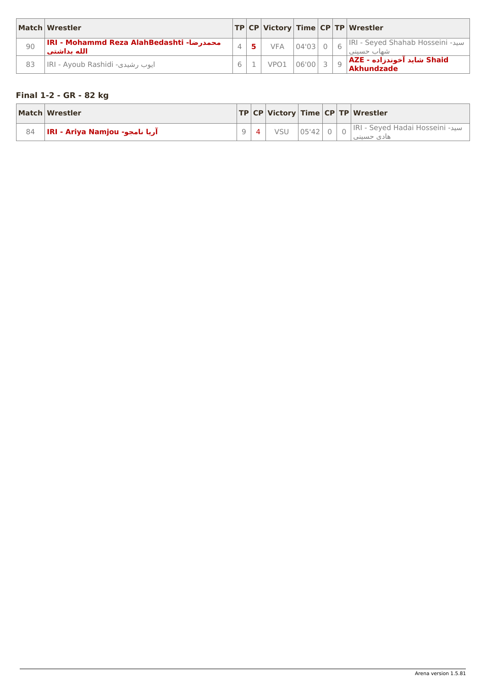<span id="page-45-0"></span>

|    | Match Wrestler                                          |  |            |         |            | TP CP Victory Time CP TP Wrestler                |
|----|---------------------------------------------------------|--|------------|---------|------------|--------------------------------------------------|
| 90 | IRI - Mohammd Reza AlahBedashti -محمدرضا<br>الله بداشتي |  | <b>VFA</b> | 04'03   | $\sqrt{2}$ | IRI - Seyed Shahab Hosseini -سيد<br>شفات حسيني   |
| 83 | IRI - Ayoub Rashidi - ایوب رشیدی                        |  | VPO1       | 06'0013 |            | Shaid شايد آخوندزاده - AZE <br><b>Akhundzade</b> |

# **Final 1-2 - GR - 82 kg**

|    | Match Wrestler                 |  |     |       |  | TP   CP   Victory   Time   CP   TP   Wrestler                 |
|----|--------------------------------|--|-----|-------|--|---------------------------------------------------------------|
| 84 | آریا نامجو- IRI - Ariya Namjou |  | VSU | 05'42 |  | ا <sub>O</sub>  IRI - Seyed Hadai Hosseini -سید<br>هادي حسيني |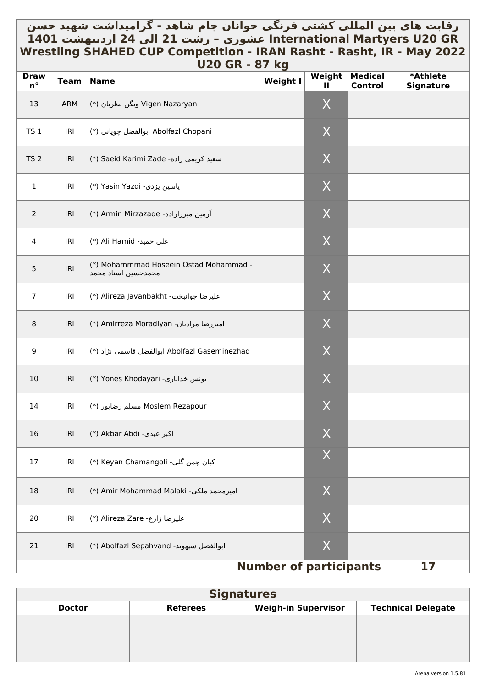# رقابت های بین المللي کشتي فرنگي جوانان جام شاهد - گرامیداشت شهید حسن \_ **GR 20U Martyers International عشوری – رشت 21 الی 24 اردیبهشت 1401 Wrestling SHAHED CUP Competition - IRAN Rasht - Rasht, IR - May 2022 U20 GR - 87 kg**

| <b>Draw</b><br>$n^{\circ}$ | <b>Team</b> | <b>Name</b>                                                   | $\mathbf{v}$ , $\mathbf{v}$<br><b>Weight I</b> | Weight<br>Ш        | <b>Medical</b><br>Control | *Athlete<br><b>Signature</b> |
|----------------------------|-------------|---------------------------------------------------------------|------------------------------------------------|--------------------|---------------------------|------------------------------|
| 13                         | ARM         | Vigen Nazaryan ویگن نظریان (*)                                |                                                | X                  |                           |                              |
| <b>TS 1</b>                | IRI         | Abolfazl Chopani ابوالفضل چوپانی (*)                          |                                                | X                  |                           |                              |
| TS <sub>2</sub>            | IRI         | (*) Saeid Karimi Zade -سعيد كريمي زاده                        |                                                | X                  |                           |                              |
| $\mathbf{1}$               | IRI         | (*) Yasin Yazdi (*)                                           |                                                | X                  |                           |                              |
| $\overline{2}$             | IRI         | (*) Armin Mirzazade -اَرمین میرزازاده                         |                                                | X                  |                           |                              |
| 4                          | IRI         | على حميد- Ali Hamid (*)                                       |                                                | X                  |                           |                              |
| $\overline{5}$             | IRI         | (*) Mohammmad Hoseein Ostad Mohammad -<br>محمدحسين استاد محمد |                                                | X                  |                           |                              |
| $\overline{7}$             | IRI         | عليرضا جوانبخت- Alireza Javanbakht (*)                        |                                                | X                  |                           |                              |
| 8                          | IRI         | (*) Amirreza Moradiyan (*)                                    |                                                | X                  |                           |                              |
| 9                          | IRI         | Abolfazl Gaseminezhad ابوالفضل قاسمى نژاد (*)                 |                                                | X                  |                           |                              |
| 10                         | IRI         | (*) Yones Khodayari (*)                                       |                                                | X                  |                           |                              |
| 14                         | IRI         | Moslem Rezapour مسلم رضاپور (*)                               |                                                | $\boldsymbol{X}$   |                           |                              |
| 16                         | IRI         | (*) Akbar Abdi -اکبر عبدی)                                    |                                                | $\mathsf{X}% _{0}$ |                           |                              |
| 17                         | IRI         | (*) Keyan Chamangoli -كيان چمن گلى                            |                                                | X                  |                           |                              |
| 18                         | IRI         | (*) Amir Mohammad Malaki -امیرمحمد ملکی)                      |                                                | $\boldsymbol{X}$   |                           |                              |
| 20                         | IRI         | (*) Alireza Zare - عليرضا زارع                                |                                                | $\boldsymbol{X}$   |                           |                              |
| 21                         | IRI         | (*) Abolfazl Sepahvand (*)                                    |                                                | $\boldsymbol{X}$   |                           |                              |
|                            |             |                                                               | <b>Number of participants</b>                  |                    |                           | 17                           |

| <b>Signatures</b> |                           |  |  |  |  |  |  |  |  |  |
|-------------------|---------------------------|--|--|--|--|--|--|--|--|--|
| <b>Doctor</b>     | <b>Technical Delegate</b> |  |  |  |  |  |  |  |  |  |
|                   |                           |  |  |  |  |  |  |  |  |  |
|                   |                           |  |  |  |  |  |  |  |  |  |
|                   |                           |  |  |  |  |  |  |  |  |  |
|                   |                           |  |  |  |  |  |  |  |  |  |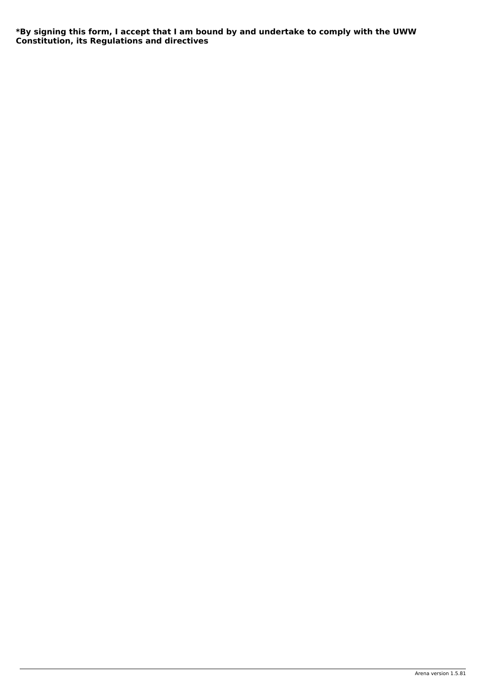<span id="page-47-0"></span>**\*By signing this form, I accept that I am bound by and undertake to comply with the UWW Constitution, its Regulations and directives**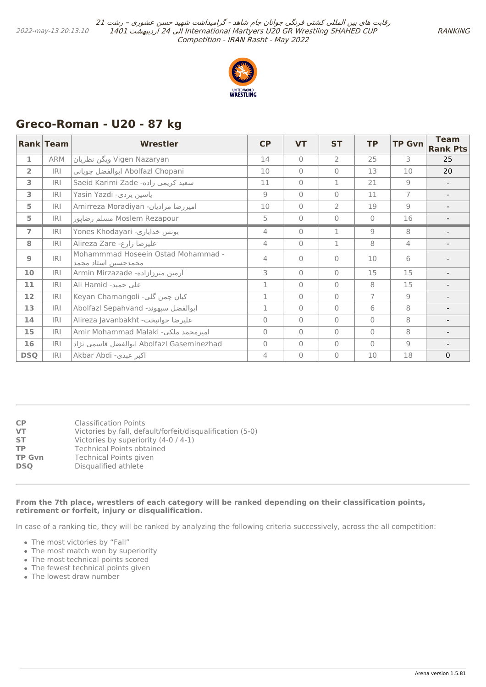

# <span id="page-48-0"></span>**Greco-Roman - U20 - 87 kg**

|                | <b>Rank Team</b> | <b>Wrestler</b>                                           | <b>CP</b>      | <b>VT</b>    | <b>ST</b>      | <b>TP</b>      | <b>TP Gvn</b>  | <b>Team</b><br><b>Rank Pts</b> |
|----------------|------------------|-----------------------------------------------------------|----------------|--------------|----------------|----------------|----------------|--------------------------------|
| 1              | ARM              | Vigen Nazaryan ویگن نظریان                                | 14             | $\bigcap$    | 2              | 25             | 3              | 25                             |
| $\overline{2}$ | IRI              | Abolfazl Chopani ابوالفضل جوياني                          | 10             | $\mathbf{0}$ | $\Omega$       | 13             | 10             | 20                             |
| 3              | <b>IRI</b>       | Saeid Karimi Zade -سعيد كريمي زاده                        | 11             | $\Omega$     | 1              | 21             | 9              |                                |
| 3              | <b>IRI</b>       | Yasin Yazdi -ياسين يزدي                                   | 9              | $\bigcap$    | $\Omega$       | 11             | $\overline{7}$ |                                |
| 5              | IRI              | Amirreza Moradiyan -امیررضا مرادیان                       | 10             | $\bigcap$    | $\overline{2}$ | 19             | $\overline{9}$ |                                |
| 5              | IRI              | Moslem Rezapour مسلم رضاپور                               | 5              | $\Omega$     | $\Omega$       | $\Omega$       | 16             |                                |
| $\overline{ }$ | R                | Yones Khodayari -يونس خداياري                             | $\overline{4}$ | $\Omega$     | $\mathbf 1$    | 9              | 8              |                                |
| 8              | R                | Alireza Zare - عليرضا زارع                                | $\overline{4}$ | $\mathbf{0}$ | $\mathbf 1$    | 8              | $\overline{4}$ |                                |
| $\mathbf{9}$   | IRI              | Mohammmad Hoseein Ostad Mohammad -<br>محمدحسين استاد محمد | 4              | $\bigcap$    | $\Omega$       | 10             | 6              |                                |
| 10             | R                | آرمین میرزازاده- Armin Mirzazade                          | 3              | $\Omega$     | $\Omega$       | 15             | 15             |                                |
| 11             | IRI              | Ali Hamid -على حميد                                       | 1              | $\Omega$     | $\overline{0}$ | 8              | 15             |                                |
| 12             | IRI              | Keyan Chamangoli -کیان چمن گلی                            | 1              | $\Omega$     | $\Omega$       | $\overline{7}$ | 9              |                                |
| 13             | R                | Abolfazl Sepahvand ابوالفضل سپهوند-                       | 1              | $\Omega$     | $\Omega$       | 6              | 8              |                                |
| 14             | R                | Alireza Javanbakht - عليرضا جوانبخت                       | $\mathbf 0$    | $\bigcap$    | $\overline{0}$ | $\Omega$       | 8              |                                |
| 15             | IRI              | Amir Mohammad Malaki -امیرمحمد ملکی                       | $\overline{0}$ | $\bigcap$    | $\overline{0}$ | $\Omega$       | 8              |                                |
| 16             | IRI              | Abolfazl Gaseminezhad ابوالفضل قاسمي نژاد                 | $\Omega$       | $\bigcap$    | $\overline{0}$ | $\Omega$       | $\overline{9}$ |                                |
| <b>DSQ</b>     | R                | Akbar Abdi -اکبر عبدی                                     | 4              | $\Omega$     | $\Omega$       | 10             | 18             | $\mathbf{0}$                   |

| СP         | <b>Classification Points</b>                              |
|------------|-----------------------------------------------------------|
| VT         | Victories by fall, default/forfeit/disqualification (5-0) |
| SТ         | Victories by superiority (4-0 / 4-1)                      |
| ТP         | <b>Technical Points obtained</b>                          |
| TP Gvn     | <b>Technical Points given</b>                             |
| <b>DSO</b> | Disqualified athlete                                      |
|            |                                                           |

#### **From the 7th place, wrestlers of each category will be ranked depending on their classification points, retirement or forfeit, injury or disqualification.**

In case of a ranking tie, they will be ranked by analyzing the following criteria successively, across the all competition:

- The most victories by "Fall"
- The most match won by superiority
- The most technical points scored
- The fewest technical points given
- The lowest draw number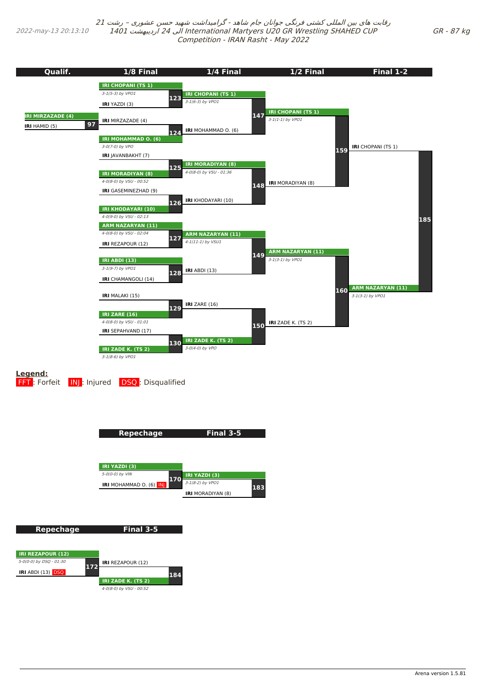<span id="page-49-0"></span>2022-may-13 20:13:10

رقابت های بین المللی کشتی فرنگی جوانان جام شاهد - گرامیداشت شهید حسن عشوری – رشت <sup>21</sup> 1401 اردیبهشت 24 الی International Martyers U20 GR Wrestling SHAHED CUP Competition - IRAN Rasht - May 2022



**184**

**172**

**IRI** ABDI (13) DSQ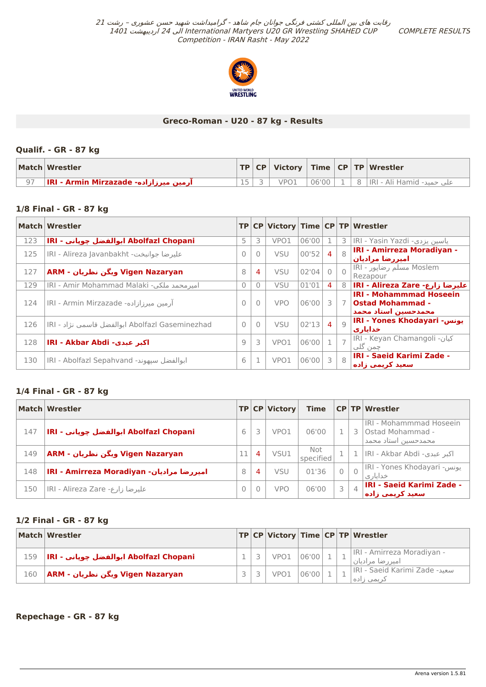COMPLETE RESULTS



## **Greco-Roman - U20 - 87 kg - Results**

## **Qualif. - GR - 87 kg**

| Match Wrestler                             |  |      |       |  | $ TP CP $ Victory $ Time CP TP $ Wrestler |
|--------------------------------------------|--|------|-------|--|-------------------------------------------|
| ∣ آرمین میرزازاده- IRI - Armin Mirzazade - |  | VPO1 | 06'00 |  | علي حميد- IIRI - Ali Hamid ا              |

## **1/8 Final - GR - 87 kg**

|     | Match Wrestler                                  |                |                |            |       |                |                | TP CP Victory Time CP TP Wrestler                                                |
|-----|-------------------------------------------------|----------------|----------------|------------|-------|----------------|----------------|----------------------------------------------------------------------------------|
| 123 | IRI - ابوالفضل چوپاني - IRI - ابوالفضل          | 5              | 3              | VPO1       | 06'00 |                |                | <b>3   IRI - Yasin Yazdi - ياسين يزدى</b>                                        |
| 125 | IRI - Alireza Javanbakht - عليرضا جوانبخت       | $\Omega$       | $\Omega$       | <b>VSU</b> | 00'52 | 4              | $\mathcal{R}$  | <b>IRI - Amirreza Moradiyan -</b><br>اميررضا مراديان                             |
| 127 | Vigen Nazaryan ویگن نظریان - ARM                | 8              | $\overline{4}$ | <b>VSU</b> | 02'04 |                | $\bigcap$      | Moslem مسلم رضاپور - IRI<br>Rezapour                                             |
| 129 | IRI - Amir Mohammad Malaki -میر محمد ملکی       | $\Omega$       |                | VSU        | 01'01 | 4              | 8              | IRI - Alireza Zare -اعليرضا زارع                                                 |
| 124 | آرمین میرزازاده- IRI - Armin Mirzazade          | $\Omega$       | $\bigcap$      | <b>VPO</b> | 06'00 | 3              | $7\phantom{0}$ | <b>IRI - Mohammmad Hoseein</b><br><b>Ostad Mohammad -</b><br>محمدحسين استاد محمد |
| 126 | Abolfazl Gaseminezhad ابوالفضل قاسمي نژاد - IRI | $\bigcap$      |                | <b>VSU</b> | 02'13 | $\overline{4}$ | Q              | IRI - Yones Khodayari - يونس<br>خدایاری                                          |
| 128 | <b>IRI - Akbar Abdi - اکبر عبدی</b>             | $\overline{9}$ | 3              | VPO1       | 06'00 |                |                | IRI - Keyan Chamangoli - كيان<br>چمن گلي                                         |
| 130 | IRI - Abolfazl Sepahvand -ابوالفضل سيهوند       | 6              |                | VPO1       | 06'00 | 3              | 8              | <b>IRI - Saeid Karimi Zade -</b><br>اسعيد كريمي زاده                             |

## **1/4 Final - GR - 87 kg**

|     | Match Wrestler                            |   |   | TP CP Victory    | <b>Time</b>      |                | $CP$ TP Wrestler                                                      |
|-----|-------------------------------------------|---|---|------------------|------------------|----------------|-----------------------------------------------------------------------|
| 147 | Abolfazl Chopani ابوالفضل چوپاني - IRI    | 6 |   | VPO <sub>1</sub> | 06'00            |                | IRI - Mohammmad Hoseein<br>l Ostad Mohammad -<br>محمدحسین استاد محمد، |
| 149 | Vigen Nazaryan ویگن نظریان - ARM          |   | 4 | VSU1             | Not<br>specified |                | 1   اکبر عبدی- IRI - Akbar Abdi                                       |
| 148 | امیررضا مرادیان- IRI - Amirreza Moradiyan | 8 | 4 | VSU              | 01'36            |                | <u> IRI - Yones Khodayari - يونس</u><br>خدایار ی                      |
| 150 | عليرضا زارع- IRI - Alireza Zare           | 0 |   | <b>VPO</b>       | 06'00            | $\overline{4}$ | <b>IRI - Saeid Karimi Zade -</b><br>سعيد كريمي زاده                   |

## **1/2 Final - GR - 87 kg**

|     | Match Wrestler                          |  |                  |               |  | TP CP Victory Time CP TP Wrestler              |
|-----|-----------------------------------------|--|------------------|---------------|--|------------------------------------------------|
| 159 | IRI - ابوالفضل جوياني  Abolfazl Chopani |  | VPO <sub>1</sub> | $\big  06'00$ |  | IRI - Amirreza Moradiyan -<br>امیر رضا مرادیان |
| 160 | اویگن نظریان - Vigen Nazaryan           |  | VPO <sub>1</sub> | 06'00         |  | IRI - Saeid Karimi Zade -سعيد<br>ذریمی زاده    |

**Repechage - GR - 87 kg**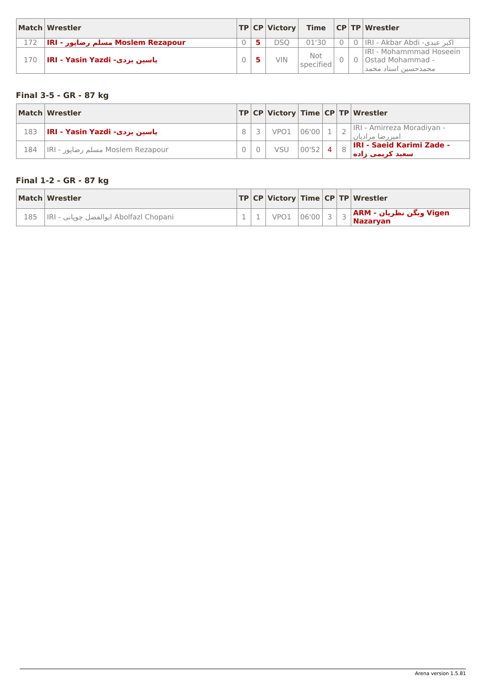<span id="page-51-0"></span>

|     | Match Wrestler                    |  | <b>TP CP Victory</b> |                  |  | Time $ CP TP Wrestler$                                                            |
|-----|-----------------------------------|--|----------------------|------------------|--|-----------------------------------------------------------------------------------|
| 172 | Moslem Rezapour مسلم رضاپور - IRI |  | DSO                  | 01'30            |  | اکبر عبدی- IRI - Akbar Abdi اکبر عبدی                                             |
| 170 | _lRI - Yasin Yazdi - ياسين پزدي   |  | VIN.                 | Not<br>specified |  | IRI - Mohammmad Hoseein<br>0 Ostad Mohammad -<br>محمدحسین استاد محمد <sub>ا</sub> |

# **Final 3-5 - GR - 87 kg**

|     | Match Wrestler                    |  |                  |            |  | TP CP Victory Time CP TP Wrestler                    |
|-----|-----------------------------------|--|------------------|------------|--|------------------------------------------------------|
| 183 | IRI - Yasin Yazdi - ياسين پزدې    |  | VPO <sub>1</sub> | $106'00_1$ |  | IRI - Amirreza Moradiyan -<br>امیر رضا مرادیان       |
| 184 | Moslem Rezapour مسلم رضايور - IRI |  | VSU              | 00'52      |  | <b>IRI - Saeid Karimi Zade -</b><br>اسعید کریمپ زاده |

# **Final 1-2 - GR - 87 kg**

|     | Match Wrestler                           |  |  |  | TP CP Victory Time CP TP Wrestler                                                                                  |
|-----|------------------------------------------|--|--|--|--------------------------------------------------------------------------------------------------------------------|
| 185 | IRI - ابوالفضل چوپاني - Abolfazl Chopani |  |  |  | ر <mark>Vigen ویگن نظریان - ARM و</mark> ∨PO1  06'00   3   3   <mark>ARM ویگن نظریان -</mark> 1<br><b>Nazarvan</b> |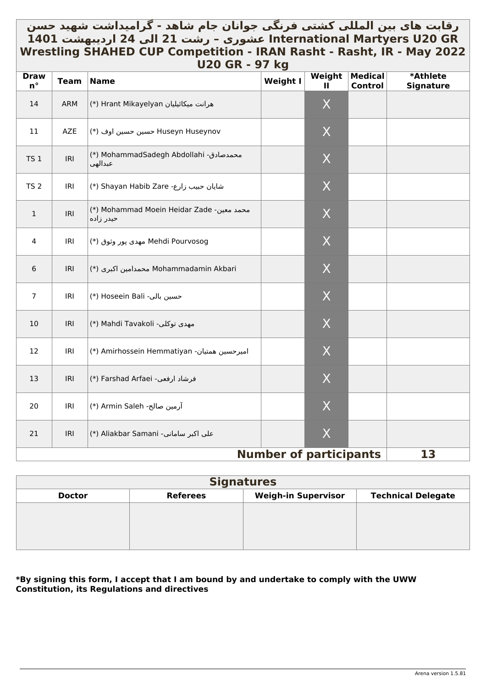# <span id="page-52-0"></span>رقابت های بین المللی کشتی فرنگی جوانان جام شاهد - گرامیداشت شهید حسن **GR 20U Martyers International عشوری – رشت 21 الی 24 اردیبهشت 1401 Wrestling SHAHED CUP Competition - IRAN Rasht - Rasht, IR - May 2022 U20 GR - 97 kg**

| <b>Draw</b><br>$n^{\circ}$ | <b>Team</b> | ULV JI\<br><b>Name</b>                                 | J/ 19<br>Weight I             | Weight<br>$\mathbf{H}$ | <b>Medical</b><br><b>Control</b> | *Athlete<br><b>Signature</b> |
|----------------------------|-------------|--------------------------------------------------------|-------------------------------|------------------------|----------------------------------|------------------------------|
| 14                         | ARM         | (*) Hrant Mikayelyan (*)                               |                               | X                      |                                  |                              |
| 11                         | AZE         | Huseyn Huseynov حسين حسين اوف (*)                      |                               | X                      |                                  |                              |
| TS <sub>1</sub>            | IRI         | (*) MohammadSadegh Abdollahi -محمدصادق)<br>عبدالهي     |                               | X                      |                                  |                              |
| <b>TS 2</b>                | IRI         | (*) Shayan Habib Zare (*)                              |                               | X                      |                                  |                              |
| $\mathbf{1}$               | IRI         | (*) Mohammad Moein Heidar Zade -محمد معين<br>حيدر زاده |                               | X                      |                                  |                              |
| 4                          | IRI         | Mehdi Pourvosog مهدى پور وثوق (*)                      |                               | X                      |                                  |                              |
| 6                          | IRI         | Mohammadamin Akbari محمدامين اكبرى (*)                 |                               | X                      |                                  |                              |
| $\overline{7}$             | IRI         | (*) Hoseein Bali -حسين بالي                            |                               | X                      |                                  |                              |
| 10                         | IRI         | (*) Mahdi Tavakoli مهدى توكلي-                         |                               | X                      |                                  |                              |
| 12                         | IRI         | (*) Amirhossein Hemmatiyan -اميرحسين همتيان            |                               | X                      |                                  |                              |
| 13                         | IRI         | فرشاد ارفعي- Farshad Arfaei (*)                        |                               | X                      |                                  |                              |
| 20                         | IRI         | (*) Armin Saleh -آرمین صالح)                           |                               | $\sf X$                |                                  |                              |
| 21                         | IRI         | (*) Aliakbar Samani -سامانی) Aliakbar Samani           |                               | X                      |                                  |                              |
|                            |             |                                                        | <b>Number of participants</b> |                        |                                  | 13                           |

# **Signatures Doctor Referees Weigh-in Supervisor Technical Delegate**

## **\*By signing this form, I accept that I am bound by and undertake to comply with the UWW Constitution, its Regulations and directives**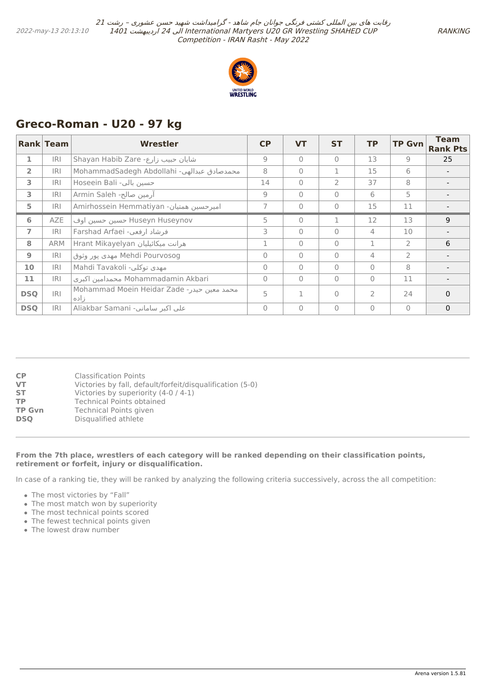

# <span id="page-53-0"></span>**Greco-Roman - U20 - 97 kg**

|                | Rank Team  | Wrestler                                            | CP       | <b>VT</b> | <b>ST</b>      | <b>TP</b>      | <b>TP Gvn</b>  | <b>Team</b><br><b>Rank Pts</b> |
|----------------|------------|-----------------------------------------------------|----------|-----------|----------------|----------------|----------------|--------------------------------|
| 1              | <b>IRI</b> | Shayan Habib Zare -شایان حبیب زارع                  | 9        | $\bigcap$ | $\Omega$       | 13             | 9              | 25                             |
| $\overline{2}$ | <b>IRI</b> | MohammadSadegh Abdollahi -محمدصادق عبدالهي          | 8        | $\bigcap$ | 1              | 15             | 6              |                                |
| 3              | <b>IRI</b> | Hoseein Bali -حسين بالى                             | 14       | $\bigcap$ | $\overline{2}$ | 37             | 8              |                                |
| 3              | <b>IRI</b> | آرمین صالح- Armin Saleh                             | 9        | $\bigcap$ | $\Omega$       | 6              | 5              |                                |
| 5              | <b>IRI</b> | Amirhossein Hemmatiyan -امیرحسین همتیان             |          | $\bigcap$ | $\Omega$       | 15             | 11             |                                |
| 6              | AZE        | Huseyn Huseynov حسين حسين اوف                       | 5        | $\bigcap$ |                | 12             | 13             | 9                              |
| $\overline{7}$ | <b>IRI</b> | فرشاد ارفعي- Farshad Arfaei                         | 3        | $\bigcap$ | $\Omega$       | $\overline{4}$ | 10             |                                |
| 8              | <b>ARM</b> | Arant Mikayelyan هرانت میکائیلیان                   |          | $\bigcap$ | $\Omega$       | 1              | $\overline{2}$ | 6                              |
| 9              | IRI        | Mehdi Pourvosog مهدى يور وثوق                       | $\Omega$ | $\bigcap$ | $\Omega$       | $\overline{4}$ | $\overline{2}$ |                                |
| 10             | <b>IRI</b> | مهدي توكلي- Mahdi Tavakoli                          | $\Omega$ | $\bigcap$ | $\Omega$       | $\Omega$       | 8              |                                |
| 11             | <b>IRI</b> | Mohammadamin Akbari محمدامين اكبرى                  | $\Omega$ | $\bigcap$ | $\Omega$       | $\Omega$       | 11             |                                |
| <b>DSQ</b>     | R          | Mohammad Moein Heidar Zade - محمد معين حيدر<br>ناده | 5        |           | $\Omega$       | $\overline{2}$ | 24             | $\Omega$                       |
| <b>DSO</b>     | <b>IRI</b> | Aliakbar Samani -سامانی Aliakbar Samani             | $\Omega$ | $\bigcap$ | $\Omega$       | $\Omega$       | $\bigcap$      | $\mathbf{0}$                   |

| CP            | <b>Classification Points</b>                              |
|---------------|-----------------------------------------------------------|
| VT            | Victories by fall, default/forfeit/disqualification (5-0) |
| <b>ST</b>     | Victories by superiority (4-0 / 4-1)                      |
| ТP            | <b>Technical Points obtained</b>                          |
| <b>TP Gvn</b> | Technical Points given                                    |
| <b>DSO</b>    | Disqualified athlete                                      |
|               |                                                           |

#### **From the 7th place, wrestlers of each category will be ranked depending on their classification points, retirement or forfeit, injury or disqualification.**

In case of a ranking tie, they will be ranked by analyzing the following criteria successively, across the all competition:

- The most victories by "Fall"
- The most match won by superiority
- The most technical points scored
- The fewest technical points given
- The lowest draw number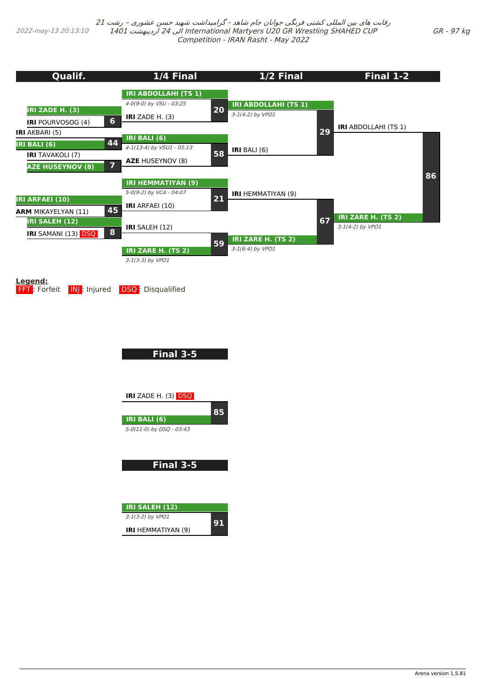<span id="page-54-0"></span>2022-may-13 20:13:10

رقابت های بین المللی کشتی فرنگی جوانان جام شاهد - گرامیداشت شهید حسن عشوری – رشت <sup>21</sup> 1401 اردیبهشت 24 الی International Martyers U20 GR Wrestling SHAHED CUP Competition - IRAN Rasht - May 2022

**8 20 Qualif. IRI ZADE H. (3) IRI** POURVOSOG (4) **6 IRI** AKBARI (5) **IRI BALI (6) 44 IRI** TAVAKOLI (7) **AZE HUSEYNOV (8) 7 IRI ARFAEI (10) ARM** MIKAYELYAN (11) **45 IRI SALEH (12) IRI** SAMANI (13) DSQ **1/4 Final IRI ABDOLLAHI (TS 1)** 4-0(9-0) by VSU - 03:25 **IRI** ZADE H. (3) **IRI BALI (6)** 4-1(13-4) by VSU1 - 05:13 **AZE** HUSEYNOV (8) **58 IRI HEMMATIYAN (9)** 5-0(9-2) by VCA - 04:07 **IRI** ARFAEI (10) **21 IRI** SALEH (12) **IRI ZARE H. (TS 2)** 3-1(3-3) by VPO1 **59 1/2 Final IRI ABDOLLAHI (TS 1)** 3-1(4-2) by VPO1 **IRI** BALI (6) **29 IRI** HEMMATIYAN (9) **IRI ZARE H. (TS 2)** 3-1(6-4) by VPO1 **67 Final 1-2 IRI** ABDOLLAHI (TS 1) **IRI ZARE H. (TS 2)** 3-1(4-2) by VPO1 **86**

**Legend:**

**FFT**: Forfeit **INJ:** Injured **DSQ: Disqualified** 

**Final 3-5**

**IRI** ZADE H. (3) DSQ



5-0(11-0) by DSQ - 03:43

**Final 3-5**

| <b>IRI SALEH (12)</b>     |    |
|---------------------------|----|
| $3-1(3-2)$ by VPO1        | 91 |
| <b>IRI</b> HEMMATIYAN (9) |    |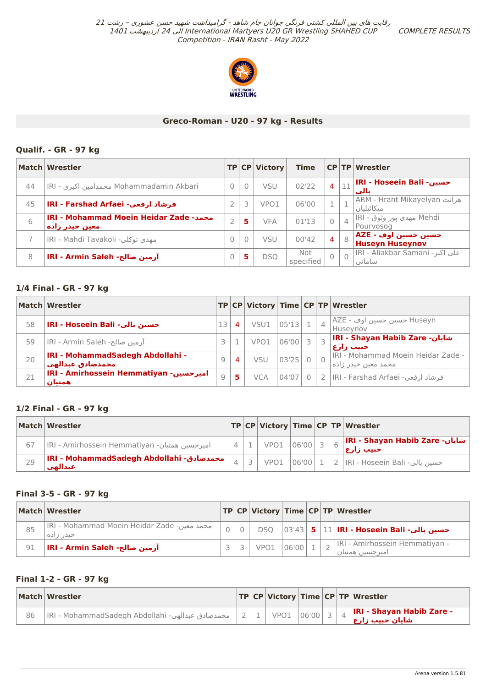COMPLETE RESULTS



## **Greco-Roman - U20 - 97 kg - Results**

## <span id="page-55-0"></span>**Qualif. - GR - 97 kg**

|    | Match Wrestler                                                  |              |          | TP CP Victory | Time             |                |                | <b>CP TP Wrestler</b>                             |
|----|-----------------------------------------------------------------|--------------|----------|---------------|------------------|----------------|----------------|---------------------------------------------------|
| 44 | Mohammadamin Akbari محمدامین اکبری - IRI                        | $\Omega$     | $\Omega$ | <b>VSU</b>    | 02'22            | $\overline{4}$ | 11             | IRI - Hoseein Bali -حسين<br>نالت                  |
| 45 | فرشاد ارفعي- IRI - Farshad Arfaei                               |              | 3        | VPO1          | 06'00            | 1              |                | <b>ARM - Hrant Mikayelyan هرانت</b><br>مىكائىليان |
| 6  | <b>IRI - Mohammad Moein Heidar Zade -محمد</b><br>معین حیدر زاده |              | 5        | <b>VFA</b>    | 01'13            | $\overline{0}$ | $\overline{4}$ | Mehdi مهدی پور وثوق - IRI<br>Pourvosog            |
|    | lRI - Mahdi Tavakoli -مهدي توكلي                                | $\mathbf{0}$ | $\Omega$ | <b>VSU</b>    | 00'42            | $\overline{4}$ | 8              | حسین حسین اوف<br>  Huseyn Huseynov                |
| 8  | آرمین مبالح- IRI - Armin Saleh                                  |              | 5        | DSO           | Not<br>specified | $\bigcap$      | $\overline{0}$ | IRI - Aliakbar Samani - على اكبر<br>اساماني       |

## **1/4 Final - GR - 97 kg**

|    | Match Wrestler                                               |                |   |            |       |              |                | $ {\sf TP} $ CP $ {\sf Victory} $ Time $ {\sf CP} $ TP $ {\sf Wrestler} $ |
|----|--------------------------------------------------------------|----------------|---|------------|-------|--------------|----------------|---------------------------------------------------------------------------|
| 58 | IRI - Hoseein Bali -حسين بالي                                | 13             | 4 | VSU1       | 05'13 | $\mathbf{1}$ | $\overline{4}$ | Huseyn حسين حسين اوف - AZE<br>Huseynov                                    |
| 59 | آرمین صالح- IRI - Armin Saleh                                | 3              |   | VPO1       | 06'00 | 3            |                | IRI - Shayan Habib Zare -سایان<br>احبيب زارع⊤                             |
| 20 | <b>IRI - MohammadSadegh Abdollahi -</b><br>محمدمنادق عبدالهي | $\overline{9}$ | 4 | VSU        | 03'25 |              |                | IRI - Mohammad Moein Heidar Zade -<br>محمد معین حیدر زاده⊺                |
| 21 | <b>IRI - Amirhossein Hemmatiyan - امیرحسین</b><br>همتيان     | 9              | 5 | <b>VCA</b> | 04'07 |              |                | فرشاد ارفعي- IRI - Farshad Arfaei                                         |

## **1/2 Final - GR - 97 kg**

|    | Match Wrestler                                       |  |              |       |  | TP   CP   Victory   Time   CP   TP   Wrestler |
|----|------------------------------------------------------|--|--------------|-------|--|-----------------------------------------------|
| 67 | IRI - Amirhossein Hemmatiyan -امیر حسین همتیان       |  | $VPO1$ 06'00 |       |  | شايان- IRI - Shayan Habib Zare <br>حبيب زارع  |
| 29 | IRI - MohammadSadegh Abdollahi - محمدصادق<br>عبدالهي |  | VPO1         | 06'00 |  | حسين بالي- IRI - Hoseein Bali   2             |

## **Final 3-5 - GR - 97 kg**

|    | Match Wrestler                                           |  |      |       |  | $ TP CP $ Victory Time $ CP TP $ Wrestler                      |
|----|----------------------------------------------------------|--|------|-------|--|----------------------------------------------------------------|
| 85 | IRI - Mohammad Moein Heidar Zade -محمد معين<br>حیدر زاده |  |      |       |  | DSQ  03'43  <b>5</b>  11 <b> IRI - Hoseein Bali -حسين بالي</b> |
| 91 | آرمین مبالح- IRI - Armin Saleh                           |  | VPO1 | 06'00 |  | IRI - Amirhossein Hemmatiyan -<br>امیر حسین همتیان             |

## **Final 1-2 - GR - 97 kg**

|    | Match Wrestler                                   |  |  |  | TP CP Victory Time CP TP Wrestler                                                           |
|----|--------------------------------------------------|--|--|--|---------------------------------------------------------------------------------------------|
| 86 | IRI - MohammadSadegh Abdollahi -محمدصادق عبدالهي |  |  |  | - I <mark>RI - Shayan Habib Zare اIRI - Shayan Habib Zare</mark><br>ش <u>ایان حبیب زارع</u> |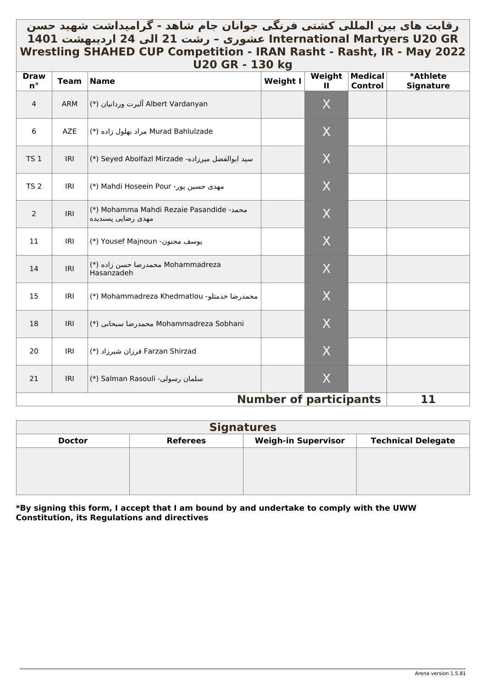# <span id="page-56-0"></span>رقابت های بین المللي کشتي فرنگي جوانان جام شاهد - گرامیداشت شهید حسن \_ **GR 20U Martyers International عشوری – رشت 21 الی 24 اردیبهشت 1401 Wrestling SHAHED CUP Competition - IRAN Rasht - Rasht, IR - May 2022 U20 GR - 130 kg**

| <b>Draw</b><br>$n^{\circ}$ | <b>Team</b> | , , , , ,<br><b>Name</b>                                       | $-00$ $\bf{R}$<br><b>Weight I</b> | Weight<br>Ш    | <b>Medical</b><br>Control | *Athlete<br><b>Signature</b> |
|----------------------------|-------------|----------------------------------------------------------------|-----------------------------------|----------------|---------------------------|------------------------------|
| $\overline{4}$             | <b>ARM</b>  | Albert Vardanyan آلبرت وردانيان (*)                            |                                   | X              |                           |                              |
| 6                          | AZE         | Murad Bahlulzade مراد بهلول زاده (*)                           |                                   | X              |                           |                              |
| <b>TS 1</b>                | <b>IRI</b>  | (*) Seyed Abolfazl Mirzade -سيد ابوالفضل ميرزاده               |                                   | X              |                           |                              |
| <b>TS 2</b>                | IRI         | (*) Mahdi Hoseein Pour (*)                                     |                                   | X              |                           |                              |
| $\overline{2}$             | IRI         | (*) Mohamma Mahdi Rezaie Pasandide -محمد<br>مهدى رضايي پسنديده |                                   | X              |                           |                              |
| 11                         | <b>IRI</b>  | (*) Yousef Majnoun - يوسف مجنون                                |                                   | $\overline{X}$ |                           |                              |
| 14                         | IRI         | Mohammadreza محمدرضا حسن زاده (*)<br>Hasanzadeh                |                                   | X              |                           |                              |
| 15                         | IRI         | (*) Mohammadreza Khedmatlou (*)                                |                                   | X              |                           |                              |
| 18                         | IRI         | Mohammadreza Sobhani محمدرضا سبحاني (*)                        |                                   | X              |                           |                              |
| 20                         | IRI         | Farzan Shirzad فرزان شيرزاد (*)                                |                                   | X              |                           |                              |
| 21                         | IRI         | (*) Salman Rasouli -سلمان رسولي                                |                                   | X              |                           |                              |
|                            |             |                                                                | <b>Number of participants</b>     |                |                           | 11                           |

| <b>Signatures</b> |                 |                            |                           |  |  |  |  |  |  |  |
|-------------------|-----------------|----------------------------|---------------------------|--|--|--|--|--|--|--|
| <b>Doctor</b>     | <b>Referees</b> | <b>Weigh-in Supervisor</b> | <b>Technical Delegate</b> |  |  |  |  |  |  |  |
|                   |                 |                            |                           |  |  |  |  |  |  |  |
|                   |                 |                            |                           |  |  |  |  |  |  |  |
|                   |                 |                            |                           |  |  |  |  |  |  |  |
|                   |                 |                            |                           |  |  |  |  |  |  |  |

**\*By signing this form, I accept that I am bound by and undertake to comply with the UWW Constitution, its Regulations and directives**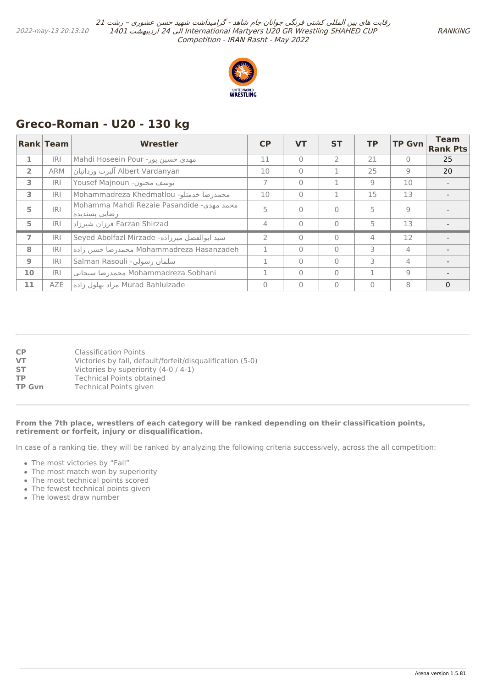

# <span id="page-57-0"></span>**Greco-Roman - U20 - 130 kg**

|                | <b>Rank Team</b> | Wrestler                                                    | <b>CP</b> | <b>VT</b> | <b>ST</b> | ТP             | <b>TP Gvn</b>  | <b>Team</b><br><b>Rank Pts</b> |
|----------------|------------------|-------------------------------------------------------------|-----------|-----------|-----------|----------------|----------------|--------------------------------|
| 1              | R                | Mahdi Hoseein Pour مهدى حسين پور-                           | 11        | $\bigcap$ |           | 21             | $\Omega$       | 25                             |
| $\overline{2}$ | <b>ARM</b>       | Albert Vardanyan آلبرت وردانيان                             | 10        | $\bigcap$ |           | 25             | 9              | 20                             |
| 3              | <b>IRI</b>       | يوسف مجنون- Yousef Majnoun                                  | 7         | $\bigcap$ |           | 9              | 10             |                                |
| 3              | R                | Mohammadreza Khedmatlou -محمدر ضا خدمتلو                    | 10        | $\Omega$  |           | 15             | 13             |                                |
| 5              | R                | Mohamma Mahdi Rezaie Pasandide -محمد مهدي<br>ر ضایی پسندیده | 5         | $\Omega$  | $\Omega$  | 5              | 9              |                                |
| 5              | R                | Farzan Shirzad فرزان شيرزاد                                 | 4         | $\bigcap$ | $\Omega$  | 5              | 13             |                                |
| 7              | IRI              | Seyed Abolfazl Mirzade -سيد ابوالفضل ميرزاده                | C.        | $\bigcap$ | $\bigcap$ | $\overline{4}$ | 12             |                                |
| 8              | IRI              | Mohammadreza Hasanzadeh محمدر ضا حسن زاده                   |           | $\Omega$  | $\Omega$  | 3              | $\overline{4}$ |                                |
| 9              | <b>IRI</b>       | Salman Rasouli -سلمان رسولي                                 |           | $\bigcap$ | $\Omega$  | 3              | 4              |                                |
| 10             | IRI              | Mohammadreza Sobhani محمدرضا سبحاني                         |           | $\Omega$  | $\bigcap$ |                | 9              |                                |
| 11             | <b>AZE</b>       | Murad Bahlulzade مراد بهلول زاده                            | 0         | $\Omega$  | $\Omega$  | $\Omega$       | 8              | $\mathbf{0}$                   |

| Victories by fall, default/forfeit/disqualification (5-0) |
|-----------------------------------------------------------|
|                                                           |

#### **From the 7th place, wrestlers of each category will be ranked depending on their classification points, retirement or forfeit, injury or disqualification.**

In case of a ranking tie, they will be ranked by analyzing the following criteria successively, across the all competition:

- The most victories by "Fall"
- The most match won by superiority
- The most technical points scored
- The fewest technical points given
- The lowest draw number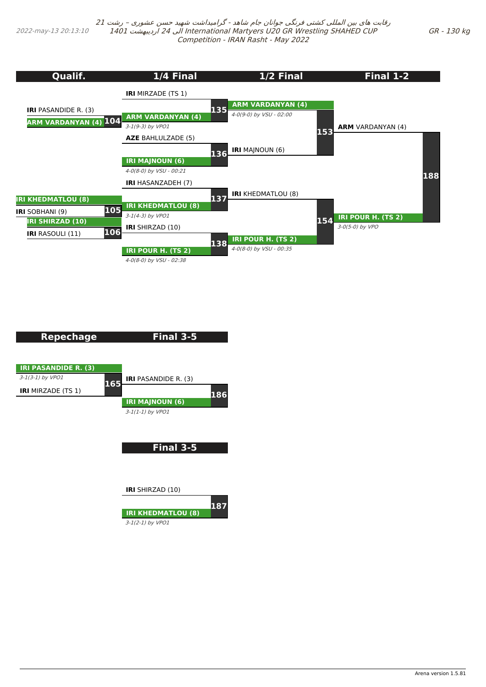<span id="page-58-0"></span>2022-may-13 20:13:10

رقابت های بین المللی کشتی فرنگی جوانان جام شاهد - گرامیداشت شهید حسن عشوری – رشت <sup>21</sup> 1401 اردیبهشت 24 الی International Martyers U20 GR Wrestling SHAHED CUP Competition - IRAN Rasht - May 2022

## GR - 130 kg



| <b>Repechage</b>            | Final 3-5                   |     |
|-----------------------------|-----------------------------|-----|
|                             |                             |     |
|                             |                             |     |
| <b>IRI PASANDIDE R. (3)</b> |                             |     |
| $3-1(3-1)$ by VPO1          | <b>IRI</b> PASANDIDE R. (3) |     |
| <b>IRI</b> MIRZADE (TS 1)   | 165                         |     |
|                             | <b>IRI MAJNOUN (6)</b>      | 186 |
|                             | $3-1(1-1)$ by VPO1          |     |
|                             |                             |     |
|                             |                             |     |
|                             |                             |     |
|                             | Final 3-5                   |     |
|                             |                             |     |
|                             |                             |     |
|                             |                             |     |
|                             | <b>IRI</b> SHIRZAD (10)     |     |
|                             | 187                         |     |
|                             | <b>IRI KHEDMATLOU (8)</b>   |     |
|                             | $3-1(2-1)$ by VPO1          |     |